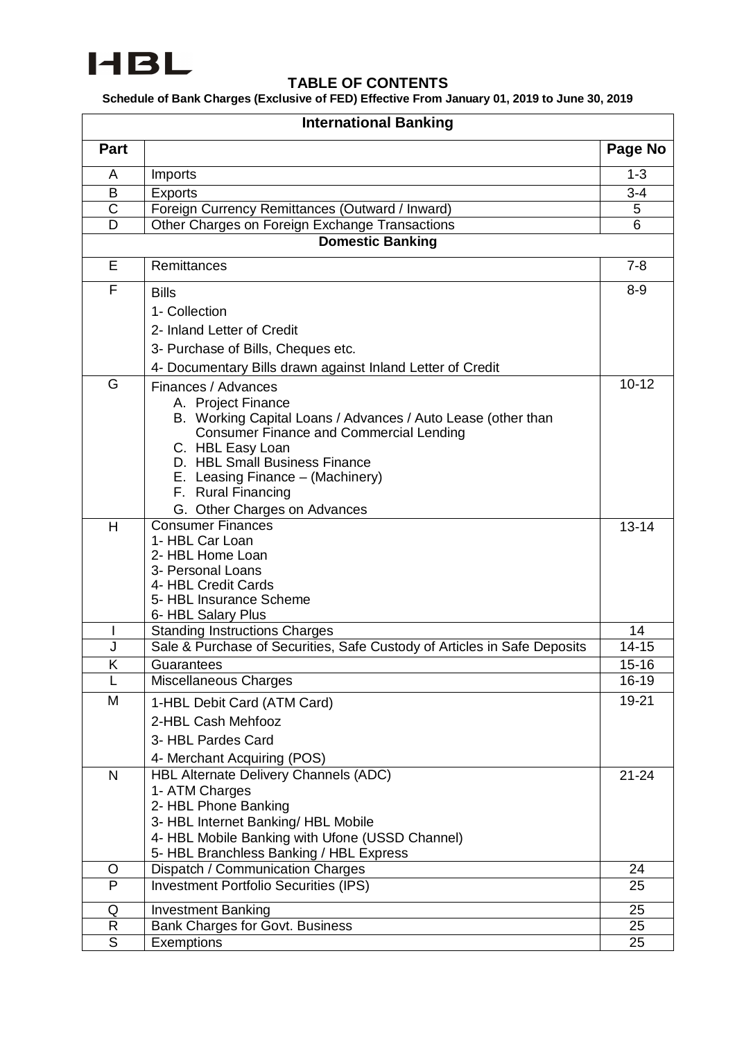

## **TABLE OF CONTENTS**

**Schedule of Bank Charges (Exclusive of FED) Effective From January 01, 2019 to June 30, 2019**

|                       | <b>International Banking</b>                                                |                     |  |  |
|-----------------------|-----------------------------------------------------------------------------|---------------------|--|--|
| Part                  |                                                                             | Page No             |  |  |
| A                     | Imports                                                                     | $1 - 3$             |  |  |
| B                     | <b>Exports</b>                                                              | $3 - 4$             |  |  |
| $\overline{\text{C}}$ | Foreign Currency Remittances (Outward / Inward)                             | 5                   |  |  |
| D                     | Other Charges on Foreign Exchange Transactions                              | 6                   |  |  |
|                       | <b>Domestic Banking</b>                                                     |                     |  |  |
| E                     | Remittances                                                                 | $7 - 8$             |  |  |
| F                     | <b>Bills</b>                                                                | $8 - 9$             |  |  |
|                       | 1- Collection                                                               |                     |  |  |
|                       | 2- Inland Letter of Credit                                                  |                     |  |  |
|                       | 3- Purchase of Bills, Cheques etc.                                          |                     |  |  |
|                       | 4- Documentary Bills drawn against Inland Letter of Credit                  |                     |  |  |
| G                     | Finances / Advances                                                         | $10 - 12$           |  |  |
|                       | A. Project Finance                                                          |                     |  |  |
|                       | B. Working Capital Loans / Advances / Auto Lease (other than                |                     |  |  |
|                       | <b>Consumer Finance and Commercial Lending</b>                              |                     |  |  |
|                       | C. HBL Easy Loan                                                            |                     |  |  |
|                       | D. HBL Small Business Finance                                               |                     |  |  |
|                       | E. Leasing Finance - (Machinery)<br>F. Rural Financing                      |                     |  |  |
|                       | G. Other Charges on Advances                                                |                     |  |  |
| H                     | <b>Consumer Finances</b>                                                    | $13 - 14$           |  |  |
|                       | 1- HBL Car Loan                                                             |                     |  |  |
|                       | 2- HBL Home Loan                                                            |                     |  |  |
|                       | 3- Personal Loans                                                           |                     |  |  |
|                       | 4- HBL Credit Cards                                                         |                     |  |  |
|                       | 5- HBL Insurance Scheme<br>6- HBL Salary Plus                               |                     |  |  |
|                       | <b>Standing Instructions Charges</b>                                        | 14                  |  |  |
| J                     | Sale & Purchase of Securities, Safe Custody of Articles in Safe Deposits    | $\overline{1}$ 4-15 |  |  |
| Κ                     | Guarantees                                                                  | $15 - 16$           |  |  |
|                       | Miscellaneous Charges                                                       | 16-19               |  |  |
| M                     | 1-HBL Debit Card (ATM Card)                                                 | 19-21               |  |  |
|                       | 2-HBL Cash Mehfooz                                                          |                     |  |  |
|                       | 3- HBL Pardes Card                                                          |                     |  |  |
|                       | 4- Merchant Acquiring (POS)                                                 |                     |  |  |
| $\mathsf{N}$          | HBL Alternate Delivery Channels (ADC)                                       | $21 - 24$           |  |  |
|                       | 1- ATM Charges                                                              |                     |  |  |
|                       | 2- HBL Phone Banking                                                        |                     |  |  |
|                       | 3- HBL Internet Banking/ HBL Mobile                                         |                     |  |  |
|                       | 4- HBL Mobile Banking with Ufone (USSD Channel)                             |                     |  |  |
| O                     | 5- HBL Branchless Banking / HBL Express<br>Dispatch / Communication Charges | 24                  |  |  |
| P                     | <b>Investment Portfolio Securities (IPS)</b>                                | 25                  |  |  |
|                       |                                                                             |                     |  |  |
| Q<br>$\mathsf{R}$     | <b>Investment Banking</b><br><b>Bank Charges for Govt. Business</b>         | 25<br>25            |  |  |
| S                     | Exemptions                                                                  | 25                  |  |  |
|                       |                                                                             |                     |  |  |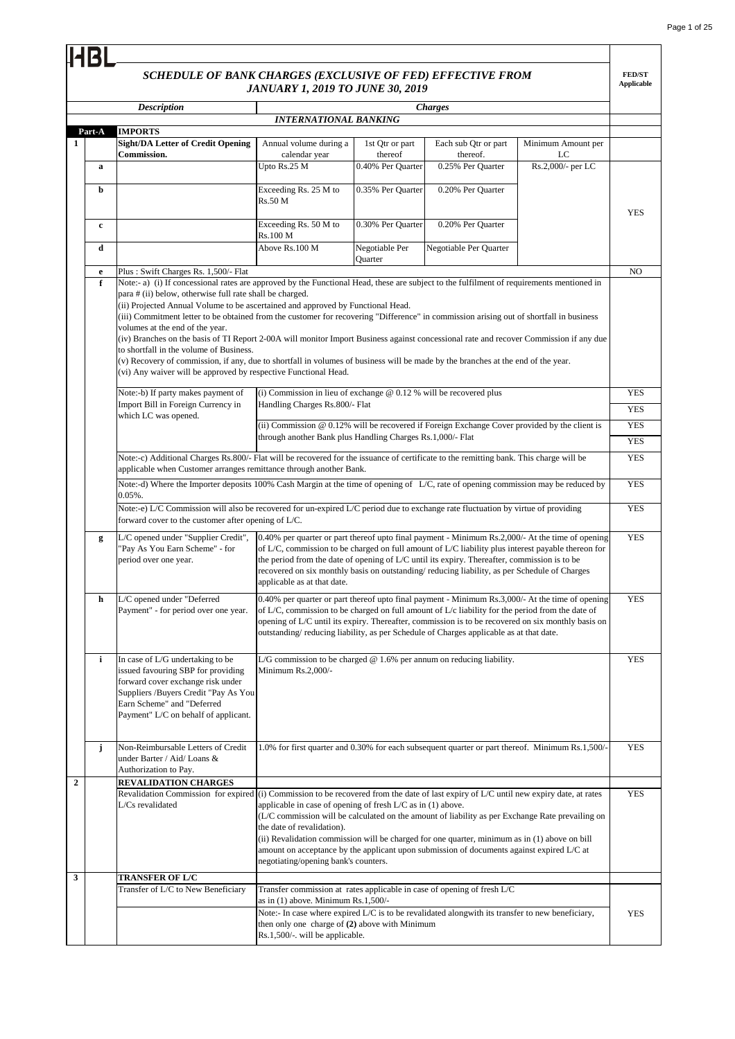**FED/ST Applicable**

## *SCHEDULE OF BANK CHARGES (EXCLUSIVE OF FED) EFFECTIVE FROM JANUARY 1, 2019 TO JUNE 30, 2019*

**HBL** 

|                | <b>Description</b>                                                                                                                                                                                                                                                                                                                                                                                                                                                                                                                                                                                                                                                                                                                                                                                                                                                 | JANUAKI 1, 2019 IO JUNE 30, 2019                                                                                                                                                                                                                                                                                                                                                                                                      |                            | <b>Charges</b>                   |                          |                          |  |
|----------------|--------------------------------------------------------------------------------------------------------------------------------------------------------------------------------------------------------------------------------------------------------------------------------------------------------------------------------------------------------------------------------------------------------------------------------------------------------------------------------------------------------------------------------------------------------------------------------------------------------------------------------------------------------------------------------------------------------------------------------------------------------------------------------------------------------------------------------------------------------------------|---------------------------------------------------------------------------------------------------------------------------------------------------------------------------------------------------------------------------------------------------------------------------------------------------------------------------------------------------------------------------------------------------------------------------------------|----------------------------|----------------------------------|--------------------------|--------------------------|--|
|                |                                                                                                                                                                                                                                                                                                                                                                                                                                                                                                                                                                                                                                                                                                                                                                                                                                                                    | <b>INTERNATIONAL BANKING</b>                                                                                                                                                                                                                                                                                                                                                                                                          |                            |                                  |                          |                          |  |
| Part-A         | <b>IMPORTS</b>                                                                                                                                                                                                                                                                                                                                                                                                                                                                                                                                                                                                                                                                                                                                                                                                                                                     |                                                                                                                                                                                                                                                                                                                                                                                                                                       |                            |                                  |                          |                          |  |
| 1              | <b>Sight/DA Letter of Credit Opening</b><br>Commission.                                                                                                                                                                                                                                                                                                                                                                                                                                                                                                                                                                                                                                                                                                                                                                                                            | Annual volume during a<br>calendar year                                                                                                                                                                                                                                                                                                                                                                                               | 1st Qtr or part<br>thereof | Each sub Qtr or part<br>thereof. | Minimum Amount per<br>LC |                          |  |
| a              |                                                                                                                                                                                                                                                                                                                                                                                                                                                                                                                                                                                                                                                                                                                                                                                                                                                                    | Upto Rs.25 M                                                                                                                                                                                                                                                                                                                                                                                                                          | 0.40% Per Quarter          | 0.25% Per Quarter                | Rs.2,000/- per LC        |                          |  |
| b              |                                                                                                                                                                                                                                                                                                                                                                                                                                                                                                                                                                                                                                                                                                                                                                                                                                                                    | Exceeding Rs. 25 M to<br>Rs.50 M                                                                                                                                                                                                                                                                                                                                                                                                      | 0.35% Per Quarter          | 0.20% Per Quarter                |                          | <b>YES</b>               |  |
| c              |                                                                                                                                                                                                                                                                                                                                                                                                                                                                                                                                                                                                                                                                                                                                                                                                                                                                    | Exceeding Rs. 50 M to<br><b>Rs.100 M</b>                                                                                                                                                                                                                                                                                                                                                                                              | 0.30% Per Quarter          | 0.20% Per Quarter                |                          |                          |  |
| d              |                                                                                                                                                                                                                                                                                                                                                                                                                                                                                                                                                                                                                                                                                                                                                                                                                                                                    | Above Rs.100 M                                                                                                                                                                                                                                                                                                                                                                                                                        | Negotiable Per<br>Quarter  | Negotiable Per Quarter           |                          |                          |  |
| e              | Plus: Swift Charges Rs. 1,500/- Flat                                                                                                                                                                                                                                                                                                                                                                                                                                                                                                                                                                                                                                                                                                                                                                                                                               |                                                                                                                                                                                                                                                                                                                                                                                                                                       |                            |                                  |                          |                          |  |
| f              | Note:- a) (i) If concessional rates are approved by the Functional Head, these are subject to the fulfilment of requirements mentioned in<br>para # (ii) below, otherwise full rate shall be charged.<br>(ii) Projected Annual Volume to be ascertained and approved by Functional Head.<br>(iii) Commitment letter to be obtained from the customer for recovering "Difference" in commission arising out of shortfall in business<br>volumes at the end of the year.<br>(iv) Branches on the basis of TI Report 2-00A will monitor Import Business against concessional rate and recover Commission if any due<br>to shortfall in the volume of Business.<br>(v) Recovery of commission, if any, due to shortfall in volumes of business will be made by the branches at the end of the year.<br>(vi) Any waiver will be approved by respective Functional Head. |                                                                                                                                                                                                                                                                                                                                                                                                                                       |                            |                                  |                          |                          |  |
|                | (i) Commission in lieu of exchange $@$ 0.12 % will be recovered plus<br>Note:-b) If party makes payment of                                                                                                                                                                                                                                                                                                                                                                                                                                                                                                                                                                                                                                                                                                                                                         |                                                                                                                                                                                                                                                                                                                                                                                                                                       |                            |                                  |                          |                          |  |
|                | Import Bill in Foreign Currency in<br>Handling Charges Rs.800/- Flat                                                                                                                                                                                                                                                                                                                                                                                                                                                                                                                                                                                                                                                                                                                                                                                               |                                                                                                                                                                                                                                                                                                                                                                                                                                       |                            |                                  |                          |                          |  |
|                | which LC was opened.                                                                                                                                                                                                                                                                                                                                                                                                                                                                                                                                                                                                                                                                                                                                                                                                                                               | (ii) Commission @ 0.12% will be recovered if Foreign Exchange Cover provided by the client is                                                                                                                                                                                                                                                                                                                                         |                            |                                  |                          | <b>YES</b><br><b>YES</b> |  |
|                |                                                                                                                                                                                                                                                                                                                                                                                                                                                                                                                                                                                                                                                                                                                                                                                                                                                                    | through another Bank plus Handling Charges Rs.1,000/- Flat                                                                                                                                                                                                                                                                                                                                                                            |                            |                                  |                          | <b>YES</b>               |  |
|                | Note:-c) Additional Charges Rs.800/- Flat will be recovered for the issuance of certificate to the remitting bank. This charge will be                                                                                                                                                                                                                                                                                                                                                                                                                                                                                                                                                                                                                                                                                                                             |                                                                                                                                                                                                                                                                                                                                                                                                                                       |                            |                                  |                          |                          |  |
|                | applicable when Customer arranges remittance through another Bank.                                                                                                                                                                                                                                                                                                                                                                                                                                                                                                                                                                                                                                                                                                                                                                                                 |                                                                                                                                                                                                                                                                                                                                                                                                                                       |                            |                                  |                          | <b>YES</b>               |  |
|                | $0.05%$ .                                                                                                                                                                                                                                                                                                                                                                                                                                                                                                                                                                                                                                                                                                                                                                                                                                                          | Note:-d) Where the Importer deposits 100% Cash Margin at the time of opening of L/C, rate of opening commission may be reduced by                                                                                                                                                                                                                                                                                                     |                            |                                  |                          | <b>YES</b>               |  |
|                | Note:-e) L/C Commission will also be recovered for un-expired L/C period due to exchange rate fluctuation by virtue of providing<br>forward cover to the customer after opening of $L/C$ .                                                                                                                                                                                                                                                                                                                                                                                                                                                                                                                                                                                                                                                                         |                                                                                                                                                                                                                                                                                                                                                                                                                                       |                            |                                  |                          | <b>YES</b>               |  |
| g              | L/C opened under "Supplier Credit",<br>"Pay As You Earn Scheme" - for<br>period over one year.                                                                                                                                                                                                                                                                                                                                                                                                                                                                                                                                                                                                                                                                                                                                                                     | 0.40% per quarter or part thereof upto final payment - Minimum Rs.2,000/- At the time of opening<br>of L/C, commission to be charged on full amount of L/C liability plus interest payable thereon for<br>the period from the date of opening of L/C until its expiry. Thereafter, commission is to be<br>recovered on six monthly basis on outstanding/reducing liability, as per Schedule of Charges<br>applicable as at that date. |                            |                                  |                          | <b>YES</b>               |  |
| h              | L/C opened under "Deferred<br>Payment" - for period over one year.                                                                                                                                                                                                                                                                                                                                                                                                                                                                                                                                                                                                                                                                                                                                                                                                 | 0.40% per quarter or part thereof upto final payment - Minimum Rs.3,000/- At the time of opening<br>of L/C, commission to be charged on full amount of L/c liability for the period from the date of<br>opening of L/C until its expiry. Thereafter, commission is to be recovered on six monthly basis on<br>outstanding/reducing liability, as per Schedule of Charges applicable as at that date.                                  |                            |                                  |                          | <b>YES</b>               |  |
| i              | In case of L/G undertaking to be<br>issued favouring SBP for providing<br>forward cover exchange risk under<br>Suppliers / Buyers Credit "Pay As You<br>Earn Scheme" and "Deferred<br>Payment" L/C on behalf of applicant.                                                                                                                                                                                                                                                                                                                                                                                                                                                                                                                                                                                                                                         | L/G commission to be charged $@$ 1.6% per annum on reducing liability.<br>Minimum $Rs.2,000/-$                                                                                                                                                                                                                                                                                                                                        |                            |                                  |                          | <b>YES</b>               |  |
| j              | Non-Reimbursable Letters of Credit<br>under Barter / Aid/ Loans &<br>Authorization to Pay.                                                                                                                                                                                                                                                                                                                                                                                                                                                                                                                                                                                                                                                                                                                                                                         | 1.0% for first quarter and 0.30% for each subsequent quarter or part thereof. Minimum Rs.1,500/-                                                                                                                                                                                                                                                                                                                                      |                            |                                  |                          | <b>YES</b>               |  |
| $\overline{2}$ | <b>REVALIDATION CHARGES</b>                                                                                                                                                                                                                                                                                                                                                                                                                                                                                                                                                                                                                                                                                                                                                                                                                                        |                                                                                                                                                                                                                                                                                                                                                                                                                                       |                            |                                  |                          |                          |  |
|                | Revalidation Commission for expired (i) Commission to be recovered from the date of last expiry of L/C until new expiry date, at rates<br>L/Cs revalidated                                                                                                                                                                                                                                                                                                                                                                                                                                                                                                                                                                                                                                                                                                         | applicable in case of opening of fresh L/C as in (1) above.<br>(L/C commission will be calculated on the amount of liability as per Exchange Rate prevailing on<br>the date of revalidation).<br>(ii) Revalidation commission will be charged for one quarter, minimum as in (1) above on bill<br>amount on acceptance by the applicant upon submission of documents against expired L/C at<br>negotiating/opening bank's counters.   |                            |                                  |                          | <b>YES</b>               |  |
| 3              | <b>TRANSFER OF L/C</b>                                                                                                                                                                                                                                                                                                                                                                                                                                                                                                                                                                                                                                                                                                                                                                                                                                             |                                                                                                                                                                                                                                                                                                                                                                                                                                       |                            |                                  |                          |                          |  |
|                | Transfer of L/C to New Beneficiary                                                                                                                                                                                                                                                                                                                                                                                                                                                                                                                                                                                                                                                                                                                                                                                                                                 | Transfer commission at rates applicable in case of opening of fresh L/C<br>as in $(1)$ above. Minimum Rs.1,500/-<br>Note:- In case where expired L/C is to be revalidated alongwith its transfer to new beneficiary,<br>then only one charge of (2) above with Minimum<br>Rs.1,500/-. will be applicable.                                                                                                                             |                            |                                  |                          | <b>YES</b>               |  |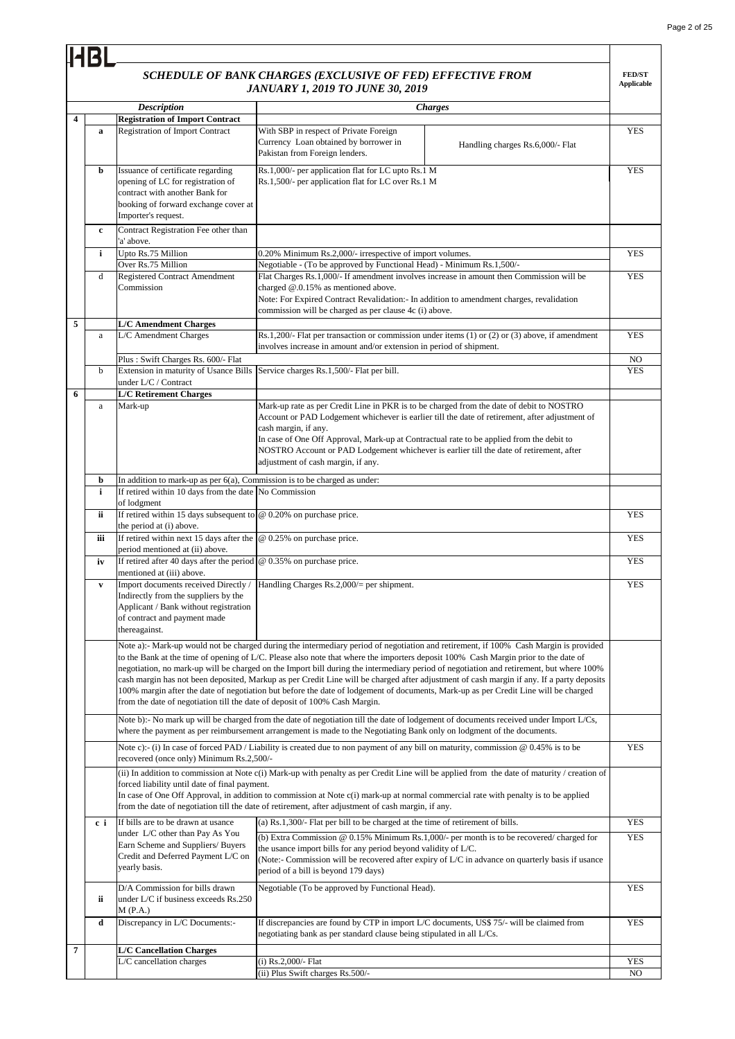|                         | <b>HBI</b>   |                                                                                                                                                                         | SCHEDULE OF BANK CHARGES (EXCLUSIVE OF FED) EFFECTIVE FROM<br><b>JANUARY 1, 2019 TO JUNE 30, 2019</b>                                                                                                                                                                                   |                                                                                                                                                                                                                                                                                                                                                                                                                              | <b>FED/ST</b><br><b>Applicable</b> |  |  |
|-------------------------|--------------|-------------------------------------------------------------------------------------------------------------------------------------------------------------------------|-----------------------------------------------------------------------------------------------------------------------------------------------------------------------------------------------------------------------------------------------------------------------------------------|------------------------------------------------------------------------------------------------------------------------------------------------------------------------------------------------------------------------------------------------------------------------------------------------------------------------------------------------------------------------------------------------------------------------------|------------------------------------|--|--|
|                         |              | <b>Description</b>                                                                                                                                                      |                                                                                                                                                                                                                                                                                         | <b>Charges</b>                                                                                                                                                                                                                                                                                                                                                                                                               |                                    |  |  |
| $\overline{\mathbf{4}}$ |              | <b>Registration of Import Contract</b>                                                                                                                                  |                                                                                                                                                                                                                                                                                         |                                                                                                                                                                                                                                                                                                                                                                                                                              |                                    |  |  |
|                         | a            | <b>Registration of Import Contract</b>                                                                                                                                  | With SBP in respect of Private Foreign<br>Currency Loan obtained by borrower in<br>Pakistan from Foreign lenders.                                                                                                                                                                       | Handling charges Rs.6,000/- Flat                                                                                                                                                                                                                                                                                                                                                                                             | <b>YES</b>                         |  |  |
|                         | b            | Issuance of certificate regarding<br>opening of LC for registration of<br>contract with another Bank for<br>booking of forward exchange cover at<br>Importer's request. | Rs.1,000/- per application flat for LC upto Rs.1 M<br>Rs.1,500/- per application flat for LC over Rs.1 M                                                                                                                                                                                |                                                                                                                                                                                                                                                                                                                                                                                                                              | <b>YES</b>                         |  |  |
|                         | $\mathbf c$  | Contract Registration Fee other than<br>'a' above.                                                                                                                      |                                                                                                                                                                                                                                                                                         |                                                                                                                                                                                                                                                                                                                                                                                                                              |                                    |  |  |
|                         | i            | Upto Rs.75 Million<br>Over Rs.75 Million                                                                                                                                | 0.20% Minimum Rs.2,000/- irrespective of import volumes.<br>Negotiable - (To be approved by Functional Head) - Minimum Rs.1,500/-                                                                                                                                                       |                                                                                                                                                                                                                                                                                                                                                                                                                              | <b>YES</b>                         |  |  |
|                         | d            | Registered Contract Amendment<br>Commission                                                                                                                             | Flat Charges Rs.1,000/- If amendment involves increase in amount then Commission will be<br>charged $@.0.15\%$ as mentioned above.<br>Note: For Expired Contract Revalidation: In addition to amendment charges, revalidation<br>commission will be charged as per clause 4c (i) above. |                                                                                                                                                                                                                                                                                                                                                                                                                              | <b>YES</b>                         |  |  |
| 5                       | a            | <b>L/C Amendment Charges</b><br>L/C Amendment Charges                                                                                                                   |                                                                                                                                                                                                                                                                                         | $Rs.1,200/$ - Flat per transaction or commission under items (1) or (2) or (3) above, if amendment                                                                                                                                                                                                                                                                                                                           |                                    |  |  |
|                         |              |                                                                                                                                                                         | involves increase in amount and/or extension in period of shipment.                                                                                                                                                                                                                     |                                                                                                                                                                                                                                                                                                                                                                                                                              |                                    |  |  |
|                         | b            | Plus: Swift Charges Rs. 600/- Flat<br>Extension in maturity of Usance Bills                                                                                             | Service charges Rs.1,500/- Flat per bill.                                                                                                                                                                                                                                               |                                                                                                                                                                                                                                                                                                                                                                                                                              | N <sub>O</sub><br><b>YES</b>       |  |  |
|                         |              | under L/C / Contract                                                                                                                                                    |                                                                                                                                                                                                                                                                                         |                                                                                                                                                                                                                                                                                                                                                                                                                              |                                    |  |  |
| 6                       | $\mathbf{a}$ | <b>L/C Retirement Charges</b><br>Mark-up                                                                                                                                |                                                                                                                                                                                                                                                                                         |                                                                                                                                                                                                                                                                                                                                                                                                                              |                                    |  |  |
|                         |              |                                                                                                                                                                         | cash margin, if any.<br>adjustment of cash margin, if any.                                                                                                                                                                                                                              | Mark-up rate as per Credit Line in PKR is to be charged from the date of debit to NOSTRO<br>Account or PAD Lodgement whichever is earlier till the date of retirement, after adjustment of<br>In case of One Off Approval, Mark-up at Contractual rate to be applied from the debit to<br>NOSTRO Account or PAD Lodgement whichever is earlier till the date of retirement, after                                            |                                    |  |  |
|                         | b            | In addition to mark-up as per $6(a)$ , Commission is to be charged as under:                                                                                            |                                                                                                                                                                                                                                                                                         |                                                                                                                                                                                                                                                                                                                                                                                                                              |                                    |  |  |
|                         | $\mathbf{i}$ | If retired within 10 days from the date No Commission<br>of lodgment                                                                                                    |                                                                                                                                                                                                                                                                                         |                                                                                                                                                                                                                                                                                                                                                                                                                              |                                    |  |  |
|                         | ii           | If retired within 15 days subsequent to $@$ 0.20% on purchase price.<br>the period at (i) above.                                                                        |                                                                                                                                                                                                                                                                                         |                                                                                                                                                                                                                                                                                                                                                                                                                              | <b>YES</b>                         |  |  |
|                         | iii          | If retired within next 15 days after the $@$ 0.25% on purchase price.<br>period mentioned at (ii) above.                                                                |                                                                                                                                                                                                                                                                                         |                                                                                                                                                                                                                                                                                                                                                                                                                              | <b>YES</b>                         |  |  |
|                         | iv           | If retired after 40 days after the period $\omega$ 0.35% on purchase price.<br>mentioned at (iii) above.                                                                |                                                                                                                                                                                                                                                                                         |                                                                                                                                                                                                                                                                                                                                                                                                                              | <b>YES</b>                         |  |  |
|                         | $\mathbf{v}$ | Import documents received Directly /<br>Indirectly from the suppliers by the<br>Applicant / Bank without registration<br>of contract and payment made<br>thereagainst.  | Handling Charges Rs.2,000/= per shipment.                                                                                                                                                                                                                                               |                                                                                                                                                                                                                                                                                                                                                                                                                              | <b>YES</b>                         |  |  |
|                         |              | from the date of negotiation till the date of deposit of 100% Cash Margin.                                                                                              | to the Bank at the time of opening of L/C. Please also note that where the importers deposit 100% Cash Margin prior to the date of<br>100% margin after the date of negotiation but before the date of lodgement of documents, Mark-up as per Credit Line will be charged               | Note a):- Mark-up would not be charged during the intermediary period of negotiation and retirement, if 100% Cash Margin is provided<br>negotiation, no mark-up will be charged on the Import bill during the intermediary period of negotiation and retirement, but where 100%<br>cash margin has not been deposited, Markup as per Credit Line will be charged after adjustment of cash margin if any. If a party deposits |                                    |  |  |
|                         |              |                                                                                                                                                                         | where the payment as per reimbursement arrangement is made to the Negotiating Bank only on lodgment of the documents.                                                                                                                                                                   | Note b):- No mark up will be charged from the date of negotiation till the date of lodgement of documents received under Import L/Cs,                                                                                                                                                                                                                                                                                        |                                    |  |  |
|                         |              | recovered (once only) Minimum Rs.2,500/-                                                                                                                                | Note c):- (i) In case of forced PAD / Liability is created due to non payment of any bill on maturity, commission $@0.45\%$ is to be                                                                                                                                                    |                                                                                                                                                                                                                                                                                                                                                                                                                              | <b>YES</b>                         |  |  |
|                         |              | forced liability until date of final payment.                                                                                                                           | In case of One Off Approval, in addition to commission at Note c(i) mark-up at normal commercial rate with penalty is to be applied<br>from the date of negotiation till the date of retirement, after adjustment of cash margin, if any.                                               | (ii) In addition to commission at Note c(i) Mark-up with penalty as per Credit Line will be applied from the date of maturity / creation of                                                                                                                                                                                                                                                                                  |                                    |  |  |
|                         | c i          | If bills are to be drawn at usance                                                                                                                                      | (a) Rs.1,300/- Flat per bill to be charged at the time of retirement of bills.                                                                                                                                                                                                          |                                                                                                                                                                                                                                                                                                                                                                                                                              | <b>YES</b>                         |  |  |
|                         |              | under L/C other than Pay As You<br>Earn Scheme and Suppliers/Buyers<br>Credit and Deferred Payment L/C on<br>yearly basis.                                              | the usance import bills for any period beyond validity of L/C.<br>period of a bill is beyond 179 days)                                                                                                                                                                                  | (b) Extra Commission @ $0.15\%$ Minimum Rs.1,000/- per month is to be recovered/ charged for<br>(Note:- Commission will be recovered after expiry of L/C in advance on quarterly basis if usance                                                                                                                                                                                                                             | <b>YES</b>                         |  |  |
|                         | ii           | D/A Commission for bills drawn<br>under L/C if business exceeds Rs.250<br>M(P.A.)                                                                                       | Negotiable (To be approved by Functional Head).                                                                                                                                                                                                                                         |                                                                                                                                                                                                                                                                                                                                                                                                                              | <b>YES</b>                         |  |  |
|                         | d            | Discrepancy in L/C Documents:-                                                                                                                                          | If discrepancies are found by CTP in import L/C documents, US\$ 75/- will be claimed from<br>negotiating bank as per standard clause being stipulated in all L/Cs.                                                                                                                      |                                                                                                                                                                                                                                                                                                                                                                                                                              | <b>YES</b>                         |  |  |
| 7                       |              | <b>L/C Cancellation Charges</b>                                                                                                                                         |                                                                                                                                                                                                                                                                                         |                                                                                                                                                                                                                                                                                                                                                                                                                              |                                    |  |  |
|                         |              | L/C cancellation charges                                                                                                                                                | (i) Rs.2,000/- Flat                                                                                                                                                                                                                                                                     |                                                                                                                                                                                                                                                                                                                                                                                                                              | <b>YES</b>                         |  |  |
|                         |              |                                                                                                                                                                         | (ii) Plus Swift charges Rs.500/-                                                                                                                                                                                                                                                        |                                                                                                                                                                                                                                                                                                                                                                                                                              | NO                                 |  |  |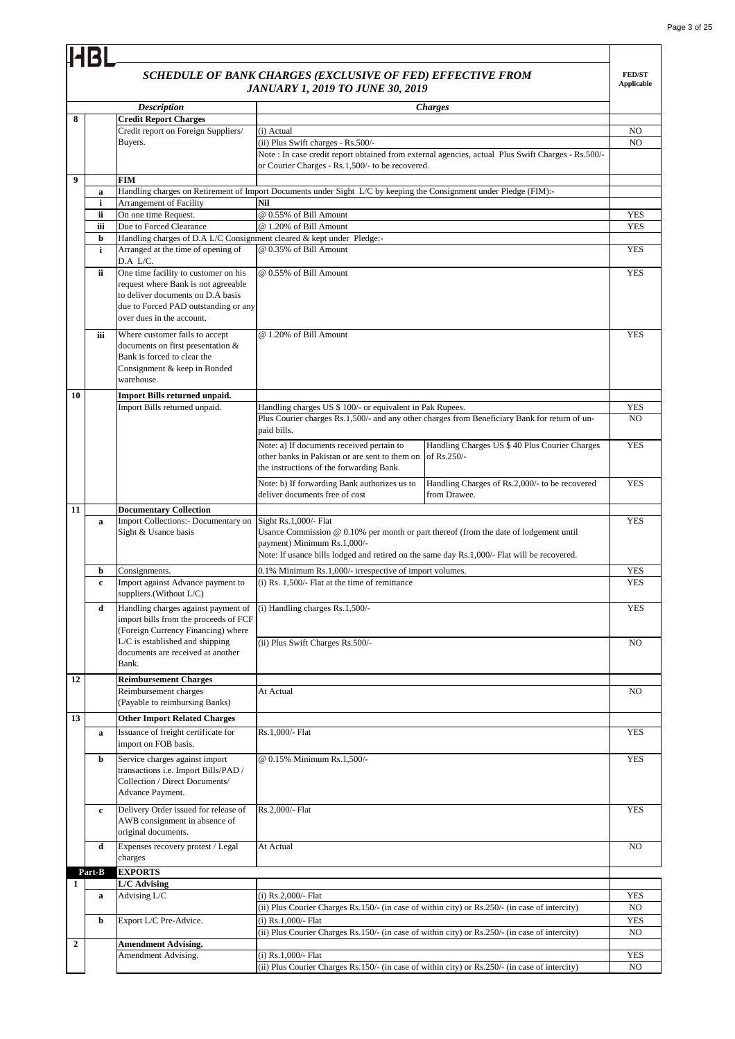# *SCHEDULE OF BANK CHARGES (EXCLUSIVE OF FED) EFFECTIVE FROM*

|              |             |                                                                       | SCHEDULE OF BANK CHARGES (EXCLUSIVE OF FED) EFFECTIVE FROM<br><b>JANUARY 1, 2019 TO JUNE 30, 2019</b>              |                                                                                                    | <b>FED/ST</b><br><b>Applicable</b> |
|--------------|-------------|-----------------------------------------------------------------------|--------------------------------------------------------------------------------------------------------------------|----------------------------------------------------------------------------------------------------|------------------------------------|
|              |             | <b>Description</b>                                                    |                                                                                                                    | <b>Charges</b>                                                                                     |                                    |
| 8            |             | <b>Credit Report Charges</b>                                          |                                                                                                                    |                                                                                                    |                                    |
|              |             | Credit report on Foreign Suppliers/                                   | (i) Actual                                                                                                         |                                                                                                    | N <sub>O</sub>                     |
|              |             | Buyers.                                                               | (ii) Plus Swift charges - Rs.500/-                                                                                 |                                                                                                    | NO                                 |
|              |             |                                                                       |                                                                                                                    | Note : In case credit report obtained from external agencies, actual Plus Swift Charges - Rs.500/- |                                    |
|              |             |                                                                       | or Courier Charges - Rs.1,500/- to be recovered.                                                                   |                                                                                                    |                                    |
| 9            |             | <b>FIM</b>                                                            |                                                                                                                    |                                                                                                    |                                    |
|              | a           |                                                                       | Handling charges on Retirement of Import Documents under Sight L/C by keeping the Consignment under Pledge (FIM):- |                                                                                                    |                                    |
|              | i           | Arrangement of Facility                                               | Nil                                                                                                                |                                                                                                    |                                    |
|              | ii<br>iii   | On one time Request.<br>Due to Forced Clearance                       | @ 0.55% of Bill Amount<br>@ 1.20% of Bill Amount                                                                   |                                                                                                    | <b>YES</b><br><b>YES</b>           |
|              | b           | Handling charges of D.A L/C Consignment cleared & kept under Pledge:- |                                                                                                                    |                                                                                                    |                                    |
|              | i           | Arranged at the time of opening of                                    | @ 0.35% of Bill Amount                                                                                             |                                                                                                    | <b>YES</b>                         |
|              |             | D.A L/C.                                                              |                                                                                                                    |                                                                                                    |                                    |
|              | ii          | One time facility to customer on his                                  | @ 0.55% of Bill Amount                                                                                             |                                                                                                    | <b>YES</b>                         |
|              |             | request where Bank is not agreeable                                   |                                                                                                                    |                                                                                                    |                                    |
|              |             | to deliver documents on D.A basis                                     |                                                                                                                    |                                                                                                    |                                    |
|              |             | due to Forced PAD outstanding or any                                  |                                                                                                                    |                                                                                                    |                                    |
|              |             | over dues in the account.                                             |                                                                                                                    |                                                                                                    |                                    |
|              | iii         | Where customer fails to accept                                        | @ 1.20% of Bill Amount                                                                                             |                                                                                                    | <b>YES</b>                         |
|              |             | documents on first presentation &                                     |                                                                                                                    |                                                                                                    |                                    |
|              |             | Bank is forced to clear the                                           |                                                                                                                    |                                                                                                    |                                    |
|              |             | Consignment & keep in Bonded<br>warehouse.                            |                                                                                                                    |                                                                                                    |                                    |
|              |             |                                                                       |                                                                                                                    |                                                                                                    |                                    |
| 10           |             | <b>Import Bills returned unpaid.</b>                                  |                                                                                                                    |                                                                                                    |                                    |
|              |             | Import Bills returned unpaid.                                         | Handling charges US \$ 100/- or equivalent in Pak Rupees.                                                          | Plus Courier charges Rs.1,500/- and any other charges from Beneficiary Bank for return of un-      | <b>YES</b><br>NO.                  |
|              |             |                                                                       | paid bills.                                                                                                        |                                                                                                    |                                    |
|              |             |                                                                       |                                                                                                                    |                                                                                                    |                                    |
|              |             |                                                                       | Note: a) If documents received pertain to                                                                          | Handling Charges US \$ 40 Plus Courier Charges                                                     | <b>YES</b>                         |
|              |             |                                                                       | other banks in Pakistan or are sent to them on of Rs.250/-<br>the instructions of the forwarding Bank.             |                                                                                                    |                                    |
|              |             |                                                                       |                                                                                                                    |                                                                                                    |                                    |
|              |             |                                                                       | Note: b) If forwarding Bank authorizes us to<br>deliver documents free of cost                                     | Handling Charges of Rs.2,000/- to be recovered<br>from Drawee.                                     | <b>YES</b>                         |
|              |             |                                                                       |                                                                                                                    |                                                                                                    |                                    |
| 11           |             | <b>Documentary Collection</b>                                         |                                                                                                                    |                                                                                                    | <b>YES</b>                         |
|              | $\bf{a}$    | Import Collections:- Documentary on<br>Sight & Usance basis           | Sight Rs.1,000/- Flat<br>Usance Commission $@$ 0.10% per month or part thereof (from the date of lodgement until   |                                                                                                    |                                    |
|              |             |                                                                       | payment) Minimum Rs.1,000/-                                                                                        |                                                                                                    |                                    |
|              |             |                                                                       | Note: If usance bills lodged and retired on the same day Rs.1,000/- Flat will be recovered.                        |                                                                                                    |                                    |
|              | b           | Consignments.                                                         | 0.1% Minimum Rs.1,000/- irrespective of import volumes.                                                            |                                                                                                    | <b>YES</b>                         |
|              | $\mathbf c$ | Import against Advance payment to                                     | $(i)$ Rs. 1,500/- Flat at the time of remittance                                                                   |                                                                                                    | <b>YES</b>                         |
|              |             | suppliers.(Without L/C)                                               |                                                                                                                    |                                                                                                    |                                    |
|              | d           | Handling charges against payment of                                   | (i) Handling charges Rs.1,500/-                                                                                    |                                                                                                    | <b>YES</b>                         |
|              |             | import bills from the proceeds of FCF                                 |                                                                                                                    |                                                                                                    |                                    |
|              |             | (Foreign Currency Financing) where                                    |                                                                                                                    |                                                                                                    |                                    |
|              |             | $L/C$ is established and shipping                                     | (ii) Plus Swift Charges Rs.500/-                                                                                   |                                                                                                    | NO.                                |
|              |             | documents are received at another                                     |                                                                                                                    |                                                                                                    |                                    |
|              |             | Bank.                                                                 |                                                                                                                    |                                                                                                    |                                    |
| 12           |             | <b>Reimbursement Charges</b>                                          |                                                                                                                    |                                                                                                    |                                    |
|              |             | Reimbursement charges                                                 | At Actual                                                                                                          |                                                                                                    | NO.                                |
|              |             | (Payable to reimbursing Banks)                                        |                                                                                                                    |                                                                                                    |                                    |
| 13           |             | <b>Other Import Related Charges</b>                                   |                                                                                                                    |                                                                                                    |                                    |
|              | a           | Issuance of freight certificate for                                   | Rs.1,000/- Flat                                                                                                    |                                                                                                    | <b>YES</b>                         |
|              |             | import on FOB basis.                                                  |                                                                                                                    |                                                                                                    |                                    |
|              | b           | Service charges against import                                        | @ 0.15% Minimum Rs.1,500/-                                                                                         |                                                                                                    | <b>YES</b>                         |
|              |             | transactions i.e. Import Bills/PAD /                                  |                                                                                                                    |                                                                                                    |                                    |
|              |             | Collection / Direct Documents/                                        |                                                                                                                    |                                                                                                    |                                    |
|              |             | Advance Payment.                                                      |                                                                                                                    |                                                                                                    |                                    |
|              | c           | Delivery Order issued for release of                                  | Rs.2,000/- Flat                                                                                                    |                                                                                                    | <b>YES</b>                         |
|              |             | AWB consignment in absence of                                         |                                                                                                                    |                                                                                                    |                                    |
|              |             | original documents.                                                   |                                                                                                                    |                                                                                                    |                                    |
|              | d           | Expenses recovery protest / Legal                                     | At Actual                                                                                                          |                                                                                                    | NO.                                |
|              |             | charges                                                               |                                                                                                                    |                                                                                                    |                                    |
|              | Part-B      | <b>EXPORTS</b>                                                        |                                                                                                                    |                                                                                                    |                                    |
| 1            |             | L/C Advising                                                          |                                                                                                                    |                                                                                                    |                                    |
|              | a           | Advising L/C                                                          | (i) Rs.2,000/- Flat                                                                                                |                                                                                                    | <b>YES</b>                         |
|              |             |                                                                       | (ii) Plus Courier Charges Rs.150/- (in case of within city) or Rs.250/- (in case of intercity)                     |                                                                                                    | NO.                                |
|              | b           | Export L/C Pre-Advice.                                                | (i) $Rs.1,000/-$ Flat                                                                                              |                                                                                                    | <b>YES</b>                         |
| $\mathbf{2}$ |             | <b>Amendment Advising.</b>                                            | (ii) Plus Courier Charges Rs.150/- (in case of within city) or Rs.250/- (in case of intercity)                     |                                                                                                    | NO                                 |
|              |             | Amendment Advising.                                                   | (i) Rs.1,000/- Flat                                                                                                |                                                                                                    | <b>YES</b>                         |
|              |             |                                                                       | (ii) Plus Courier Charges Rs.150/- (in case of within city) or Rs.250/- (in case of intercity)                     |                                                                                                    | NO.                                |
|              |             |                                                                       |                                                                                                                    |                                                                                                    |                                    |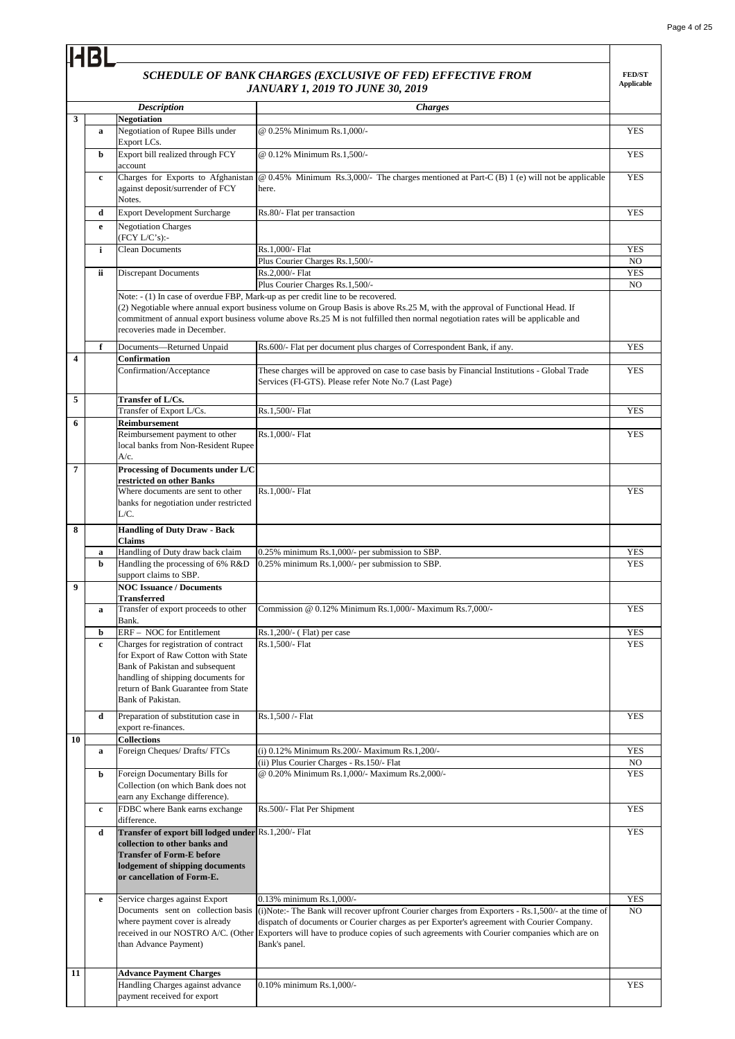# *SCHEDULE OF BANK CHARGES (EXCLUSIVE OF FED) EFFECTIVE FROM*

**HBL** 

|    |             |                                                                                                                                                                                                                  | SCHEDULE OF BANK CHARGES (EXCLUSIVE OF FED) EFFECTIVE FROM<br><b>JANUARY 1, 2019 TO JUNE 30, 2019</b>                                                                                                                                                                                                                                                                                   | <b>FED/ST</b><br><b>Applicable</b> |
|----|-------------|------------------------------------------------------------------------------------------------------------------------------------------------------------------------------------------------------------------|-----------------------------------------------------------------------------------------------------------------------------------------------------------------------------------------------------------------------------------------------------------------------------------------------------------------------------------------------------------------------------------------|------------------------------------|
|    |             | <b>Description</b>                                                                                                                                                                                               |                                                                                                                                                                                                                                                                                                                                                                                         |                                    |
| 3  |             | Negotiation                                                                                                                                                                                                      | <b>Charges</b>                                                                                                                                                                                                                                                                                                                                                                          |                                    |
|    | a           | Negotiation of Rupee Bills under<br>Export LCs.                                                                                                                                                                  | @ 0.25% Minimum Rs.1,000/-                                                                                                                                                                                                                                                                                                                                                              | <b>YES</b>                         |
|    | b           | Export bill realized through FCY<br>account                                                                                                                                                                      | @ 0.12% Minimum Rs.1,500/-                                                                                                                                                                                                                                                                                                                                                              | <b>YES</b>                         |
|    | $\mathbf c$ | against deposit/surrender of FCY<br>Notes.                                                                                                                                                                       | Charges for Exports to Afghanistan $\phi$ 0.45% Minimum Rs.3,000/- The charges mentioned at Part-C (B) 1 (e) will not be applicable<br>here.                                                                                                                                                                                                                                            | <b>YES</b>                         |
|    | d           | <b>Export Development Surcharge</b>                                                                                                                                                                              | Rs.80/- Flat per transaction                                                                                                                                                                                                                                                                                                                                                            | <b>YES</b>                         |
|    | e           | <b>Negotiation Charges</b>                                                                                                                                                                                       |                                                                                                                                                                                                                                                                                                                                                                                         |                                    |
|    |             | (FCY L/C's):                                                                                                                                                                                                     |                                                                                                                                                                                                                                                                                                                                                                                         | <b>YES</b>                         |
|    | i           | <b>Clean Documents</b>                                                                                                                                                                                           | Rs.1,000/- Flat<br>Plus Courier Charges Rs.1,500/-                                                                                                                                                                                                                                                                                                                                      | NO.                                |
|    | ii          | <b>Discrepant Documents</b>                                                                                                                                                                                      | Rs.2,000/- Flat                                                                                                                                                                                                                                                                                                                                                                         | <b>YES</b>                         |
|    |             |                                                                                                                                                                                                                  | Plus Courier Charges Rs.1,500/-                                                                                                                                                                                                                                                                                                                                                         | NO                                 |
|    |             | recoveries made in December.                                                                                                                                                                                     | Note: - (1) In case of overdue FBP, Mark-up as per credit line to be recovered.<br>(2) Negotiable where annual export business volume on Group Basis is above Rs.25 M, with the approval of Functional Head. If<br>commitment of annual export business volume above Rs.25 M is not fulfilled then normal negotiation rates will be applicable and                                      |                                    |
|    | f           | Documents-Returned Unpaid                                                                                                                                                                                        | Rs.600/- Flat per document plus charges of Correspondent Bank, if any.                                                                                                                                                                                                                                                                                                                  | <b>YES</b>                         |
| 4  |             | Confirmation<br>Confirmation/Acceptance                                                                                                                                                                          | These charges will be approved on case to case basis by Financial Institutions - Global Trade                                                                                                                                                                                                                                                                                           | <b>YES</b>                         |
|    |             |                                                                                                                                                                                                                  | Services (FI-GTS). Please refer Note No.7 (Last Page)                                                                                                                                                                                                                                                                                                                                   |                                    |
| 5  |             | Transfer of L/Cs.<br>Transfer of Export L/Cs.                                                                                                                                                                    | Rs.1,500/- Flat                                                                                                                                                                                                                                                                                                                                                                         | <b>YES</b>                         |
| 6  |             | Reimbursement                                                                                                                                                                                                    |                                                                                                                                                                                                                                                                                                                                                                                         |                                    |
|    |             | Reimbursement payment to other<br>local banks from Non-Resident Rupee<br>$A/c$ .                                                                                                                                 | Rs.1,000/- Flat                                                                                                                                                                                                                                                                                                                                                                         | YES                                |
| 7  |             | Processing of Documents under L/C                                                                                                                                                                                |                                                                                                                                                                                                                                                                                                                                                                                         |                                    |
|    |             | restricted on other Banks<br>Where documents are sent to other                                                                                                                                                   | Rs.1,000/- Flat                                                                                                                                                                                                                                                                                                                                                                         | <b>YES</b>                         |
|    |             | banks for negotiation under restricted<br>L/C.                                                                                                                                                                   |                                                                                                                                                                                                                                                                                                                                                                                         |                                    |
| 8  |             | <b>Handling of Duty Draw - Back</b><br>Claims                                                                                                                                                                    |                                                                                                                                                                                                                                                                                                                                                                                         |                                    |
|    | a<br>b      | Handling of Duty draw back claim<br>Handling the processing of 6% R&D<br>support claims to SBP.                                                                                                                  | 0.25% minimum Rs.1,000/- per submission to SBP.<br>0.25% minimum Rs.1,000/- per submission to SBP.                                                                                                                                                                                                                                                                                      | <b>YES</b><br><b>YES</b>           |
| 9  |             | <b>NOC Issuance / Documents</b><br>Transferred                                                                                                                                                                   |                                                                                                                                                                                                                                                                                                                                                                                         |                                    |
|    | a           | Transfer of export proceeds to other<br>Bank.                                                                                                                                                                    | Commission @ 0.12% Minimum Rs.1,000/- Maximum Rs.7,000/-                                                                                                                                                                                                                                                                                                                                | <b>YES</b>                         |
|    | b           | ERF - NOC for Entitlement                                                                                                                                                                                        | $Rs.1,200/(-$ (Flat) per case                                                                                                                                                                                                                                                                                                                                                           | <b>YES</b>                         |
|    | $\mathbf c$ | Charges for registration of contract<br>for Export of Raw Cotton with State<br>Bank of Pakistan and subsequent<br>handling of shipping documents for<br>return of Bank Guarantee from State<br>Bank of Pakistan. | Rs.1,500/- Flat                                                                                                                                                                                                                                                                                                                                                                         | <b>YES</b>                         |
|    | d           | Preparation of substitution case in<br>export re-finances.                                                                                                                                                       | Rs.1,500 /- Flat                                                                                                                                                                                                                                                                                                                                                                        | <b>YES</b>                         |
| 10 |             | <b>Collections</b><br>Foreign Cheques/ Drafts/ FTCs                                                                                                                                                              | (i) 0.12% Minimum Rs.200/- Maximum Rs.1,200/-                                                                                                                                                                                                                                                                                                                                           | YES                                |
|    | a           |                                                                                                                                                                                                                  | (ii) Plus Courier Charges - Rs.150/- Flat                                                                                                                                                                                                                                                                                                                                               | NO                                 |
|    | b           | Foreign Documentary Bills for<br>Collection (on which Bank does not<br>earn any Exchange difference).                                                                                                            | @ 0.20% Minimum Rs.1,000/- Maximum Rs.2,000/-                                                                                                                                                                                                                                                                                                                                           | <b>YES</b>                         |
|    | $\mathbf c$ | FDBC where Bank earns exchange<br>difference.                                                                                                                                                                    | Rs.500/- Flat Per Shipment                                                                                                                                                                                                                                                                                                                                                              | <b>YES</b>                         |
|    | d           | Transfer of export bill lodged under Rs.1,200/- Flat                                                                                                                                                             |                                                                                                                                                                                                                                                                                                                                                                                         | <b>YES</b>                         |
|    |             | collection to other banks and<br><b>Transfer of Form-E before</b><br>lodgement of shipping documents<br>or cancellation of Form-E.                                                                               |                                                                                                                                                                                                                                                                                                                                                                                         |                                    |
|    | e           | Service charges against Export                                                                                                                                                                                   | 0.13% minimum Rs.1,000/-                                                                                                                                                                                                                                                                                                                                                                | <b>YES</b>                         |
|    |             | where payment cover is already<br>than Advance Payment)                                                                                                                                                          | Documents sent on collection basis (i)Note:- The Bank will recover upfront Courier charges from Exporters - Rs.1,500/- at the time of<br>dispatch of documents or Courier charges as per Exporter's agreement with Courier Company.<br>received in our NOSTRO A/C. (Other Exporters will have to produce copies of such agreements with Courier companies which are on<br>Bank's panel. | NO.                                |
| 11 |             | <b>Advance Payment Charges</b>                                                                                                                                                                                   |                                                                                                                                                                                                                                                                                                                                                                                         |                                    |
|    |             | Handling Charges against advance<br>payment received for export                                                                                                                                                  | 0.10% minimum Rs.1,000/-                                                                                                                                                                                                                                                                                                                                                                | <b>YES</b>                         |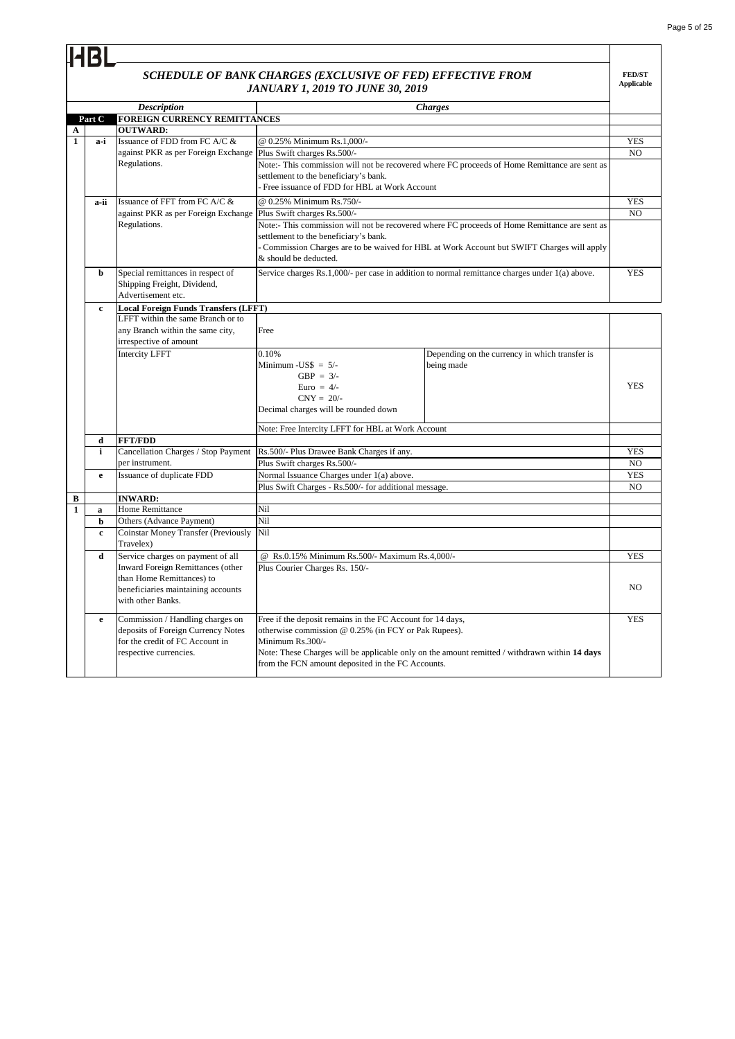**FED/ST Applicable**

## *SCHEDULE OF BANK CHARGES (EXCLUSIVE OF FED) EFFECTIVE FROM JANUARY 1, 2019 TO JUNE 30, 2019*

|              |                   |                                                                   | JAINUAKI 1, 2019 IO JUINE 30, 2019                                                             |                |
|--------------|-------------------|-------------------------------------------------------------------|------------------------------------------------------------------------------------------------|----------------|
|              |                   | <b>Description</b>                                                | <b>Charges</b>                                                                                 |                |
|              | Part C            | FOREIGN CURRENCY REMITTANCES                                      |                                                                                                |                |
| A            |                   | <b>OUTWARD:</b>                                                   |                                                                                                |                |
| $\mathbf{1}$ | a-i               | Issuance of FDD from FC A/C &                                     | @ 0.25% Minimum Rs.1,000/-                                                                     | <b>YES</b>     |
|              |                   | against PKR as per Foreign Exchange   Plus Swift charges Rs.500/- |                                                                                                | NO.            |
|              |                   | Regulations.                                                      | Note:- This commission will not be recovered where FC proceeds of Home Remittance are sent as  |                |
|              |                   |                                                                   | settlement to the beneficiary's bank.                                                          |                |
|              |                   |                                                                   | Free issuance of FDD for HBL at Work Account                                                   |                |
|              | a-ii              | Issuance of FFT from FC A/C &                                     | @ 0.25% Minimum Rs.750/-                                                                       | <b>YES</b>     |
|              |                   | against PKR as per Foreign Exchange                               | Plus Swift charges Rs.500/-                                                                    | NO             |
|              |                   | Regulations.                                                      | Note:- This commission will not be recovered where FC proceeds of Home Remittance are sent as  |                |
|              |                   |                                                                   | settlement to the beneficiary's bank.                                                          |                |
|              |                   |                                                                   | - Commission Charges are to be waived for HBL at Work Account but SWIFT Charges will apply     |                |
|              |                   |                                                                   | & should be deducted.                                                                          |                |
|              | b                 | Special remittances in respect of                                 | Service charges Rs.1,000/- per case in addition to normal remittance charges under 1(a) above. | <b>YES</b>     |
|              |                   | Shipping Freight, Dividend,                                       |                                                                                                |                |
|              |                   | Advertisement etc.                                                |                                                                                                |                |
|              | $\mathbf{c}$      | <b>Local Foreign Funds Transfers (LFFT)</b>                       |                                                                                                |                |
|              |                   | LFFT within the same Branch or to                                 |                                                                                                |                |
|              |                   | any Branch within the same city,                                  | Free                                                                                           |                |
|              |                   | irrespective of amount                                            |                                                                                                |                |
|              |                   | <b>Intercity LFFT</b>                                             | 0.10%<br>Depending on the currency in which transfer is                                        |                |
|              |                   |                                                                   | Minimum - $\text{USS} = 5$ /-<br>being made                                                    |                |
|              |                   |                                                                   | GBP = $3/-$                                                                                    |                |
|              |                   |                                                                   | Euro = $4/-$                                                                                   | <b>YES</b>     |
|              |                   |                                                                   | $CNY = 20/$ -                                                                                  |                |
|              |                   |                                                                   | Decimal charges will be rounded down                                                           |                |
|              |                   |                                                                   |                                                                                                |                |
|              |                   | <b>FFT/FDD</b>                                                    | Note: Free Intercity LFFT for HBL at Work Account                                              |                |
|              | d<br>$\mathbf{i}$ | Cancellation Charges / Stop Payment                               | Rs.500/- Plus Drawee Bank Charges if any.                                                      | <b>YES</b>     |
|              |                   | per instrument.                                                   | Plus Swift charges Rs.500/-                                                                    | NO             |
|              |                   | Issuance of duplicate FDD                                         | Normal Issuance Charges under 1(a) above.                                                      | <b>YES</b>     |
|              | e                 |                                                                   | Plus Swift Charges - Rs.500/- for additional message.                                          | N <sub>O</sub> |
| B            |                   | <b>INWARD:</b>                                                    |                                                                                                |                |
| $\mathbf{1}$ | a                 | <b>Home Remittance</b>                                            | Nil                                                                                            |                |
|              | b                 | Others (Advance Payment)                                          | Nil                                                                                            |                |
|              | $\mathbf{c}$      | <b>Coinstar Money Transfer (Previously</b>                        | Nil                                                                                            |                |
|              |                   | Travelex)                                                         |                                                                                                |                |
|              | d                 | Service charges on payment of all                                 | @ Rs.0.15% Minimum Rs.500/- Maximum Rs.4,000/-                                                 | <b>YES</b>     |
|              |                   | <b>Inward Foreign Remittances (other</b>                          | Plus Courier Charges Rs. 150/-                                                                 |                |
|              |                   | than Home Remittances) to                                         |                                                                                                |                |
|              |                   | beneficiaries maintaining accounts                                |                                                                                                | NO.            |
|              |                   | with other Banks.                                                 |                                                                                                |                |
|              |                   |                                                                   |                                                                                                |                |
|              | e                 | Commission / Handling charges on                                  | Free if the deposit remains in the FC Account for 14 days,                                     | <b>YES</b>     |
|              |                   | deposits of Foreign Currency Notes                                | otherwise commission @ 0.25% (in FCY or Pak Rupees).                                           |                |
|              |                   | for the credit of FC Account in                                   | Minimum Rs.300/-                                                                               |                |
|              |                   | respective currencies.                                            | Note: These Charges will be applicable only on the amount remitted / withdrawn within 14 days  |                |
|              |                   |                                                                   | from the FCN amount deposited in the FC Accounts.                                              |                |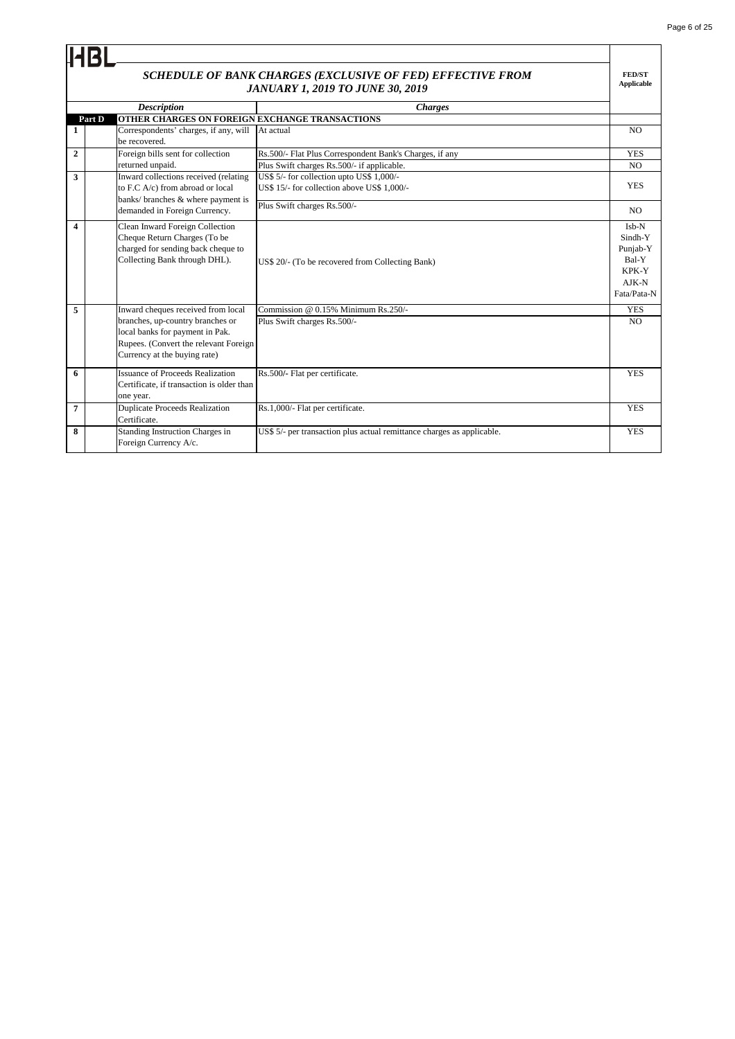| Page 6 of 25 |  |  |
|--------------|--|--|
|              |  |  |

|                  |                                                                                                                                              | SCHEDULE OF BANK CHARGES (EXCLUSIVE OF FED) EFFECTIVE FROM                               | <b>FED/ST</b><br><b>Applicable</b>                                         |
|------------------|----------------------------------------------------------------------------------------------------------------------------------------------|------------------------------------------------------------------------------------------|----------------------------------------------------------------------------|
|                  |                                                                                                                                              | <b>JANUARY 1, 2019 TO JUNE 30, 2019</b>                                                  |                                                                            |
|                  | <b>Description</b><br>OTHER CHARGES ON FOREIGN EXCHANGE TRANSACTIONS<br>Part D                                                               | <b>Charges</b>                                                                           |                                                                            |
| 1                | Correspondents' charges, if any, will<br>be recovered.                                                                                       | At actual                                                                                | N <sub>O</sub>                                                             |
| $\mathbf{2}$     | Foreign bills sent for collection                                                                                                            | Rs.500/- Flat Plus Correspondent Bank's Charges, if any                                  | <b>YES</b>                                                                 |
|                  | returned unpaid.                                                                                                                             | Plus Swift charges Rs.500/- if applicable.                                               | NO.                                                                        |
| 3                | Inward collections received (relating<br>to F.C A/c) from abroad or local<br>banks/ branches & where payment is                              | US\$ 5/- for collection upto US\$ 1,000/-<br>US\$ 15/- for collection above US\$ 1.000/- | <b>YES</b>                                                                 |
|                  | demanded in Foreign Currency.                                                                                                                | Plus Swift charges Rs.500/-                                                              | NO.                                                                        |
| $\boldsymbol{4}$ | Clean Inward Foreign Collection<br>Cheque Return Charges (To be<br>charged for sending back cheque to<br>Collecting Bank through DHL).       | US\$ 20/- (To be recovered from Collecting Bank)                                         | $Ish-N$<br>Sindh-Y<br>Punjab-Y<br>Bal-Y<br>KPK-Y<br>$AJK-N$<br>Fata/Pata-N |
| 5                | Inward cheques received from local                                                                                                           | Commission @ $0.15\%$ Minimum Rs.250/-                                                   | <b>YES</b>                                                                 |
|                  | branches, up-country branches or<br>local banks for payment in Pak.<br>Rupees. (Convert the relevant Foreign<br>Currency at the buying rate) | Plus Swift charges Rs.500/-                                                              | N <sub>O</sub>                                                             |
| 6                | <b>Issuance of Proceeds Realization</b><br>Certificate, if transaction is older than<br>one year.                                            | Rs.500/- Flat per certificate.                                                           | <b>YES</b>                                                                 |
| 7                | <b>Duplicate Proceeds Realization</b><br>Certificate.                                                                                        | Rs.1,000/- Flat per certificate.                                                         | <b>YES</b>                                                                 |
| 8                | Standing Instruction Charges in<br>Foreign Currency A/c.                                                                                     | US\$ 5/- per transaction plus actual remittance charges as applicable.                   | <b>YES</b>                                                                 |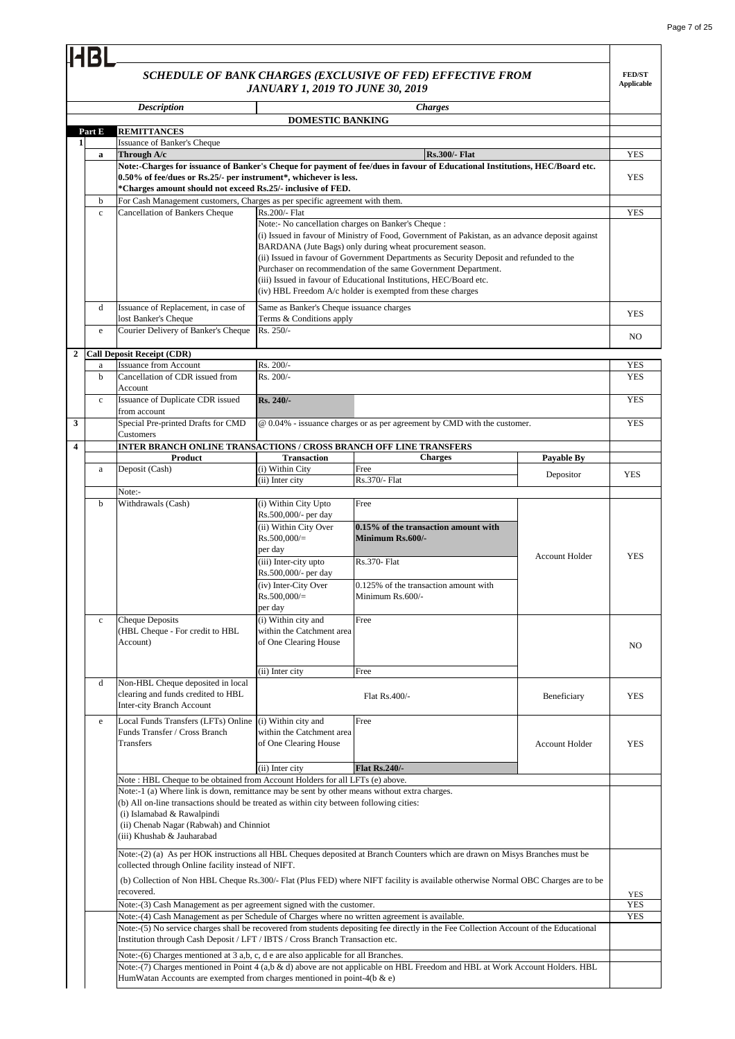**FED/ST Applicable**

### *SCHEDULE OF BANK CHARGES (EXCLUSIVE OF FED) EFFECTIVE FROM JANUARY 1, 2019 TO JUNE 30, 2019*

**HBL** 

|              |              | <b>Description</b>                                                                                                                                                                                                                                                                                                                                                             | <i>JAN CARLE 1, 2017 TO JOINS 30,</i>                                                              | <b>Charges</b>                                                                                                                                                                                                                                                                                                                                                                                                                                                |                       |             |
|--------------|--------------|--------------------------------------------------------------------------------------------------------------------------------------------------------------------------------------------------------------------------------------------------------------------------------------------------------------------------------------------------------------------------------|----------------------------------------------------------------------------------------------------|---------------------------------------------------------------------------------------------------------------------------------------------------------------------------------------------------------------------------------------------------------------------------------------------------------------------------------------------------------------------------------------------------------------------------------------------------------------|-----------------------|-------------|
|              |              |                                                                                                                                                                                                                                                                                                                                                                                | <b>DOMESTIC BANKING</b>                                                                            |                                                                                                                                                                                                                                                                                                                                                                                                                                                               |                       |             |
|              | Part E       | <b>REMITTANCES</b>                                                                                                                                                                                                                                                                                                                                                             |                                                                                                    |                                                                                                                                                                                                                                                                                                                                                                                                                                                               |                       |             |
| 1            |              | <b>Issuance of Banker's Cheque</b>                                                                                                                                                                                                                                                                                                                                             |                                                                                                    |                                                                                                                                                                                                                                                                                                                                                                                                                                                               |                       |             |
|              | a            | Through A/c                                                                                                                                                                                                                                                                                                                                                                    |                                                                                                    | <b>Rs.300/- Flat</b>                                                                                                                                                                                                                                                                                                                                                                                                                                          |                       | <b>YES</b>  |
|              |              | 0.50% of fee/dues or Rs.25/- per instrument*, whichever is less.<br>*Charges amount should not exceed Rs.25/- inclusive of FED.                                                                                                                                                                                                                                                |                                                                                                    | Note:-Charges for issuance of Banker's Cheque for payment of fee/dues in favour of Educational Institutions, HEC/Board etc.                                                                                                                                                                                                                                                                                                                                   |                       | <b>YES</b>  |
|              | b            | For Cash Management customers, Charges as per specific agreement with them.                                                                                                                                                                                                                                                                                                    |                                                                                                    |                                                                                                                                                                                                                                                                                                                                                                                                                                                               |                       |             |
|              | $\mathbf c$  | <b>Cancellation of Bankers Cheque</b>                                                                                                                                                                                                                                                                                                                                          | Rs.200/- Flat<br>Note:- No cancellation charges on Banker's Cheque :                               | (i) Issued in favour of Ministry of Food, Government of Pakistan, as an advance deposit against<br>BARDANA (Jute Bags) only during wheat procurement season.<br>(ii) Issued in favour of Government Departments as Security Deposit and refunded to the<br>Purchaser on recommendation of the same Government Department.<br>(iii) Issued in favour of Educational Institutions, HEC/Board etc.<br>(iv) HBL Freedom A/c holder is exempted from these charges |                       | <b>YES</b>  |
|              | d            | Issuance of Replacement, in case of                                                                                                                                                                                                                                                                                                                                            | Same as Banker's Cheque issuance charges                                                           |                                                                                                                                                                                                                                                                                                                                                                                                                                                               |                       | <b>YES</b>  |
|              |              | lost Banker's Cheque                                                                                                                                                                                                                                                                                                                                                           | Terms & Conditions apply                                                                           |                                                                                                                                                                                                                                                                                                                                                                                                                                                               |                       |             |
|              | e            | Courier Delivery of Banker's Cheque                                                                                                                                                                                                                                                                                                                                            | Rs. 250/-                                                                                          |                                                                                                                                                                                                                                                                                                                                                                                                                                                               |                       | NO.         |
| $\mathbf{2}$ |              | <b>Call Deposit Receipt (CDR)</b>                                                                                                                                                                                                                                                                                                                                              |                                                                                                    |                                                                                                                                                                                                                                                                                                                                                                                                                                                               |                       |             |
|              | a            | <b>Issuance from Account</b>                                                                                                                                                                                                                                                                                                                                                   | Rs. 200/-                                                                                          |                                                                                                                                                                                                                                                                                                                                                                                                                                                               |                       | YES         |
|              | b            | Cancellation of CDR issued from<br>Account                                                                                                                                                                                                                                                                                                                                     | Rs. 200/-                                                                                          |                                                                                                                                                                                                                                                                                                                                                                                                                                                               |                       | <b>YES</b>  |
|              | $\mathbf{c}$ | Issuance of Duplicate CDR issued<br>from account                                                                                                                                                                                                                                                                                                                               | Rs. 240/-                                                                                          |                                                                                                                                                                                                                                                                                                                                                                                                                                                               |                       | <b>YES</b>  |
| 3            |              | Special Pre-printed Drafts for CMD<br>Customers                                                                                                                                                                                                                                                                                                                                |                                                                                                    | @ 0.04% - issuance charges or as per agreement by CMD with the customer.                                                                                                                                                                                                                                                                                                                                                                                      |                       | <b>YES</b>  |
| 4            |              | INTER BRANCH ONLINE TRANSACTIONS / CROSS BRANCH OFF LINE TRANSFERS                                                                                                                                                                                                                                                                                                             |                                                                                                    |                                                                                                                                                                                                                                                                                                                                                                                                                                                               |                       |             |
|              |              | Product                                                                                                                                                                                                                                                                                                                                                                        | <b>Transaction</b>                                                                                 | <b>Charges</b>                                                                                                                                                                                                                                                                                                                                                                                                                                                | <b>Payable By</b>     |             |
|              | a            | Deposit (Cash)                                                                                                                                                                                                                                                                                                                                                                 | (i) Within City<br>(ii) Inter city                                                                 | Free<br>Rs.370/- Flat                                                                                                                                                                                                                                                                                                                                                                                                                                         | Depositor             | <b>YES</b>  |
|              |              | Note:-                                                                                                                                                                                                                                                                                                                                                                         |                                                                                                    |                                                                                                                                                                                                                                                                                                                                                                                                                                                               |                       |             |
|              | b            | Withdrawals (Cash)                                                                                                                                                                                                                                                                                                                                                             | (i) Within City Upto<br>Rs.500,000/- per day<br>(ii) Within City Over<br>$Rs.500,000/=$<br>per day | Free<br>0.15% of the transaction amount with<br>Minimum Rs.600/-                                                                                                                                                                                                                                                                                                                                                                                              |                       |             |
|              |              |                                                                                                                                                                                                                                                                                                                                                                                | (iii) Inter-city upto<br>Rs.500,000/- per day                                                      | <b>Rs.370- Flat</b>                                                                                                                                                                                                                                                                                                                                                                                                                                           | <b>Account Holder</b> | <b>YES</b>  |
|              |              |                                                                                                                                                                                                                                                                                                                                                                                | (iv) Inter-City Over<br>$Rs.500,000/=$<br>per day                                                  | 0.125% of the transaction amount with<br>Minimum Rs.600/-                                                                                                                                                                                                                                                                                                                                                                                                     |                       |             |
|              | $\mathbf c$  | <b>Cheque Deposits</b><br>(HBL Cheque - For credit to HBL<br>Account)                                                                                                                                                                                                                                                                                                          | (i) Within city and<br>within the Catchment area<br>of One Clearing House                          | Free                                                                                                                                                                                                                                                                                                                                                                                                                                                          |                       | $_{\rm NO}$ |
|              |              |                                                                                                                                                                                                                                                                                                                                                                                | (ii) Inter city                                                                                    | Free                                                                                                                                                                                                                                                                                                                                                                                                                                                          |                       |             |
|              | d            | Non-HBL Cheque deposited in local<br>clearing and funds credited to HBL<br>Inter-city Branch Account                                                                                                                                                                                                                                                                           |                                                                                                    | Flat Rs.400/-                                                                                                                                                                                                                                                                                                                                                                                                                                                 | Beneficiary           | YES         |
|              | $\mathbf e$  | Local Funds Transfers (LFTs) Online (i) Within city and<br>Funds Transfer / Cross Branch<br>Transfers                                                                                                                                                                                                                                                                          | within the Catchment area<br>of One Clearing House                                                 | Free                                                                                                                                                                                                                                                                                                                                                                                                                                                          | <b>Account Holder</b> | YES         |
|              |              |                                                                                                                                                                                                                                                                                                                                                                                | (ii) Inter city                                                                                    | <b>Flat Rs.240/-</b>                                                                                                                                                                                                                                                                                                                                                                                                                                          |                       |             |
|              |              | Note: HBL Cheque to be obtained from Account Holders for all LFTs (e) above.<br>Note:-1 (a) Where link is down, remittance may be sent by other means without extra charges.<br>(b) All on-line transactions should be treated as within city between following cities:<br>(i) Islamabad & Rawalpindi<br>(ii) Chenab Nagar (Rabwah) and Chinniot<br>(iii) Khushab & Jauharabad |                                                                                                    |                                                                                                                                                                                                                                                                                                                                                                                                                                                               |                       |             |
|              |              | collected through Online facility instead of NIFT.                                                                                                                                                                                                                                                                                                                             |                                                                                                    | Note:-(2) (a) As per HOK instructions all HBL Cheques deposited at Branch Counters which are drawn on Misys Branches must be                                                                                                                                                                                                                                                                                                                                  |                       |             |
|              |              | recovered.                                                                                                                                                                                                                                                                                                                                                                     |                                                                                                    | (b) Collection of Non HBL Cheque Rs.300/- Flat (Plus FED) where NIFT facility is available otherwise Normal OBC Charges are to be                                                                                                                                                                                                                                                                                                                             |                       | YES         |
|              |              | Note:-(3) Cash Management as per agreement signed with the customer.                                                                                                                                                                                                                                                                                                           |                                                                                                    |                                                                                                                                                                                                                                                                                                                                                                                                                                                               |                       | <b>YES</b>  |
|              |              | Note:-(4) Cash Management as per Schedule of Charges where no written agreement is available.<br>Institution through Cash Deposit / LFT / IBTS / Cross Branch Transaction etc.                                                                                                                                                                                                 |                                                                                                    | Note:-(5) No service charges shall be recovered from students depositing fee directly in the Fee Collection Account of the Educational                                                                                                                                                                                                                                                                                                                        |                       | YES         |
|              |              | Note:-(6) Charges mentioned at 3 a,b, c, d e are also applicable for all Branches.                                                                                                                                                                                                                                                                                             |                                                                                                    |                                                                                                                                                                                                                                                                                                                                                                                                                                                               |                       |             |
|              |              | HumWatan Accounts are exempted from charges mentioned in point-4(b & e)                                                                                                                                                                                                                                                                                                        |                                                                                                    | Note:-(7) Charges mentioned in Point 4 (a,b & d) above are not applicable on HBL Freedom and HBL at Work Account Holders. HBL                                                                                                                                                                                                                                                                                                                                 |                       |             |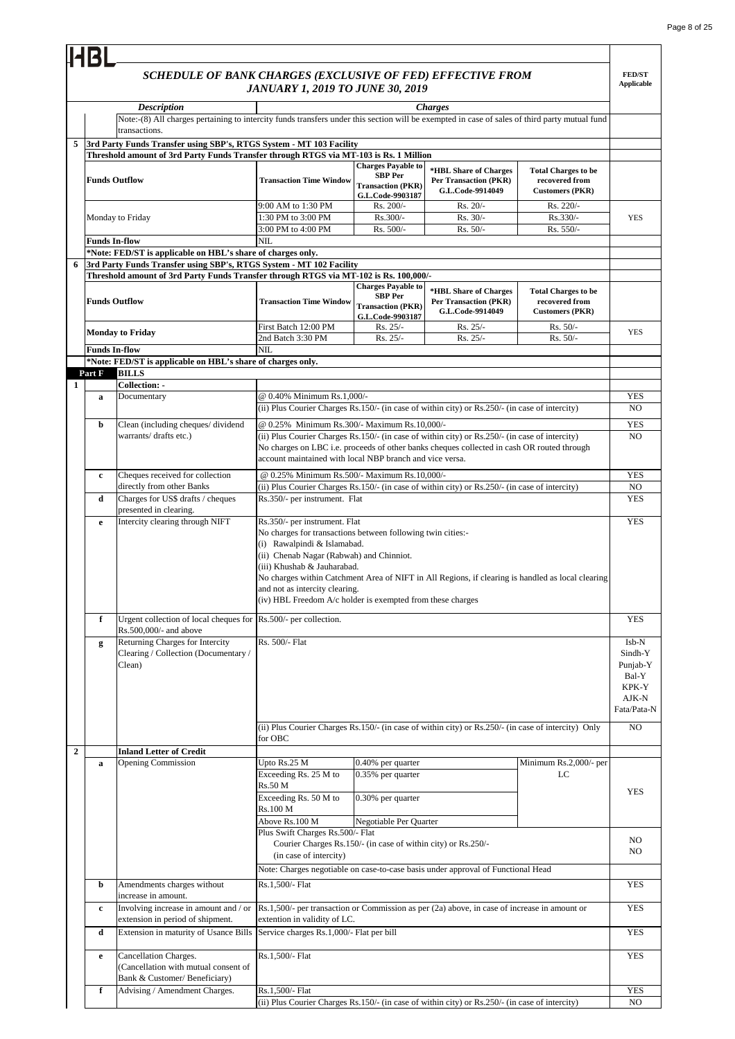#### **FED/ST Applicable** *SCHEDULE OF BANK CHARGES (EXCLUSIVE OF FED) EFFECTIVE FROM JANUARY 1, 2019 TO JUNE 30, 2019 Description Charges* **Transaction Time Window Charges Payable to SBP Per Transaction (PKR) G.L.Code-9903187 \*HBL Share of Charges Per Transaction (PKR) G.L.Code-9914049 Total Charges to be recovered from Customers (PKR)** 9:00 AM to 1:30 PM Rs. 200/- Rs. 200/- Rs. 20/- Rs. 220/-1:30 PM to 3:00 PM Rs.300/- Rs.30/- Rs.30/- Rs.330/- $3:00 \text{ PM}$  to  $4:00 \text{ PM}$  Rs.  $500/-\text{Rs.}$  500/- Rs.  $50/-\text{Rs.}$  550/-**Transaction Time Window Charges Payable to SBP Per Transaction (PKR) G.L.Code-9903187 \*HBL Share of Charges Per Transaction (PKR) G.L.Code-9914049 Total Charges to be recovered from Customers (PKR)** First Batch 12:00 PM Rs.  $25/-$  Rs. 25/- Rs. 25/- Rs. 50/-2nd Batch 3:30 PM Rs. 25/- Rs. 25/- Rs. 25/- Rs. 50/-**Collection: -** YES NO YES NO YES NO **d** Charges for US\$ drafts / cheques presented in clearing. **YES e** Intercity clearing through NIFT Rs.350/- per instrument. Flat YES **f** Urgent collection of local cheques for Rs.500/- per collection. Rs.500,000/- and above YES Isb-N Sindh-Y Punjab-Y Bal-Y KPK-Y AJK-N Fata/Pata-N NO **Inland Letter of Credit** Upto Rs.25 M Exceeding Rs. 25 M to Rs.50 M Exceeding Rs. 50 M to Rs.100 M Above Rs.100 M  $N<sub>O</sub>$ NO **b Amendments charges without** increase in amount. YES **c** Involving increase in amount and / or extension in period of shipment. YES **d** Extension in maturity of Usance Bills Service charges Rs.1,000/- Flat per bill YES **e** Cancellation Charges (Cancellation with mutual consent of Bank & Customer/ Beneficiary) **YES** YES NO **2** Rs.1,500/- Flat **f** Advising / Amendment Charges. Rs.1,500/- Flat (ii) Plus Courier Charges Rs.150/- (in case of within city) or Rs.250/- (in case of intercity) YES **a Opening Commission b Upto Rs.25 M 0.40% per quarter** Minimum Rs.2,000/- per  $L^C$ 0.30% per quarter Negotiable Per Quarter Plus Swift Charges Rs.500/- Flat Courier Charges Rs.150/- (in case of within city) or Rs.250/- (in case of intercity) Note: Charges negotiable on case-to-case basis under approval of Functional Head Rs.1,500/- per transaction or Commission as per (2a) above, in case of increase in amount or extention in validity of LC. **g** Returning Charges for Intercity Clearing / Collection (Documentary / Clean) Rs. 500/- Flat (ii) Plus Courier Charges Rs.150/- (in case of within city) or Rs.250/- (in case of intercity) Only for OBC 0.35% per quarter Rs.1,500/- Flat Rs.350/- per instrument. Flat Rs.350/- per instrument. Flat No charges for transactions between following twin cities:- (i) Rawalpindi & Islamabad. (ii) Chenab Nagar (Rabwah) and Chinniot. (iii) Khushab & Jauharabad. No charges within Catchment Area of NIFT in All Regions, if clearing is handled as local clearing and not as intercity clearing. (iv) HBL Freedom A/c holder is exempted from these charges **1 a** Documentary **a**  $\omega$  0.40% Minimum Rs.1,000/ (ii) Plus Courier Charges Rs.150/- (in case of within city) or Rs.250/- (in case of intercity) **b** Clean (including cheques/ dividend warrants/ drafts etc.) @ 0.25% Minimum Rs.300/- Maximum Rs.10,000/- (ii) Plus Courier Charges Rs.150/- (in case of within city) or Rs.250/- (in case of intercity) No charges on LBC i.e. proceeds of other banks cheques collected in cash OR routed through account maintained with local NBP branch and vice versa. Cheques received for collection directly from other Banks @ 0.25% Minimum Rs.500/- Maximum Rs.10,000/- (ii) Plus Courier Charges Rs.150/- (in case of within city) or Rs.250/- (in case of intercity) NIL **\*Note: FED/ST is applicable on HBL's share of charges only. Part F BILLS 6 3rd Party Funds Transfer using SBP's, RTGS System - MT 102 Facility Threshold amount of 3rd Party Funds Transfer through RTGS via MT-102 is Rs. 100,000/- Funds Outflow Monday to Friday** Note:-(8) All charges pertaining to intercity funds transfers under this section will be exempted in case of sales of third party mutual fund transactions. **3rd Party Funds Transfer using SBP's, RTGS System - MT 103 Facility 5 Threshold amount of 3rd Party Funds Transfer through RTGS via MT-103 is Rs. 1 Million** YES YES **Funds In-flow** NIL **\*Note: FED/ST is applicable on HBL's share of charges only. Funds Outflow** Monday to Friday **Funds In-flow c**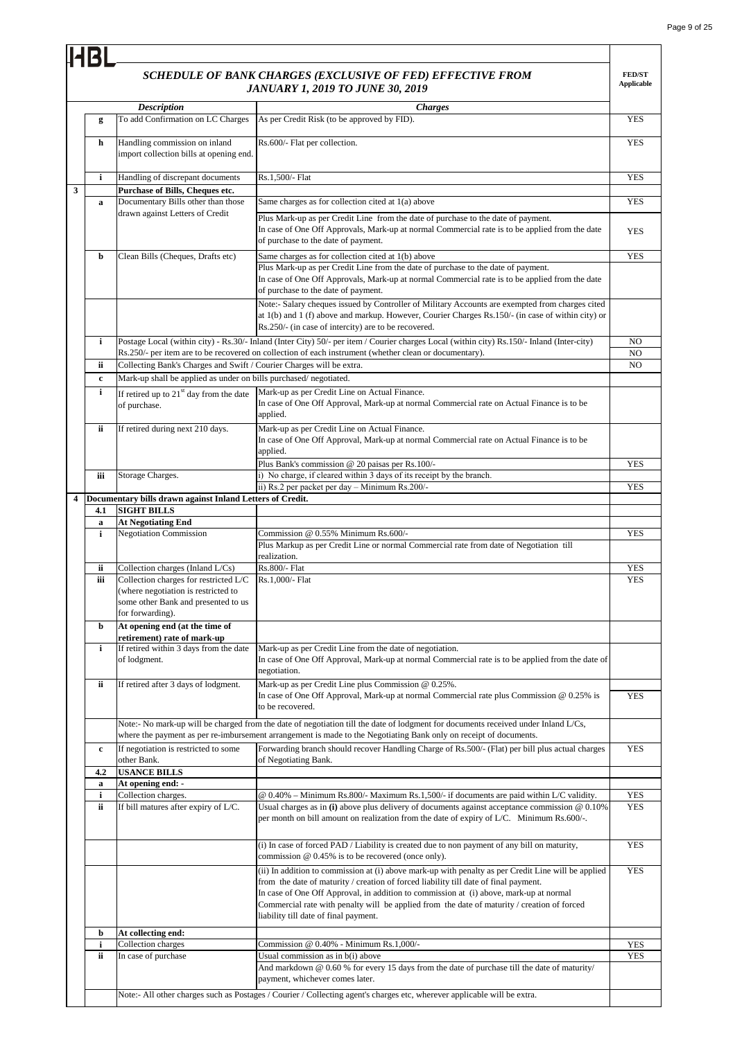$\overline{\phantom{0}}$ 

|   | <b>HBL</b> |                                                                                                                                         |                                                                                                                                                                                                                                                                                                                                                                                                                               |                                    |
|---|------------|-----------------------------------------------------------------------------------------------------------------------------------------|-------------------------------------------------------------------------------------------------------------------------------------------------------------------------------------------------------------------------------------------------------------------------------------------------------------------------------------------------------------------------------------------------------------------------------|------------------------------------|
|   |            |                                                                                                                                         | SCHEDULE OF BANK CHARGES (EXCLUSIVE OF FED) EFFECTIVE FROM<br><b>JANUARY 1, 2019 TO JUNE 30, 2019</b>                                                                                                                                                                                                                                                                                                                         | <b>FED/ST</b><br><b>Applicable</b> |
|   |            | <b>Description</b>                                                                                                                      | <b>Charges</b>                                                                                                                                                                                                                                                                                                                                                                                                                |                                    |
|   | g          | To add Confirmation on LC Charges                                                                                                       | As per Credit Risk (to be approved by FID).                                                                                                                                                                                                                                                                                                                                                                                   | <b>YES</b>                         |
|   | h          | Handling commission on inland<br>import collection bills at opening end.                                                                | Rs.600/- Flat per collection.                                                                                                                                                                                                                                                                                                                                                                                                 | <b>YES</b>                         |
|   | i          | Handling of discrepant documents                                                                                                        | Rs.1,500/- Flat                                                                                                                                                                                                                                                                                                                                                                                                               | <b>YES</b>                         |
| 3 |            | Purchase of Bills, Cheques etc.                                                                                                         |                                                                                                                                                                                                                                                                                                                                                                                                                               |                                    |
|   | a          | Documentary Bills other than those                                                                                                      | Same charges as for collection cited at 1(a) above                                                                                                                                                                                                                                                                                                                                                                            | <b>YES</b>                         |
|   |            | drawn against Letters of Credit                                                                                                         | Plus Mark-up as per Credit Line from the date of purchase to the date of payment.<br>In case of One Off Approvals, Mark-up at normal Commercial rate is to be applied from the date<br>of purchase to the date of payment.                                                                                                                                                                                                    | <b>YES</b>                         |
|   | b          | Clean Bills (Cheques, Drafts etc)                                                                                                       | Same charges as for collection cited at 1(b) above                                                                                                                                                                                                                                                                                                                                                                            | <b>YES</b>                         |
|   |            |                                                                                                                                         | Plus Mark-up as per Credit Line from the date of purchase to the date of payment.<br>In case of One Off Approvals, Mark-up at normal Commercial rate is to be applied from the date<br>of purchase to the date of payment.                                                                                                                                                                                                    |                                    |
|   |            |                                                                                                                                         | Note:- Salary cheques issued by Controller of Military Accounts are exempted from charges cited<br>at 1(b) and 1 (f) above and markup. However, Courier Charges Rs.150/- (in case of within city) or<br>Rs.250/- (in case of intercity) are to be recovered.                                                                                                                                                                  |                                    |
|   | i          |                                                                                                                                         | Postage Local (within city) - Rs.30/- Inland (Inter City) 50/- per item / Courier charges Local (within city) Rs.150/- Inland (Inter-city)                                                                                                                                                                                                                                                                                    | N <sub>O</sub>                     |
|   |            |                                                                                                                                         | Rs.250/- per item are to be recovered on collection of each instrument (whether clean or documentary).                                                                                                                                                                                                                                                                                                                        | NO                                 |
|   | ii         | Collecting Bank's Charges and Swift / Courier Charges will be extra.                                                                    |                                                                                                                                                                                                                                                                                                                                                                                                                               | NO.                                |
|   | c          | Mark-up shall be applied as under on bills purchased/negotiated.                                                                        |                                                                                                                                                                                                                                                                                                                                                                                                                               |                                    |
|   | i          | If retired up to 21 <sup>st</sup> day from the date<br>of purchase.                                                                     | Mark-up as per Credit Line on Actual Finance.<br>In case of One Off Approval, Mark-up at normal Commercial rate on Actual Finance is to be<br>applied.                                                                                                                                                                                                                                                                        |                                    |
|   | ii         | If retired during next 210 days.                                                                                                        | Mark-up as per Credit Line on Actual Finance.<br>In case of One Off Approval, Mark-up at normal Commercial rate on Actual Finance is to be<br>applied.                                                                                                                                                                                                                                                                        |                                    |
|   |            |                                                                                                                                         | Plus Bank's commission @ 20 paisas per Rs.100/-                                                                                                                                                                                                                                                                                                                                                                               | <b>YES</b>                         |
|   | iii        | Storage Charges.                                                                                                                        | i) No charge, if cleared within 3 days of its receipt by the branch.                                                                                                                                                                                                                                                                                                                                                          |                                    |
| 4 |            |                                                                                                                                         | ii) Rs.2 per packet per day - Minimum Rs.200/-                                                                                                                                                                                                                                                                                                                                                                                | <b>YES</b>                         |
|   | 4.1        | Documentary bills drawn against Inland Letters of Credit.<br><b>SIGHT BILLS</b>                                                         |                                                                                                                                                                                                                                                                                                                                                                                                                               |                                    |
|   | a          | <b>At Negotiating End</b>                                                                                                               |                                                                                                                                                                                                                                                                                                                                                                                                                               |                                    |
|   | i          | <b>Negotiation Commission</b>                                                                                                           | Commission @ 0.55% Minimum Rs.600/-<br>Plus Markup as per Credit Line or normal Commercial rate from date of Negotiation till                                                                                                                                                                                                                                                                                                 | <b>YES</b>                         |
|   |            |                                                                                                                                         | realization.                                                                                                                                                                                                                                                                                                                                                                                                                  |                                    |
|   | ii         | Collection charges (Inland L/Cs)                                                                                                        | Rs.800/- Flat                                                                                                                                                                                                                                                                                                                                                                                                                 | YES                                |
|   | iii        | Collection charges for restricted L/C<br>(where negotiation is restricted to<br>some other Bank and presented to us<br>for forwarding). | Rs.1,000/- Flat                                                                                                                                                                                                                                                                                                                                                                                                               | <b>YES</b>                         |
|   | b          | At opening end (at the time of                                                                                                          |                                                                                                                                                                                                                                                                                                                                                                                                                               |                                    |
|   | i          | retirement) rate of mark-up<br>If retired within 3 days from the date<br>of lodgment.                                                   | Mark-up as per Credit Line from the date of negotiation.<br>In case of One Off Approval, Mark-up at normal Commercial rate is to be applied from the date of<br>negotiation.                                                                                                                                                                                                                                                  |                                    |
|   | ii         | If retired after 3 days of lodgment.                                                                                                    | Mark-up as per Credit Line plus Commission @ 0.25%.<br>In case of One Off Approval, Mark-up at normal Commercial rate plus Commission $@0.25\%$ is<br>to be recovered.                                                                                                                                                                                                                                                        | <b>YES</b>                         |
|   |            |                                                                                                                                         | Note:- No mark-up will be charged from the date of negotiation till the date of lodgment for documents received under Inland L/Cs,                                                                                                                                                                                                                                                                                            |                                    |
|   | c          | If negotiation is restricted to some                                                                                                    | where the payment as per re-imbursement arrangement is made to the Negotiating Bank only on receipt of documents.<br>Forwarding branch should recover Handling Charge of Rs.500/- (Flat) per bill plus actual charges                                                                                                                                                                                                         | <b>YES</b>                         |
|   |            | other Bank.                                                                                                                             | of Negotiating Bank.                                                                                                                                                                                                                                                                                                                                                                                                          |                                    |
|   | 4.2        | <b>USANCE BILLS</b>                                                                                                                     |                                                                                                                                                                                                                                                                                                                                                                                                                               |                                    |
|   | a<br>i     | At opening end: -<br>Collection charges.                                                                                                | @ 0.40% - Minimum Rs.800/- Maximum Rs.1,500/- if documents are paid within L/C validity.                                                                                                                                                                                                                                                                                                                                      | <b>YES</b>                         |
|   | ii         | If bill matures after expiry of L/C.                                                                                                    | Usual charges as in (i) above plus delivery of documents against acceptance commission $@0.10\%$<br>per month on bill amount on realization from the date of expiry of L/C. Minimum Rs.600/-.                                                                                                                                                                                                                                 | <b>YES</b>                         |
|   |            |                                                                                                                                         | (i) In case of forced PAD / Liability is created due to non payment of any bill on maturity,<br>commission $@0.45\%$ is to be recovered (once only).                                                                                                                                                                                                                                                                          | <b>YES</b>                         |
|   |            |                                                                                                                                         | (ii) In addition to commission at (i) above mark-up with penalty as per Credit Line will be applied<br>from the date of maturity / creation of forced liability till date of final payment.<br>In case of One Off Approval, in addition to commission at (i) above, mark-up at normal<br>Commercial rate with penalty will be applied from the date of maturity / creation of forced<br>liability till date of final payment. | <b>YES</b>                         |
|   | b          | At collecting end:                                                                                                                      |                                                                                                                                                                                                                                                                                                                                                                                                                               |                                    |
|   | i          | Collection charges                                                                                                                      | Commission @ 0.40% - Minimum Rs.1,000/-                                                                                                                                                                                                                                                                                                                                                                                       | <b>YES</b>                         |
|   | ii         | In case of purchase                                                                                                                     | Usual commission as in b(i) above<br>And markdown $@0.60\%$ for every 15 days from the date of purchase till the date of maturity/                                                                                                                                                                                                                                                                                            | <b>YES</b>                         |
|   |            |                                                                                                                                         | payment, whichever comes later.                                                                                                                                                                                                                                                                                                                                                                                               |                                    |
|   |            |                                                                                                                                         | Note:- All other charges such as Postages / Courier / Collecting agent's charges etc, wherever applicable will be extra.                                                                                                                                                                                                                                                                                                      |                                    |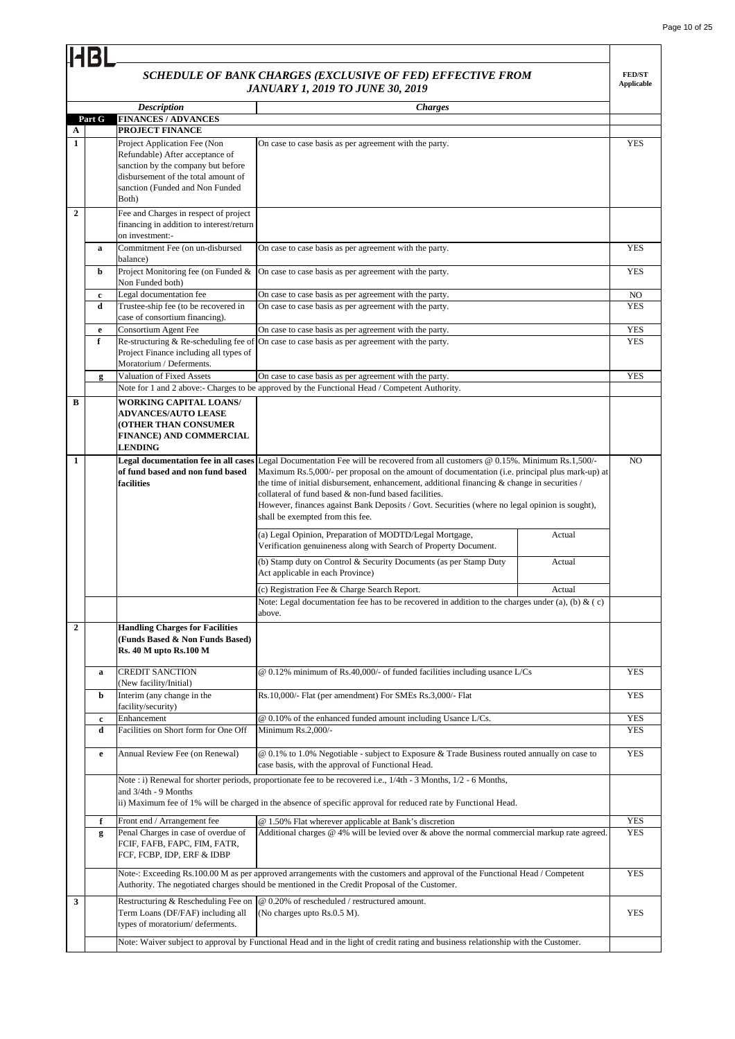|                   |             |                                                                 | SCHEDULE OF BANK CHARGES (EXCLUSIVE OF FED) EFFECTIVE FROM<br><b>JANUARY 1, 2019 TO JUNE 30, 2019</b>                              |        | <b>FED/ST</b><br><b>Applicable</b> |
|-------------------|-------------|-----------------------------------------------------------------|------------------------------------------------------------------------------------------------------------------------------------|--------|------------------------------------|
|                   |             | <b>Description</b>                                              | <b>Charges</b>                                                                                                                     |        |                                    |
|                   | Part G      | <b>FINANCES / ADVANCES</b>                                      |                                                                                                                                    |        |                                    |
| A<br>$\mathbf{1}$ |             | PROJECT FINANCE                                                 |                                                                                                                                    |        | <b>YES</b>                         |
|                   |             | Project Application Fee (Non<br>Refundable) After acceptance of | On case to case basis as per agreement with the party.                                                                             |        |                                    |
|                   |             | sanction by the company but before                              |                                                                                                                                    |        |                                    |
|                   |             | disbursement of the total amount of                             |                                                                                                                                    |        |                                    |
|                   |             | sanction (Funded and Non Funded                                 |                                                                                                                                    |        |                                    |
|                   |             | Both)                                                           |                                                                                                                                    |        |                                    |
| $\overline{2}$    |             | Fee and Charges in respect of project                           |                                                                                                                                    |        |                                    |
|                   |             | financing in addition to interest/return                        |                                                                                                                                    |        |                                    |
|                   |             | on investment:-                                                 |                                                                                                                                    |        |                                    |
|                   | a           | Commitment Fee (on un-disbursed                                 | On case to case basis as per agreement with the party.                                                                             |        | <b>YES</b>                         |
|                   |             | balance)                                                        |                                                                                                                                    |        |                                    |
|                   | b           | Project Monitoring fee (on Funded &<br>Non Funded both)         | On case to case basis as per agreement with the party.                                                                             |        | <b>YES</b>                         |
|                   | $\mathbf c$ | Legal documentation fee                                         | On case to case basis as per agreement with the party.                                                                             |        | N <sub>O</sub>                     |
|                   | d           | Trustee-ship fee (to be recovered in                            | On case to case basis as per agreement with the party.                                                                             |        | <b>YES</b>                         |
|                   |             | case of consortium financing).                                  |                                                                                                                                    |        |                                    |
|                   | e           | Consortium Agent Fee                                            | On case to case basis as per agreement with the party.                                                                             |        | <b>YES</b>                         |
|                   | f           | Re-structuring & Re-scheduling fee of                           | On case to case basis as per agreement with the party.                                                                             |        | <b>YES</b>                         |
|                   |             | Project Finance including all types of                          |                                                                                                                                    |        |                                    |
|                   |             | Moratorium / Deferments.                                        |                                                                                                                                    |        |                                    |
|                   | g           | Valuation of Fixed Assets                                       | On case to case basis as per agreement with the party.                                                                             |        | <b>YES</b>                         |
|                   |             |                                                                 | Note for 1 and 2 above:- Charges to be approved by the Functional Head / Competent Authority.                                      |        |                                    |
| B                 |             | <b>WORKING CAPITAL LOANS/</b>                                   |                                                                                                                                    |        |                                    |
|                   |             | <b>ADVANCES/AUTO LEASE</b>                                      |                                                                                                                                    |        |                                    |
|                   |             | <b>(OTHER THAN CONSUMER</b>                                     |                                                                                                                                    |        |                                    |
|                   |             | FINANCE) AND COMMERCIAL<br><b>LENDING</b>                       |                                                                                                                                    |        |                                    |
| 1                 |             | Legal documentation fee in all cases                            | Legal Documentation Fee will be recovered from all customers @ 0.15%. Minimum Rs.1,500/-                                           |        | N <sub>O</sub>                     |
|                   |             | of fund based and non fund based                                | Maximum Rs.5,000/- per proposal on the amount of documentation (i.e. principal plus mark-up) at                                    |        |                                    |
|                   |             | facilities                                                      | the time of initial disbursement, enhancement, additional financing $\&$ change in securities /                                    |        |                                    |
|                   |             |                                                                 | collateral of fund based & non-fund based facilities.                                                                              |        |                                    |
|                   |             |                                                                 | However, finances against Bank Deposits / Govt. Securities (where no legal opinion is sought),                                     |        |                                    |
|                   |             |                                                                 | shall be exempted from this fee.                                                                                                   |        |                                    |
|                   |             |                                                                 | (a) Legal Opinion, Preparation of MODTD/Legal Mortgage,                                                                            | Actual |                                    |
|                   |             |                                                                 | Verification genuineness along with Search of Property Document.                                                                   |        |                                    |
|                   |             |                                                                 | (b) Stamp duty on Control & Security Documents (as per Stamp Duty                                                                  | Actual |                                    |
|                   |             |                                                                 | Act applicable in each Province)                                                                                                   |        |                                    |
|                   |             |                                                                 | (c) Registration Fee & Charge Search Report.                                                                                       | Actual |                                    |
|                   |             |                                                                 | Note: Legal documentation fee has to be recovered in addition to the charges under (a), (b) & (c)                                  |        |                                    |
|                   |             |                                                                 | above.                                                                                                                             |        |                                    |
| $\overline{2}$    |             | <b>Handling Charges for Facilities</b>                          |                                                                                                                                    |        |                                    |
|                   |             | (Funds Based & Non Funds Based)                                 |                                                                                                                                    |        |                                    |
|                   |             | <b>Rs. 40 M upto Rs. 100 M</b>                                  |                                                                                                                                    |        |                                    |
|                   |             |                                                                 |                                                                                                                                    |        |                                    |
|                   | $\mathbf a$ | <b>CREDIT SANCTION</b>                                          | $@0.12\%$ minimum of Rs.40,000/- of funded facilities including usance L/Cs                                                        |        | <b>YES</b>                         |
|                   |             | (New facility/Initial)                                          |                                                                                                                                    |        |                                    |
|                   | b           | Interim (any change in the                                      | Rs.10,000/- Flat (per amendment) For SMEs Rs.3,000/- Flat                                                                          |        | <b>YES</b>                         |
|                   |             | facility/security)                                              |                                                                                                                                    |        |                                    |
|                   | c           | Enhancement                                                     | @ 0.10% of the enhanced funded amount including Usance L/Cs.                                                                       |        | <b>YES</b>                         |
|                   | d           | Facilities on Short form for One Off                            | Minimum Rs.2,000/-                                                                                                                 |        | <b>YES</b>                         |
|                   | e           | Annual Review Fee (on Renewal)                                  | @ 0.1% to 1.0% Negotiable - subject to Exposure & Trade Business routed annually on case to                                        |        | <b>YES</b>                         |
|                   |             |                                                                 | case basis, with the approval of Functional Head.                                                                                  |        |                                    |
|                   |             |                                                                 |                                                                                                                                    |        |                                    |
|                   |             | and 3/4th - 9 Months                                            | Note : i) Renewal for shorter periods, proportionate fee to be recovered i.e., 1/4th - 3 Months, 1/2 - 6 Months,                   |        |                                    |
|                   |             |                                                                 | ii) Maximum fee of 1% will be charged in the absence of specific approval for reduced rate by Functional Head.                     |        |                                    |
|                   |             |                                                                 |                                                                                                                                    |        |                                    |
|                   | f           | Front end / Arrangement fee                                     | @ 1.50% Flat wherever applicable at Bank's discretion                                                                              |        | <b>YES</b>                         |
|                   | g           | Penal Charges in case of overdue of                             | Additional charges $@$ 4% will be levied over $&$ above the normal commercial markup rate agreed.                                  |        | <b>YES</b>                         |
|                   |             | FCIF, FAFB, FAPC, FIM, FATR,<br>FCF, FCBP, IDP, ERF & IDBP      |                                                                                                                                    |        |                                    |
|                   |             |                                                                 |                                                                                                                                    |        |                                    |
|                   |             |                                                                 | Note-: Exceeding Rs.100.00 M as per approved arrangements with the customers and approval of the Functional Head / Competent       |        | <b>YES</b>                         |
|                   |             |                                                                 | Authority. The negotiated charges should be mentioned in the Credit Proposal of the Customer.                                      |        |                                    |
| 3                 |             | Restructuring & Rescheduling Fee on                             | @ 0.20% of rescheduled / restructured amount.                                                                                      |        |                                    |
|                   |             | Term Loans (DF/FAF) including all                               | (No charges upto Rs.0.5 M).                                                                                                        |        | <b>YES</b>                         |
|                   |             | types of moratorium/deferments.                                 |                                                                                                                                    |        |                                    |
|                   |             |                                                                 | Note: Waiver subject to approval by Functional Head and in the light of credit rating and business relationship with the Customer. |        |                                    |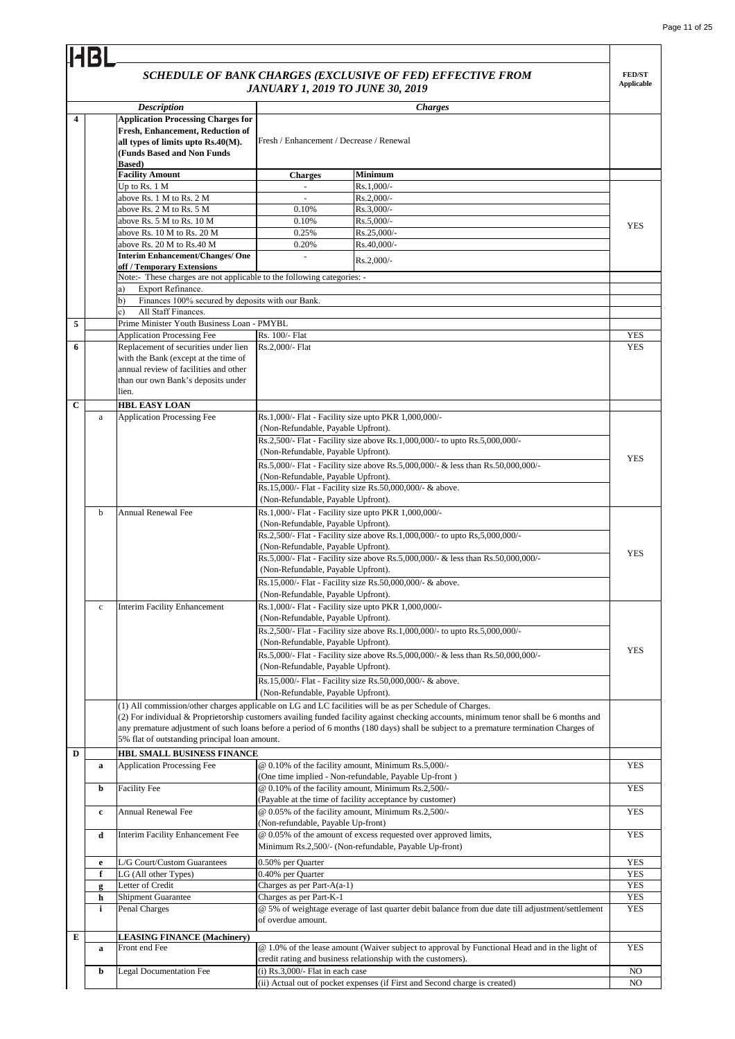|             | IHBL         |                                                                                                                                                                      |                                                                                                                   |                                                                                                                                       |                                    |
|-------------|--------------|----------------------------------------------------------------------------------------------------------------------------------------------------------------------|-------------------------------------------------------------------------------------------------------------------|---------------------------------------------------------------------------------------------------------------------------------------|------------------------------------|
|             |              |                                                                                                                                                                      | SCHEDULE OF BANK CHARGES (EXCLUSIVE OF FED) EFFECTIVE FROM<br><b>JANUARY 1, 2019 TO JUNE 30, 2019</b>             |                                                                                                                                       | <b>FED/ST</b><br><b>Applicable</b> |
|             |              | <b>Description</b>                                                                                                                                                   |                                                                                                                   | <b>Charges</b>                                                                                                                        |                                    |
| 4           |              | <b>Application Processing Charges for</b><br>Fresh, Enhancement, Reduction of<br>all types of limits upto Rs.40(M).<br>(Funds Based and Non Funds<br><b>Based</b> )  | Fresh / Enhancement / Decrease / Renewal                                                                          |                                                                                                                                       |                                    |
|             |              | <b>Facility Amount</b>                                                                                                                                               | <b>Minimum</b><br><b>Charges</b>                                                                                  |                                                                                                                                       |                                    |
|             |              | Up to Rs. 1 M                                                                                                                                                        | Rs.1,000/-<br>$\overline{\phantom{a}}$                                                                            |                                                                                                                                       |                                    |
|             |              | above Rs. 1 M to Rs. 2 M                                                                                                                                             | Rs.2,000/-<br>$\omega$                                                                                            |                                                                                                                                       |                                    |
|             |              | above Rs. 2 M to Rs. 5 M                                                                                                                                             | Rs.3,000/-<br>0.10%                                                                                               |                                                                                                                                       |                                    |
|             |              | above Rs. 5 M to Rs. 10 M                                                                                                                                            | 0.10%<br>Rs.5,000/-                                                                                               |                                                                                                                                       | <b>YES</b>                         |
|             |              | above Rs. 10 M to Rs. 20 M                                                                                                                                           | Rs.25,000/-<br>0.25%                                                                                              |                                                                                                                                       |                                    |
|             |              | above Rs. 20 M to Rs.40 M                                                                                                                                            | 0.20%<br>Rs.40,000/-                                                                                              |                                                                                                                                       |                                    |
|             |              | <b>Interim Enhancement/Changes/ One</b>                                                                                                                              | ÷,<br>Rs.2,000/-                                                                                                  |                                                                                                                                       |                                    |
|             |              | off / Temporary Extensions<br>Note:- These charges are not applicable to the following categories: -                                                                 |                                                                                                                   |                                                                                                                                       |                                    |
|             |              | Export Refinance.<br>a)                                                                                                                                              |                                                                                                                   |                                                                                                                                       |                                    |
|             |              | Finances 100% secured by deposits with our Bank.<br>b)                                                                                                               |                                                                                                                   |                                                                                                                                       |                                    |
|             |              | All Staff Finances.<br>c)                                                                                                                                            |                                                                                                                   |                                                                                                                                       |                                    |
| 5           |              | Prime Minister Youth Business Loan - PMYBL                                                                                                                           |                                                                                                                   |                                                                                                                                       |                                    |
|             |              | <b>Application Processing Fee</b>                                                                                                                                    | Rs. 100/- Flat                                                                                                    |                                                                                                                                       | <b>YES</b>                         |
| 6           |              | Replacement of securities under lien<br>with the Bank (except at the time of<br>annual review of facilities and other<br>than our own Bank's deposits under<br>lien. | Rs.2.000/- Flat                                                                                                   |                                                                                                                                       | YES                                |
| $\mathbf C$ |              | <b>HBL EASY LOAN</b>                                                                                                                                                 |                                                                                                                   |                                                                                                                                       |                                    |
|             | $\mathbf a$  | <b>Application Processing Fee</b>                                                                                                                                    | Rs.1,000/- Flat - Facility size upto PKR 1,000,000/-                                                              |                                                                                                                                       |                                    |
|             |              |                                                                                                                                                                      | (Non-Refundable, Payable Upfront).                                                                                |                                                                                                                                       |                                    |
|             |              |                                                                                                                                                                      | Rs.2,500/- Flat - Facility size above Rs.1,000,000/- to upto Rs.5,000,000/-                                       |                                                                                                                                       |                                    |
|             |              |                                                                                                                                                                      | (Non-Refundable, Payable Upfront).                                                                                |                                                                                                                                       | <b>YES</b>                         |
|             |              |                                                                                                                                                                      | Rs.5,000/- Flat - Facility size above Rs.5,000,000/- & less than Rs.50,000,000/-                                  |                                                                                                                                       |                                    |
|             |              |                                                                                                                                                                      | (Non-Refundable, Payable Upfront).                                                                                |                                                                                                                                       |                                    |
|             |              |                                                                                                                                                                      | Rs.15,000/- Flat - Facility size Rs.50,000,000/- & above.                                                         |                                                                                                                                       |                                    |
|             |              |                                                                                                                                                                      | (Non-Refundable, Payable Upfront).                                                                                |                                                                                                                                       |                                    |
|             | b            | <b>Annual Renewal Fee</b>                                                                                                                                            | Rs.1,000/- Flat - Facility size upto PKR 1,000,000/-                                                              |                                                                                                                                       |                                    |
|             |              |                                                                                                                                                                      | (Non-Refundable, Payable Upfront).                                                                                |                                                                                                                                       |                                    |
|             |              |                                                                                                                                                                      | Rs.2,500/- Flat - Facility size above Rs.1,000,000/- to upto Rs,5,000,000/-<br>(Non-Refundable, Payable Upfront). |                                                                                                                                       |                                    |
|             |              |                                                                                                                                                                      |                                                                                                                   | Rs.5,000/- Flat - Facility size above Rs.5,000,000/- & less than Rs.50,000,000/-                                                      | <b>YES</b>                         |
|             |              |                                                                                                                                                                      | (Non-Refundable, Payable Upfront).                                                                                |                                                                                                                                       |                                    |
|             |              |                                                                                                                                                                      | Rs.15,000/- Flat - Facility size Rs.50,000,000/- & above.                                                         |                                                                                                                                       |                                    |
|             |              |                                                                                                                                                                      | (Non-Refundable, Payable Upfront).                                                                                |                                                                                                                                       |                                    |
|             | $\mathbf c$  | <b>Interim Facility Enhancement</b>                                                                                                                                  | Rs.1,000/- Flat - Facility size upto PKR 1,000,000/-                                                              |                                                                                                                                       |                                    |
|             |              |                                                                                                                                                                      | (Non-Refundable, Payable Upfront).                                                                                |                                                                                                                                       |                                    |
|             |              |                                                                                                                                                                      | Rs.2,500/- Flat - Facility size above Rs.1,000,000/- to upto Rs.5,000,000/-                                       |                                                                                                                                       |                                    |
|             |              |                                                                                                                                                                      | (Non-Refundable, Payable Upfront).                                                                                |                                                                                                                                       | <b>YES</b>                         |
|             |              |                                                                                                                                                                      |                                                                                                                   | Rs.5,000/- Flat - Facility size above Rs.5,000,000/- & less than Rs.50,000,000/-                                                      |                                    |
|             |              |                                                                                                                                                                      | (Non-Refundable, Payable Upfront).                                                                                |                                                                                                                                       |                                    |
|             |              |                                                                                                                                                                      | Rs.15,000/- Flat - Facility size Rs.50,000,000/- & above.                                                         |                                                                                                                                       |                                    |
|             |              |                                                                                                                                                                      | (Non-Refundable, Payable Upfront).                                                                                |                                                                                                                                       |                                    |
|             |              | (1) All commission/other charges applicable on LG and LC facilities will be as per Schedule of Charges.                                                              |                                                                                                                   | (2) For individual & Proprietorship customers availing funded facility against checking accounts, minimum tenor shall be 6 months and |                                    |
|             |              |                                                                                                                                                                      |                                                                                                                   | any premature adjustment of such loans before a period of 6 months (180 days) shall be subject to a premature termination Charges of  |                                    |
|             |              | 5% flat of outstanding principal loan amount.                                                                                                                        |                                                                                                                   |                                                                                                                                       |                                    |
| D           |              | HBL SMALL BUSINESS FINANCE                                                                                                                                           |                                                                                                                   |                                                                                                                                       |                                    |
|             | a            | <b>Application Processing Fee</b>                                                                                                                                    | @ 0.10% of the facility amount, Minimum Rs.5,000/-                                                                |                                                                                                                                       | <b>YES</b>                         |
|             |              |                                                                                                                                                                      | (One time implied - Non-refundable, Payable Up-front)                                                             |                                                                                                                                       |                                    |
|             | b            | <b>Facility Fee</b>                                                                                                                                                  | @ 0.10% of the facility amount, Minimum Rs.2,500/-                                                                |                                                                                                                                       | <b>YES</b>                         |
|             |              |                                                                                                                                                                      | (Payable at the time of facility acceptance by customer)                                                          |                                                                                                                                       |                                    |
|             | $\mathbf c$  | <b>Annual Renewal Fee</b>                                                                                                                                            | @ 0.05% of the facility amount, Minimum Rs.2,500/-                                                                |                                                                                                                                       | YES                                |
|             |              |                                                                                                                                                                      | (Non-refundable, Payable Up-front)                                                                                |                                                                                                                                       |                                    |
|             | d            | Interim Facility Enhancement Fee                                                                                                                                     | @ 0.05% of the amount of excess requested over approved limits,                                                   |                                                                                                                                       | <b>YES</b>                         |
|             |              |                                                                                                                                                                      | Minimum Rs.2,500/- (Non-refundable, Payable Up-front)                                                             |                                                                                                                                       |                                    |
|             | e            | L/G Court/Custom Guarantees                                                                                                                                          | 0.50% per Quarter                                                                                                 |                                                                                                                                       | <b>YES</b>                         |
|             | f            | LG (All other Types)                                                                                                                                                 | 0.40% per Quarter                                                                                                 |                                                                                                                                       | <b>YES</b>                         |
|             | g            | Letter of Credit                                                                                                                                                     | Charges as per Part-A(a-1)                                                                                        |                                                                                                                                       | <b>YES</b>                         |
|             | h            | Shipment Guarantee                                                                                                                                                   | Charges as per Part-K-1                                                                                           |                                                                                                                                       | <b>YES</b>                         |
|             | $\mathbf{i}$ | Penal Charges                                                                                                                                                        |                                                                                                                   | @ 5% of weightage everage of last quarter debit balance from due date till adjustment/settlement                                      | <b>YES</b>                         |
|             |              |                                                                                                                                                                      | of overdue amount.                                                                                                |                                                                                                                                       |                                    |
| Е           |              | <b>LEASING FINANCE (Machinery)</b>                                                                                                                                   |                                                                                                                   |                                                                                                                                       |                                    |
|             | a            | Front end Fee                                                                                                                                                        |                                                                                                                   | @ 1.0% of the lease amount (Waiver subject to approval by Functional Head and in the light of                                         | <b>YES</b>                         |
|             |              |                                                                                                                                                                      | credit rating and business relationship with the customers).                                                      |                                                                                                                                       |                                    |
|             | b            | <b>Legal Documentation Fee</b>                                                                                                                                       | $(i)$ Rs.3,000/- Flat in each case                                                                                |                                                                                                                                       | NO                                 |
|             |              |                                                                                                                                                                      | (ii) Actual out of pocket expenses (if First and Second charge is created)                                        |                                                                                                                                       | NO                                 |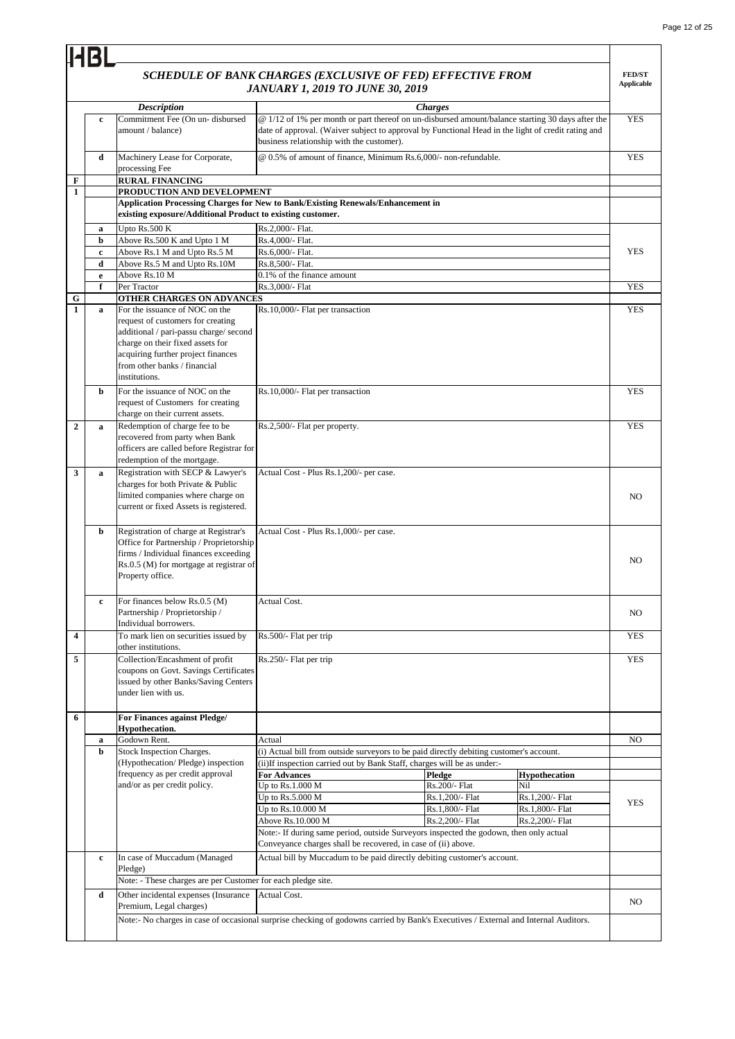$\overline{\phantom{0}}$ 

|                         |                            |                                                                                                                                                                                                                                          | <b>JANUARY 1, 2019 TO JUNE 30, 2019</b>                       | SCHEDULE OF BANK CHARGES (EXCLUSIVE OF FED) EFFECTIVE FROM                                                                                                                                                               |                        | <b>FED/ST</b><br><b>Applicable</b> |
|-------------------------|----------------------------|------------------------------------------------------------------------------------------------------------------------------------------------------------------------------------------------------------------------------------------|---------------------------------------------------------------|--------------------------------------------------------------------------------------------------------------------------------------------------------------------------------------------------------------------------|------------------------|------------------------------------|
|                         | $\mathbf c$                | <b>Description</b><br>Commitment Fee (On un-disbursed<br>amount / balance)                                                                                                                                                               | business relationship with the customer).                     | <b>Charges</b><br>@ 1/12 of 1% per month or part thereof on un-disbursed amount/balance starting 30 days after the<br>date of approval. (Waiver subject to approval by Functional Head in the light of credit rating and |                        | <b>YES</b>                         |
|                         | d                          | Machinery Lease for Corporate,<br>processing Fee                                                                                                                                                                                         |                                                               | @ 0.5% of amount of finance, Minimum Rs.6,000/- non-refundable.                                                                                                                                                          |                        | <b>YES</b>                         |
| F                       |                            | <b>RURAL FINANCING</b>                                                                                                                                                                                                                   |                                                               |                                                                                                                                                                                                                          |                        |                                    |
| $\mathbf{1}$            |                            | PRODUCTION AND DEVELOPMENT                                                                                                                                                                                                               |                                                               |                                                                                                                                                                                                                          |                        |                                    |
|                         |                            | Application Processing Charges for New to Bank/Existing Renewals/Enhancement in                                                                                                                                                          |                                                               |                                                                                                                                                                                                                          |                        |                                    |
|                         |                            | existing exposure/Additional Product to existing customer.                                                                                                                                                                               |                                                               |                                                                                                                                                                                                                          |                        |                                    |
|                         | a                          | Upto Rs.500 K<br>Above Rs.500 K and Upto 1 M                                                                                                                                                                                             | Rs.2,000/- Flat.<br>Rs.4,000/- Flat.                          |                                                                                                                                                                                                                          |                        |                                    |
|                         | $\mathbf b$<br>$\mathbf c$ | Above Rs.1 M and Upto Rs.5 M                                                                                                                                                                                                             | Rs.6,000/- Flat.                                              |                                                                                                                                                                                                                          |                        | <b>YES</b>                         |
|                         | d                          | Above Rs.5 M and Upto Rs.10M                                                                                                                                                                                                             | Rs.8,500/- Flat.                                              |                                                                                                                                                                                                                          |                        |                                    |
|                         | e                          | Above Rs.10 M                                                                                                                                                                                                                            | 0.1% of the finance amount                                    |                                                                                                                                                                                                                          |                        |                                    |
|                         | f                          | Per Tractor                                                                                                                                                                                                                              | Rs.3,000/- Flat                                               |                                                                                                                                                                                                                          |                        | <b>YES</b>                         |
| G                       |                            | OTHER CHARGES ON ADVANCES                                                                                                                                                                                                                |                                                               |                                                                                                                                                                                                                          |                        |                                    |
| 1                       | $\mathbf a$                | For the issuance of NOC on the<br>request of customers for creating<br>additional / pari-passu charge/ second<br>charge on their fixed assets for<br>acquiring further project finances<br>from other banks / financial<br>institutions. | Rs.10,000/- Flat per transaction                              |                                                                                                                                                                                                                          |                        | <b>YES</b>                         |
|                         | b                          | For the issuance of NOC on the<br>request of Customers for creating<br>charge on their current assets.                                                                                                                                   | Rs.10,000/- Flat per transaction                              |                                                                                                                                                                                                                          |                        | <b>YES</b>                         |
| $\overline{2}$          | a                          | Redemption of charge fee to be<br>recovered from party when Bank<br>officers are called before Registrar for<br>redemption of the mortgage.                                                                                              | Rs.2,500/- Flat per property.                                 |                                                                                                                                                                                                                          |                        | <b>YES</b>                         |
| 3                       | a                          | Registration with SECP & Lawyer's<br>charges for both Private & Public<br>limited companies where charge on<br>current or fixed Assets is registered.                                                                                    | Actual Cost - Plus Rs.1,200/- per case.                       |                                                                                                                                                                                                                          |                        | NO                                 |
|                         | b                          | Registration of charge at Registrar's<br>Office for Partnership / Proprietorship<br>firms / Individual finances exceeding<br>Rs.0.5 (M) for mortgage at registrar of<br>Property office.                                                 | Actual Cost - Plus Rs.1,000/- per case.                       |                                                                                                                                                                                                                          |                        | NO.                                |
|                         | $\mathbf c$                | For finances below Rs.0.5 (M)<br>Partnership / Proprietorship /<br>Individual borrowers.                                                                                                                                                 | <b>Actual Cost.</b>                                           |                                                                                                                                                                                                                          |                        | NO                                 |
| $\overline{\mathbf{4}}$ |                            | To mark lien on securities issued by<br>other institutions.                                                                                                                                                                              | Rs.500/- Flat per trip                                        |                                                                                                                                                                                                                          |                        | <b>YES</b>                         |
| 5                       |                            | Collection/Encashment of profit<br>coupons on Govt. Savings Certificates<br>issued by other Banks/Saving Centers<br>under lien with us.                                                                                                  | Rs.250/- Flat per trip                                        |                                                                                                                                                                                                                          |                        | <b>YES</b>                         |
| 6                       |                            | For Finances against Pledge/                                                                                                                                                                                                             |                                                               |                                                                                                                                                                                                                          |                        |                                    |
|                         | a                          | Hypothecation.<br>Godown Rent.                                                                                                                                                                                                           | Actual                                                        |                                                                                                                                                                                                                          |                        | NO.                                |
|                         | b                          | Stock Inspection Charges.                                                                                                                                                                                                                |                                                               | (i) Actual bill from outside surveyors to be paid directly debiting customer's account.                                                                                                                                  |                        |                                    |
|                         |                            | (Hypothecation/Pledge) inspection                                                                                                                                                                                                        |                                                               | (ii) If inspection carried out by Bank Staff, charges will be as under:-                                                                                                                                                 |                        |                                    |
|                         |                            | frequency as per credit approval                                                                                                                                                                                                         | <b>For Advances</b>                                           | Pledge                                                                                                                                                                                                                   | <b>Hypothecation</b>   |                                    |
|                         |                            | and/or as per credit policy.                                                                                                                                                                                                             | Up to Rs.1.000 M<br>Up to Rs.5.000 M                          | Rs.200/- Flat<br>Rs.1,200/- Flat                                                                                                                                                                                         | Nil<br>Rs.1,200/- Flat |                                    |
|                         |                            |                                                                                                                                                                                                                                          | Up to Rs.10.000 M                                             | Rs.1,800/- Flat                                                                                                                                                                                                          | Rs.1,800/- Flat        | <b>YES</b>                         |
|                         |                            |                                                                                                                                                                                                                                          | Above Rs.10.000 M                                             | Rs.2,200/- Flat                                                                                                                                                                                                          | Rs.2,200/- Flat        |                                    |
|                         |                            |                                                                                                                                                                                                                                          |                                                               | Note:- If during same period, outside Surveyors inspected the godown, then only actual                                                                                                                                   |                        |                                    |
|                         |                            |                                                                                                                                                                                                                                          | Conveyance charges shall be recovered, in case of (ii) above. |                                                                                                                                                                                                                          |                        |                                    |
|                         | $\mathbf c$                | In case of Muccadum (Managed<br>Pledge)                                                                                                                                                                                                  |                                                               | Actual bill by Muccadum to be paid directly debiting customer's account.                                                                                                                                                 |                        |                                    |
|                         |                            | Note: - These charges are per Customer for each pledge site.                                                                                                                                                                             |                                                               |                                                                                                                                                                                                                          |                        |                                    |
|                         | d                          | Other incidental expenses (Insurance                                                                                                                                                                                                     | Actual Cost.                                                  |                                                                                                                                                                                                                          |                        |                                    |
|                         |                            | Premium, Legal charges)<br>Note:- No charges in case of occasional surprise checking of godowns carried by Bank's Executives / External and Internal Auditors.                                                                           |                                                               |                                                                                                                                                                                                                          |                        | NO.                                |
|                         |                            |                                                                                                                                                                                                                                          |                                                               |                                                                                                                                                                                                                          |                        |                                    |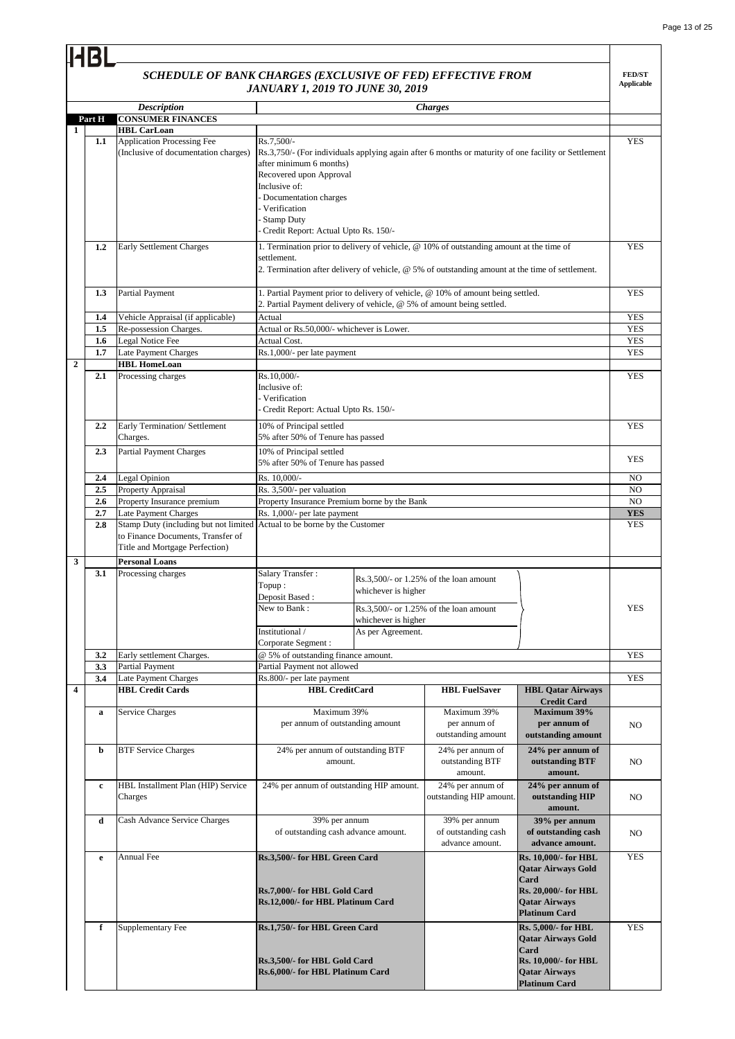### *SCHEDULE OF BANK CHARGES (EXCLUSIVE OF FED) EFFECTIVE FROM JANUARY 1, 2019 TO JUNE 30, 2019*

|                         |                         | SCHEDULE OF BANK CHARGES (EXCLUSIVE OF FED) EFFECTIVE FROM                                                                                      | <b>JANUARY 1, 2019 TO JUNE 30, 2019</b>                                                                                                                                                                                                               |                                                                 |                                                                                                                                                                                            |                                                                                                                                         | <b>FED/ST</b><br><b>Applicable</b> |
|-------------------------|-------------------------|-------------------------------------------------------------------------------------------------------------------------------------------------|-------------------------------------------------------------------------------------------------------------------------------------------------------------------------------------------------------------------------------------------------------|-----------------------------------------------------------------|--------------------------------------------------------------------------------------------------------------------------------------------------------------------------------------------|-----------------------------------------------------------------------------------------------------------------------------------------|------------------------------------|
|                         |                         | <b>Description</b>                                                                                                                              |                                                                                                                                                                                                                                                       |                                                                 | <b>Charges</b>                                                                                                                                                                             |                                                                                                                                         |                                    |
|                         | Part H                  | <b>CONSUMER FINANCES</b>                                                                                                                        |                                                                                                                                                                                                                                                       |                                                                 |                                                                                                                                                                                            |                                                                                                                                         |                                    |
| 1                       |                         | <b>HBL CarLoan</b>                                                                                                                              |                                                                                                                                                                                                                                                       |                                                                 |                                                                                                                                                                                            |                                                                                                                                         |                                    |
|                         | 1.1                     | Application Processing Fee<br>(Inclusive of documentation charges)                                                                              | Rs.7,500/-<br>Rs.3,750/- (For individuals applying again after 6 months or maturity of one facility or Settlement<br>after minimum 6 months)<br>Recovered upon Approval<br>Inclusive of:<br>- Documentation charges<br>- Verification<br>- Stamp Duty |                                                                 |                                                                                                                                                                                            |                                                                                                                                         | <b>YES</b>                         |
|                         |                         |                                                                                                                                                 | - Credit Report: Actual Upto Rs. 150/-                                                                                                                                                                                                                |                                                                 |                                                                                                                                                                                            |                                                                                                                                         |                                    |
|                         | 1.2                     | Early Settlement Charges                                                                                                                        | settlement.                                                                                                                                                                                                                                           |                                                                 | 1. Termination prior to delivery of vehicle, @ 10% of outstanding amount at the time of<br>2. Termination after delivery of vehicle, @ 5% of outstanding amount at the time of settlement. |                                                                                                                                         | <b>YES</b>                         |
|                         | 1.3                     | <b>Partial Payment</b>                                                                                                                          | 1. Partial Payment prior to delivery of vehicle, @ 10% of amount being settled.<br>2. Partial Payment delivery of vehicle, @ 5% of amount being settled.                                                                                              |                                                                 |                                                                                                                                                                                            |                                                                                                                                         | <b>YES</b>                         |
|                         | 1.4                     | Vehicle Appraisal (if applicable)                                                                                                               | Actual                                                                                                                                                                                                                                                |                                                                 |                                                                                                                                                                                            |                                                                                                                                         | <b>YES</b>                         |
|                         | 1.5<br>$1.6\phantom{0}$ | Re-possession Charges.<br>Legal Notice Fee                                                                                                      | Actual or Rs.50,000/- whichever is Lower.<br>Actual Cost.                                                                                                                                                                                             |                                                                 |                                                                                                                                                                                            |                                                                                                                                         | <b>YES</b><br>YES                  |
|                         | 1.7                     | Late Payment Charges                                                                                                                            | Rs.1,000/- per late payment                                                                                                                                                                                                                           |                                                                 |                                                                                                                                                                                            |                                                                                                                                         | <b>YES</b>                         |
| $\boldsymbol{2}$        |                         | <b>HBL HomeLoan</b>                                                                                                                             |                                                                                                                                                                                                                                                       |                                                                 |                                                                                                                                                                                            |                                                                                                                                         |                                    |
|                         | 2.1                     | Processing charges                                                                                                                              | Rs.10,000/-<br>Inclusive of:<br>- Verification<br>Credit Report: Actual Upto Rs. 150/-                                                                                                                                                                |                                                                 |                                                                                                                                                                                            |                                                                                                                                         | <b>YES</b>                         |
|                         | 2.2                     | Early Termination/ Settlement<br>Charges.                                                                                                       | 10% of Principal settled<br>5% after 50% of Tenure has passed                                                                                                                                                                                         |                                                                 |                                                                                                                                                                                            |                                                                                                                                         | <b>YES</b>                         |
|                         | 2.3                     | <b>Partial Payment Charges</b>                                                                                                                  | 10% of Principal settled<br>5% after 50% of Tenure has passed                                                                                                                                                                                         |                                                                 |                                                                                                                                                                                            |                                                                                                                                         | <b>YES</b>                         |
|                         | 2.4                     | Legal Opinion                                                                                                                                   | Rs. 10,000/-                                                                                                                                                                                                                                          |                                                                 |                                                                                                                                                                                            |                                                                                                                                         | N <sub>O</sub>                     |
|                         | 2.5                     | Property Appraisal<br>Property Insurance premium                                                                                                | Rs. 3,500/- per valuation<br>Property Insurance Premium borne by the Bank                                                                                                                                                                             |                                                                 |                                                                                                                                                                                            |                                                                                                                                         | NO<br>NO.                          |
|                         | 2.6<br>2.7              | Late Payment Charges                                                                                                                            | Rs. 1,000/- per late payment                                                                                                                                                                                                                          |                                                                 |                                                                                                                                                                                            |                                                                                                                                         | <b>YES</b>                         |
|                         | 2.8                     | Stamp Duty (including but not limited Actual to be borne by the Customer<br>to Finance Documents, Transfer of<br>Title and Mortgage Perfection) |                                                                                                                                                                                                                                                       |                                                                 |                                                                                                                                                                                            |                                                                                                                                         | <b>YES</b>                         |
| 3                       |                         | <b>Personal Loans</b>                                                                                                                           |                                                                                                                                                                                                                                                       |                                                                 |                                                                                                                                                                                            |                                                                                                                                         |                                    |
|                         | 3.1                     | Processing charges                                                                                                                              | Salary Transfer:<br>Topup:<br>Deposit Based:<br>New to Bank:<br>Institutional /<br>Corporate Segment:                                                                                                                                                 | whichever is higher<br>whichever is higher<br>As per Agreement. | $Rs.3.500/-$ or 1.25% of the loan amount<br>Rs.3,500/- or 1.25% of the loan amount                                                                                                         |                                                                                                                                         | <b>YES</b>                         |
|                         | 3.2                     | Early settlement Charges.                                                                                                                       | @ 5% of outstanding finance amount.                                                                                                                                                                                                                   |                                                                 |                                                                                                                                                                                            |                                                                                                                                         | <b>YES</b>                         |
|                         | 3.3                     | Partial Payment                                                                                                                                 | Partial Payment not allowed                                                                                                                                                                                                                           |                                                                 |                                                                                                                                                                                            |                                                                                                                                         |                                    |
| $\overline{\mathbf{4}}$ | 3.4                     | Late Payment Charges<br><b>HBL Credit Cards</b>                                                                                                 | Rs.800/- per late payment<br><b>HBL</b> CreditCard                                                                                                                                                                                                    |                                                                 | <b>HBL FuelSaver</b>                                                                                                                                                                       |                                                                                                                                         | <b>YES</b>                         |
|                         |                         |                                                                                                                                                 |                                                                                                                                                                                                                                                       |                                                                 |                                                                                                                                                                                            | <b>HBL Qatar Airways</b><br><b>Credit Card</b>                                                                                          |                                    |
|                         | a                       | <b>Service Charges</b>                                                                                                                          | Maximum 39%<br>per annum of outstanding amount                                                                                                                                                                                                        |                                                                 | Maximum 39%<br>per annum of<br>outstanding amount                                                                                                                                          | Maximum 39%<br>per annum of<br>outstanding amount                                                                                       | NO.                                |
|                         | b                       | <b>BTF Service Charges</b>                                                                                                                      | 24% per annum of outstanding BTF<br>amount.                                                                                                                                                                                                           |                                                                 | 24% per annum of<br>outstanding BTF<br>amount.                                                                                                                                             | 24% per annum of<br>outstanding BTF<br>amount.                                                                                          | NO                                 |
|                         | $\mathbf c$             | HBL Installment Plan (HIP) Service<br>Charges                                                                                                   | 24% per annum of outstanding HIP amount.                                                                                                                                                                                                              |                                                                 | 24% per annum of<br>outstanding HIP amount.                                                                                                                                                | 24% per annum of<br>outstanding HIP<br>amount.                                                                                          | NO                                 |
|                         | d                       | Cash Advance Service Charges                                                                                                                    | 39% per annum<br>of outstanding cash advance amount.                                                                                                                                                                                                  |                                                                 | 39% per annum<br>of outstanding cash<br>advance amount.                                                                                                                                    | 39% per annum<br>of outstanding cash<br>advance amount.                                                                                 | N <sub>O</sub>                     |
|                         | e                       | Annual Fee                                                                                                                                      | Rs.3,500/- for HBL Green Card<br>Rs.7,000/- for HBL Gold Card<br>Rs.12,000/- for HBL Platinum Card                                                                                                                                                    |                                                                 |                                                                                                                                                                                            | Rs. 10,000/- for HBL<br><b>Qatar Airways Gold</b><br>Card<br>Rs. 20,000/- for HBL<br><b>Qatar Airways</b><br><b>Platinum Card</b>       | <b>YES</b>                         |
|                         | $\mathbf f$             | Supplementary Fee                                                                                                                               | Rs.1,750/- for HBL Green Card<br>Rs.3,500/- for HBL Gold Card<br>Rs.6,000/- for HBL Platinum Card                                                                                                                                                     |                                                                 |                                                                                                                                                                                            | <b>Rs. 5,000/- for HBL</b><br><b>Qatar Airways Gold</b><br>Card<br>Rs. 10,000/- for HBL<br><b>Qatar Airways</b><br><b>Platinum Card</b> | <b>YES</b>                         |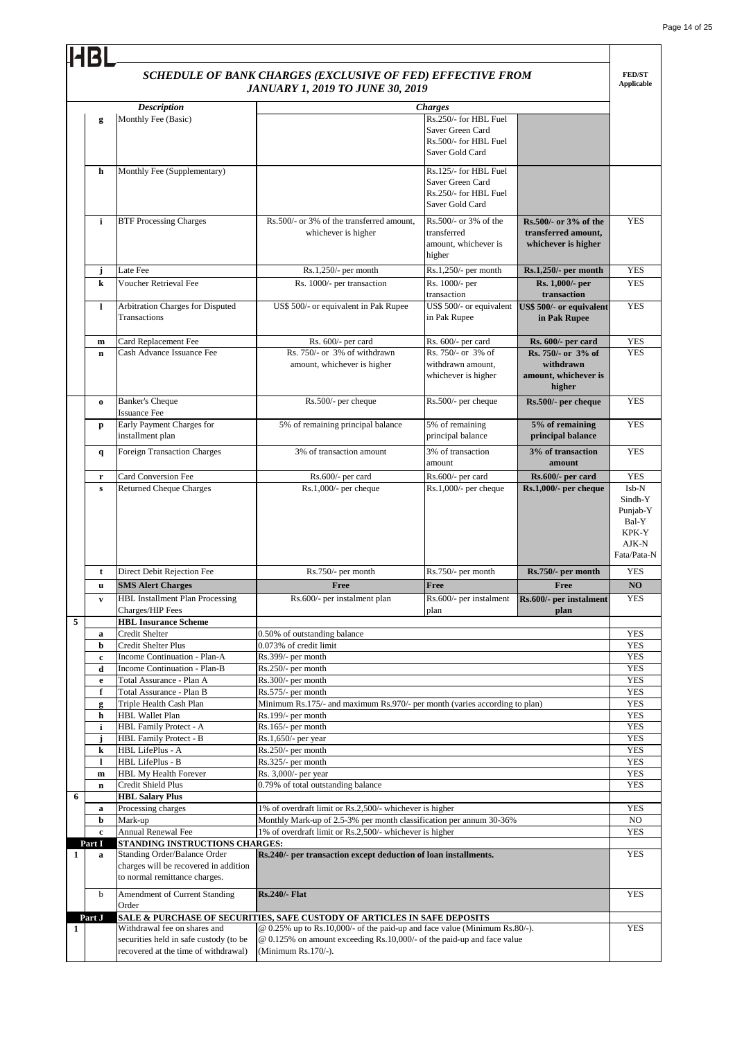|   |                   |                                                                                                                | SCHEDULE OF BANK CHARGES (EXCLUSIVE OF FED) EFFECTIVE FROM<br><b>JANUARY 1, 2019 TO JUNE 30, 2019</b>                                                                          |                                                                                                         |                                                                     | <b>FED/ST</b><br><b>Applicable</b>                 |
|---|-------------------|----------------------------------------------------------------------------------------------------------------|--------------------------------------------------------------------------------------------------------------------------------------------------------------------------------|---------------------------------------------------------------------------------------------------------|---------------------------------------------------------------------|----------------------------------------------------|
|   |                   |                                                                                                                |                                                                                                                                                                                |                                                                                                         |                                                                     |                                                    |
|   | g                 | <b>Description</b><br>Monthly Fee (Basic)                                                                      |                                                                                                                                                                                | <b>Charges</b><br>Rs.250/- for HBL Fuel<br>Saver Green Card<br>Rs.500/- for HBL Fuel<br>Saver Gold Card |                                                                     |                                                    |
|   | h                 | Monthly Fee (Supplementary)                                                                                    |                                                                                                                                                                                | Rs.125/- for HBL Fuel<br>Saver Green Card<br>Rs.250/- for HBL Fuel<br>Saver Gold Card                   |                                                                     |                                                    |
|   | i                 | <b>BTF Processing Charges</b>                                                                                  | Rs.500/- or 3% of the transferred amount.<br>whichever is higher                                                                                                               | Rs.500/- or 3% of the<br>transferred<br>amount, whichever is<br>higher                                  | Rs.500/- or 3% of the<br>transferred amount,<br>whichever is higher | <b>YES</b>                                         |
|   | j                 | Late Fee                                                                                                       | $Rs.1,250/-$ per month                                                                                                                                                         | Rs.1,250/- per month                                                                                    | Rs.1,250/- per month                                                | <b>YES</b>                                         |
|   | k                 | <b>Voucher Retrieval Fee</b>                                                                                   | Rs. 1000/- per transaction                                                                                                                                                     | Rs. 1000/- per<br>transaction                                                                           | Rs. 1,000/- per<br>transaction                                      | <b>YES</b>                                         |
|   | 1                 | Arbitration Charges for Disputed<br>Transactions                                                               | US\$ 500/- or equivalent in Pak Rupee                                                                                                                                          | US\$ 500/- or equivalent<br>in Pak Rupee                                                                | US\$ 500/- or equivalent<br>in Pak Rupee                            | <b>YES</b>                                         |
|   | m                 | Card Replacement Fee                                                                                           | Rs. 600/- per card                                                                                                                                                             | Rs. 600/- per card                                                                                      | Rs. 600/- per card                                                  | <b>YES</b>                                         |
|   | $\mathbf n$       | Cash Advance Issuance Fee                                                                                      | Rs. 750/- or 3% of withdrawn<br>amount, whichever is higher                                                                                                                    | Rs. 750/- or 3% of<br>withdrawn amount,<br>whichever is higher                                          | Rs. 750/- or 3% of<br>withdrawn<br>amount, whichever is<br>higher   | <b>YES</b>                                         |
|   | $\bf{o}$          | <b>Banker's Cheque</b><br><b>Issuance Fee</b>                                                                  | Rs.500/- per cheque                                                                                                                                                            | Rs.500/- per cheque                                                                                     | Rs.500/- per cheque                                                 | <b>YES</b>                                         |
|   | p                 | Early Payment Charges for<br>installment plan                                                                  | 5% of remaining principal balance                                                                                                                                              | 5% of remaining<br>principal balance                                                                    | 5% of remaining<br>principal balance                                | <b>YES</b>                                         |
|   | $\mathbf{q}$      | <b>Foreign Transaction Charges</b>                                                                             | 3% of transaction amount                                                                                                                                                       | 3% of transaction<br>amount                                                                             | 3% of transaction<br>amount                                         | <b>YES</b>                                         |
|   | r<br>$\mathbf{s}$ | Card Conversion Fee<br><b>Returned Cheque Charges</b>                                                          | Rs.600/- per card<br>$Rs.1,000/-$ per cheque                                                                                                                                   | Rs.600/- per card<br>$Rs.1,000/-$ per cheque                                                            | Rs.600/- per card<br>Rs.1,000/- per cheque                          | <b>YES</b><br>Isb-N<br>Sindh-Y                     |
|   |                   |                                                                                                                |                                                                                                                                                                                |                                                                                                         |                                                                     | Punjab-Y<br>Bal-Y<br>KPK-Y<br>AJK-N<br>Fata/Pata-N |
|   | t                 | Direct Debit Rejection Fee                                                                                     | Rs.750/- per month                                                                                                                                                             | Rs.750/- per month                                                                                      | Rs.750/- per month                                                  | <b>YES</b>                                         |
|   | u                 | <b>SMS Alert Charges</b>                                                                                       | Free                                                                                                                                                                           | Free                                                                                                    | Free                                                                | N <sub>O</sub>                                     |
| 5 | V                 | <b>HBL</b> Installment Plan Processing<br>Charges/HIP Fees<br><b>HBL Insurance Scheme</b>                      | Rs.600/- per instalment plan                                                                                                                                                   | plan                                                                                                    | $Rs.600/-$ per instalment $Rs.600/-$ per instalment<br>plan         | YES                                                |
|   | $\mathbf a$       | <b>Credit Shelter</b>                                                                                          | 0.50% of outstanding balance                                                                                                                                                   |                                                                                                         |                                                                     | <b>YES</b>                                         |
|   | b                 | Credit Shelter Plus                                                                                            | 0.073% of credit limit                                                                                                                                                         |                                                                                                         |                                                                     | <b>YES</b>                                         |
|   | c                 | Income Continuation - Plan-A                                                                                   | Rs.399/- per month                                                                                                                                                             |                                                                                                         |                                                                     | <b>YES</b>                                         |
|   | d                 | Income Continuation - Plan-B                                                                                   | Rs.250/- per month                                                                                                                                                             |                                                                                                         |                                                                     | <b>YES</b>                                         |
|   | e                 | Total Assurance - Plan A                                                                                       | Rs.300/- per month                                                                                                                                                             |                                                                                                         |                                                                     | <b>YES</b>                                         |
|   | f                 | Total Assurance - Plan B                                                                                       | Rs.575/- per month                                                                                                                                                             |                                                                                                         |                                                                     | <b>YES</b>                                         |
|   | g<br>h            | Triple Health Cash Plan<br><b>HBL Wallet Plan</b>                                                              | Minimum Rs.175/- and maximum Rs.970/- per month (varies according to plan)<br>Rs.199/- per month                                                                               |                                                                                                         |                                                                     | <b>YES</b><br><b>YES</b>                           |
|   | $\mathbf i$       | HBL Family Protect - A                                                                                         | Rs.165/- per month                                                                                                                                                             |                                                                                                         |                                                                     | <b>YES</b>                                         |
|   | j                 | HBL Family Protect - B                                                                                         | Rs.1,650/- per year                                                                                                                                                            |                                                                                                         |                                                                     | <b>YES</b>                                         |
|   | k                 | HBL LifePlus - A                                                                                               | Rs.250/- per month                                                                                                                                                             |                                                                                                         |                                                                     | <b>YES</b>                                         |
|   | $\mathbf{l}$      | HBL LifePlus - B                                                                                               | Rs.325/- per month                                                                                                                                                             |                                                                                                         |                                                                     | <b>YES</b>                                         |
|   | $\mathbf m$       | HBL My Health Forever                                                                                          | Rs. 3,000/- per year                                                                                                                                                           |                                                                                                         |                                                                     | <b>YES</b>                                         |
| 6 | $\bf n$           | Credit Shield Plus<br><b>HBL Salary Plus</b>                                                                   | 0.79% of total outstanding balance                                                                                                                                             |                                                                                                         |                                                                     | <b>YES</b>                                         |
|   | $\bf{a}$          | Processing charges                                                                                             | 1% of overdraft limit or Rs.2,500/- whichever is higher                                                                                                                        |                                                                                                         |                                                                     | <b>YES</b>                                         |
|   | b                 | Mark-up                                                                                                        | Monthly Mark-up of 2.5-3% per month classification per annum 30-36%                                                                                                            |                                                                                                         |                                                                     | NO                                                 |
|   | $\mathbf c$       | <b>Annual Renewal Fee</b>                                                                                      | 1% of overdraft limit or Rs.2,500/- whichever is higher                                                                                                                        |                                                                                                         |                                                                     | <b>YES</b>                                         |
|   | Part I            | STANDING INSTRUCTIONS CHARGES:                                                                                 |                                                                                                                                                                                |                                                                                                         |                                                                     |                                                    |
| 1 | a                 | Standing Order/Balance Order<br>charges will be recovered in addition<br>to normal remittance charges.         | Rs.240/- per transaction except deduction of loan installments.                                                                                                                |                                                                                                         |                                                                     | <b>YES</b>                                         |
|   | b                 | Amendment of Current Standing<br>Order                                                                         | <b>Rs.240/- Flat</b>                                                                                                                                                           |                                                                                                         |                                                                     | <b>YES</b>                                         |
|   | Part J            |                                                                                                                | SALE & PURCHASE OF SECURITIES, SAFE CUSTODY OF ARTICLES IN SAFE DEPOSITS                                                                                                       |                                                                                                         |                                                                     |                                                    |
| 1 |                   | Withdrawal fee on shares and<br>securities held in safe custody (to be<br>recovered at the time of withdrawal) | $@ 0.25\%$ up to Rs.10,000/- of the paid-up and face value (Minimum Rs.80/-).<br>@ 0.125% on amount exceeding Rs.10,000/- of the paid-up and face value<br>(Minimum Rs.170/-). |                                                                                                         |                                                                     | <b>YES</b>                                         |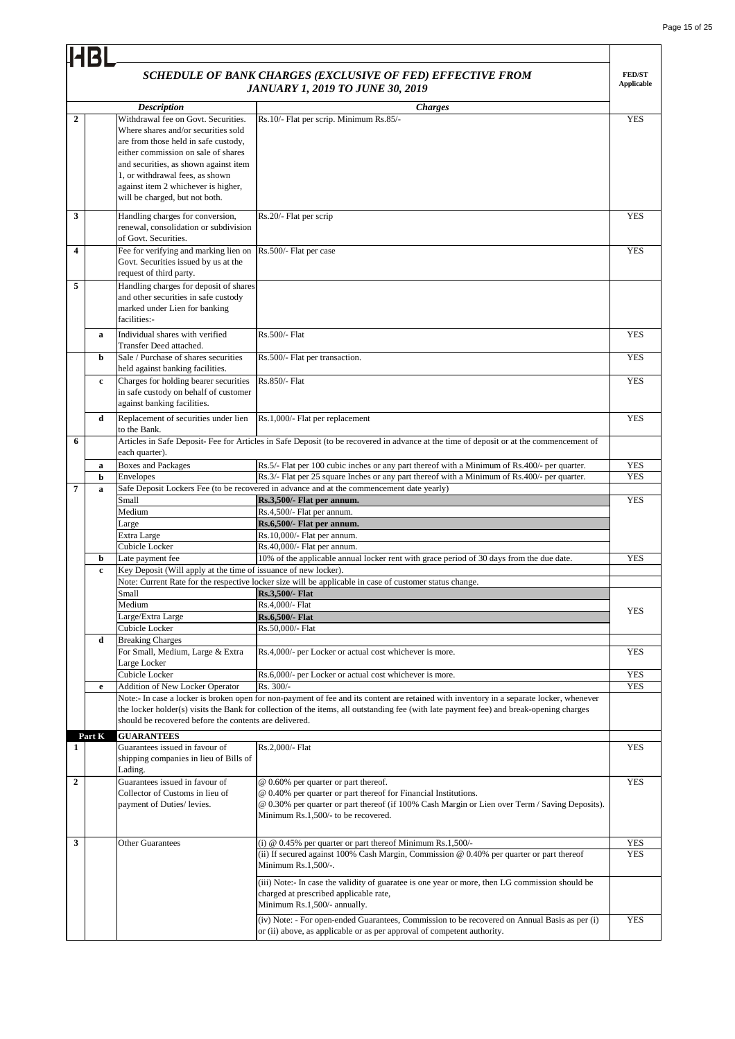|                  | <b>IHBL</b> |                                                                                                                                                                                                                                                                                                                |                                                                                                                                                                                                                                                                                     |                             |
|------------------|-------------|----------------------------------------------------------------------------------------------------------------------------------------------------------------------------------------------------------------------------------------------------------------------------------------------------------------|-------------------------------------------------------------------------------------------------------------------------------------------------------------------------------------------------------------------------------------------------------------------------------------|-----------------------------|
|                  |             |                                                                                                                                                                                                                                                                                                                | SCHEDULE OF BANK CHARGES (EXCLUSIVE OF FED) EFFECTIVE FROM<br><b>JANUARY 1, 2019 TO JUNE 30, 2019</b>                                                                                                                                                                               | <b>FED/ST</b><br>Applicable |
|                  |             | <b>Description</b>                                                                                                                                                                                                                                                                                             | <b>Charges</b>                                                                                                                                                                                                                                                                      |                             |
| $\overline{2}$   |             | Withdrawal fee on Govt. Securities.<br>Where shares and/or securities sold<br>are from those held in safe custody,<br>either commission on sale of shares<br>and securities, as shown against item<br>1, or withdrawal fees, as shown<br>against item 2 whichever is higher,<br>will be charged, but not both. | Rs.10/- Flat per scrip. Minimum Rs.85/-                                                                                                                                                                                                                                             | <b>YES</b>                  |
| 3                |             | Handling charges for conversion,<br>renewal, consolidation or subdivision<br>of Govt. Securities.                                                                                                                                                                                                              | Rs.20/- Flat per scrip                                                                                                                                                                                                                                                              | <b>YES</b>                  |
| 4                |             | Fee for verifying and marking lien on<br>Govt. Securities issued by us at the<br>request of third party.                                                                                                                                                                                                       | Rs.500/- Flat per case                                                                                                                                                                                                                                                              | <b>YES</b>                  |
| 5                |             | Handling charges for deposit of shares<br>and other securities in safe custody<br>marked under Lien for banking<br>facilities:-                                                                                                                                                                                |                                                                                                                                                                                                                                                                                     |                             |
|                  | a           | Individual shares with verified<br>Transfer Deed attached.                                                                                                                                                                                                                                                     | Rs.500/- Flat                                                                                                                                                                                                                                                                       | <b>YES</b>                  |
|                  | b           | Sale / Purchase of shares securities<br>held against banking facilities.                                                                                                                                                                                                                                       | Rs.500/- Flat per transaction.                                                                                                                                                                                                                                                      | <b>YES</b>                  |
|                  | $\mathbf c$ | Charges for holding bearer securities<br>in safe custody on behalf of customer<br>against banking facilities.                                                                                                                                                                                                  | Rs.850/- Flat                                                                                                                                                                                                                                                                       | <b>YES</b>                  |
|                  | d           | Replacement of securities under lien<br>to the Bank.                                                                                                                                                                                                                                                           | Rs.1,000/- Flat per replacement                                                                                                                                                                                                                                                     | <b>YES</b>                  |
| 6                |             | each quarter).                                                                                                                                                                                                                                                                                                 | Articles in Safe Deposit- Fee for Articles in Safe Deposit (to be recovered in advance at the time of deposit or at the commencement of                                                                                                                                             |                             |
|                  | a           | <b>Boxes and Packages</b>                                                                                                                                                                                                                                                                                      | Rs.5/- Flat per 100 cubic inches or any part thereof with a Minimum of Rs.400/- per quarter.                                                                                                                                                                                        | <b>YES</b>                  |
|                  | b           | Envelopes                                                                                                                                                                                                                                                                                                      | Rs.3/- Flat per 25 square Inches or any part thereof with a Minimum of Rs.400/- per quarter.                                                                                                                                                                                        | <b>YES</b>                  |
| 7                | a           |                                                                                                                                                                                                                                                                                                                | Safe Deposit Lockers Fee (to be recovered in advance and at the commencement date yearly)                                                                                                                                                                                           |                             |
|                  |             | Small                                                                                                                                                                                                                                                                                                          | Rs.3,500/- Flat per annum.                                                                                                                                                                                                                                                          | <b>YES</b>                  |
|                  |             | Medium<br>Large                                                                                                                                                                                                                                                                                                | Rs.4,500/- Flat per annum.<br>Rs.6,500/- Flat per annum.                                                                                                                                                                                                                            |                             |
|                  |             | Extra Large                                                                                                                                                                                                                                                                                                    | Rs.10,000/- Flat per annum.                                                                                                                                                                                                                                                         |                             |
|                  |             | Cubicle Locker                                                                                                                                                                                                                                                                                                 | Rs.40,000/- Flat per annum.                                                                                                                                                                                                                                                         |                             |
|                  | b           | Late payment fee                                                                                                                                                                                                                                                                                               | 10% of the applicable annual locker rent with grace period of 30 days from the due date.                                                                                                                                                                                            | <b>YES</b>                  |
|                  | c           | Key Deposit (Will apply at the time of issuance of new locker).                                                                                                                                                                                                                                                |                                                                                                                                                                                                                                                                                     |                             |
|                  |             |                                                                                                                                                                                                                                                                                                                | Note: Current Rate for the respective locker size will be applicable in case of customer status change.                                                                                                                                                                             |                             |
|                  |             | Small                                                                                                                                                                                                                                                                                                          | Rs.3,500/- Flat                                                                                                                                                                                                                                                                     |                             |
|                  |             | Medium                                                                                                                                                                                                                                                                                                         | Rs.4,000/- Flat                                                                                                                                                                                                                                                                     | <b>YES</b>                  |
|                  |             | Large/Extra Large                                                                                                                                                                                                                                                                                              | Rs.6,500/- Flat                                                                                                                                                                                                                                                                     |                             |
|                  |             | Cubicle Locker                                                                                                                                                                                                                                                                                                 | Rs.50,000/- Flat                                                                                                                                                                                                                                                                    |                             |
|                  | d           | <b>Breaking Charges</b><br>For Small, Medium, Large & Extra                                                                                                                                                                                                                                                    | Rs.4,000/- per Locker or actual cost whichever is more.                                                                                                                                                                                                                             | <b>YES</b>                  |
|                  |             | Large Locker<br>Cubicle Locker                                                                                                                                                                                                                                                                                 | Rs.6,000/- per Locker or actual cost whichever is more.                                                                                                                                                                                                                             | <b>YES</b>                  |
|                  | e           | Addition of New Locker Operator                                                                                                                                                                                                                                                                                | Rs. 300/-                                                                                                                                                                                                                                                                           | <b>YES</b>                  |
|                  |             | should be recovered before the contents are delivered.                                                                                                                                                                                                                                                         | Note:- In case a locker is broken open for non-payment of fee and its content are retained with inventory in a separate locker, whenever<br>the locker holder(s) visits the Bank for collection of the items, all outstanding fee (with late payment fee) and break-opening charges |                             |
| 1                | Part K      | <b>GUARANTEES</b><br>Guarantees issued in favour of                                                                                                                                                                                                                                                            | Rs.2,000/- Flat                                                                                                                                                                                                                                                                     | <b>YES</b>                  |
|                  |             | shipping companies in lieu of Bills of<br>Lading.                                                                                                                                                                                                                                                              |                                                                                                                                                                                                                                                                                     |                             |
| $\boldsymbol{2}$ |             | Guarantees issued in favour of                                                                                                                                                                                                                                                                                 | @ 0.60% per quarter or part thereof.                                                                                                                                                                                                                                                | <b>YES</b>                  |
|                  |             | Collector of Customs in lieu of<br>payment of Duties/ levies.                                                                                                                                                                                                                                                  | @ 0.40% per quarter or part thereof for Financial Institutions.<br>@ 0.30% per quarter or part thereof (if 100% Cash Margin or Lien over Term / Saving Deposits).<br>Minimum Rs.1,500/- to be recovered.                                                                            |                             |
| 3                |             | <b>Other Guarantees</b>                                                                                                                                                                                                                                                                                        | (i) $@$ 0.45% per quarter or part thereof Minimum Rs.1,500/-                                                                                                                                                                                                                        | <b>YES</b>                  |
|                  |             |                                                                                                                                                                                                                                                                                                                | (ii) If secured against 100% Cash Margin, Commission @ 0.40% per quarter or part thereof<br>Minimum Rs.1,500/-.                                                                                                                                                                     | <b>YES</b>                  |
|                  |             |                                                                                                                                                                                                                                                                                                                | (iii) Note:- In case the validity of guaratee is one year or more, then LG commission should be<br>charged at prescribed applicable rate,<br>Minimum Rs.1,500/- annually.                                                                                                           |                             |
|                  |             |                                                                                                                                                                                                                                                                                                                | (iv) Note: - For open-ended Guarantees, Commission to be recovered on Annual Basis as per (i)<br>or (ii) above, as applicable or as per approval of competent authority.                                                                                                            | <b>YES</b>                  |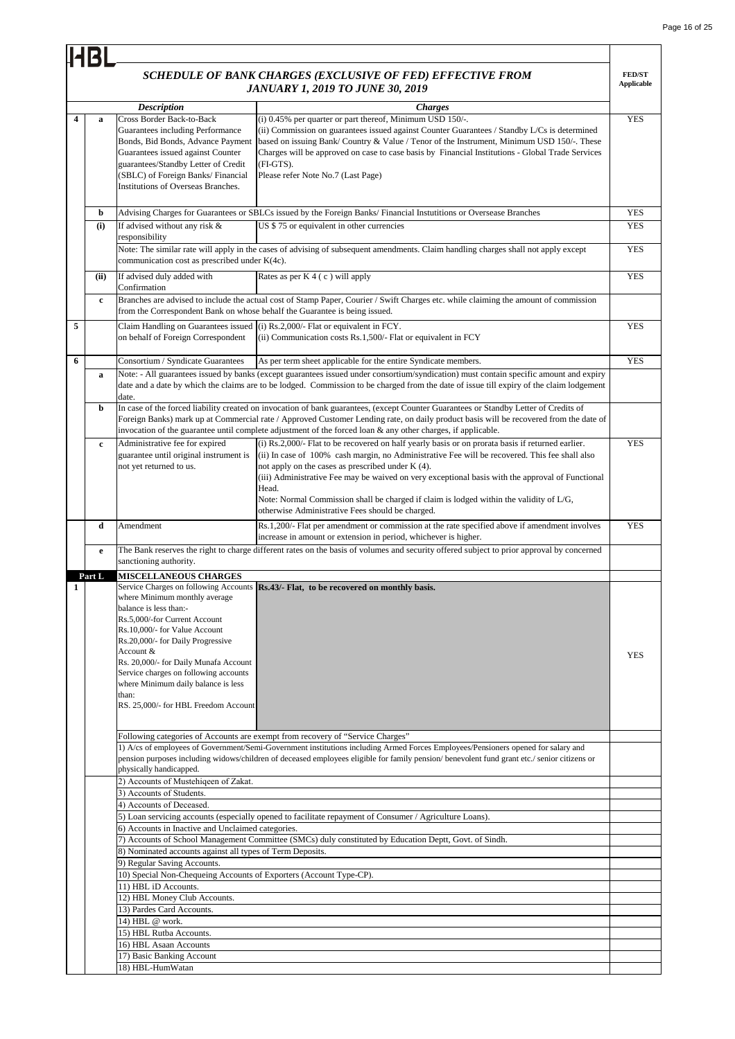|   | 14BI         |                                                                                                                                                                                                                                                                                                                                                       |                                                                                                                                                                                                                                                                                                                                                                                                                                                                                                                      |                                    |
|---|--------------|-------------------------------------------------------------------------------------------------------------------------------------------------------------------------------------------------------------------------------------------------------------------------------------------------------------------------------------------------------|----------------------------------------------------------------------------------------------------------------------------------------------------------------------------------------------------------------------------------------------------------------------------------------------------------------------------------------------------------------------------------------------------------------------------------------------------------------------------------------------------------------------|------------------------------------|
|   |              |                                                                                                                                                                                                                                                                                                                                                       | SCHEDULE OF BANK CHARGES (EXCLUSIVE OF FED) EFFECTIVE FROM<br><b>JANUARY 1, 2019 TO JUNE 30, 2019</b>                                                                                                                                                                                                                                                                                                                                                                                                                | <b>FED/ST</b><br><b>Applicable</b> |
|   |              | <b>Description</b>                                                                                                                                                                                                                                                                                                                                    | <b>Charges</b>                                                                                                                                                                                                                                                                                                                                                                                                                                                                                                       |                                    |
| 4 | a            | Cross Border Back-to-Back<br>Guarantees including Performance<br>Bonds, Bid Bonds, Advance Payment<br>Guarantees issued against Counter<br>guarantees/Standby Letter of Credit<br>(SBLC) of Foreign Banks/ Financial<br>Institutions of Overseas Branches.                                                                                            | (i) 0.45% per quarter or part thereof, Minimum USD 150/-.<br>(ii) Commission on guarantees issued against Counter Guarantees / Standby L/Cs is determined<br>based on issuing Bank/Country & Value / Tenor of the Instrument, Minimum USD 150/ $\text{-}$ . These<br>Charges will be approved on case to case basis by Financial Institutions - Global Trade Services<br>(FI-GTS).<br>Please refer Note No.7 (Last Page)                                                                                             | <b>YES</b>                         |
|   | b            |                                                                                                                                                                                                                                                                                                                                                       | Advising Charges for Guarantees or SBLCs issued by the Foreign Banks/Financial Instutitions or Oversease Branches                                                                                                                                                                                                                                                                                                                                                                                                    | <b>YES</b>                         |
|   | (i)          | If advised without any risk &<br>responsibility                                                                                                                                                                                                                                                                                                       | US \$75 or equivalent in other currencies                                                                                                                                                                                                                                                                                                                                                                                                                                                                            | <b>YES</b>                         |
|   |              | communication cost as prescribed under K(4c).                                                                                                                                                                                                                                                                                                         | Note: The similar rate will apply in the cases of advising of subsequent amendments. Claim handling charges shall not apply except                                                                                                                                                                                                                                                                                                                                                                                   | <b>YES</b>                         |
|   | (ii)         | If advised duly added with<br>Confirmation                                                                                                                                                                                                                                                                                                            | Rates as per $K$ 4 (c) will apply                                                                                                                                                                                                                                                                                                                                                                                                                                                                                    | <b>YES</b>                         |
|   | $\mathbf c$  | from the Correspondent Bank on whose behalf the Guarantee is being issued.                                                                                                                                                                                                                                                                            | Branches are advised to include the actual cost of Stamp Paper, Courier / Swift Charges etc. while claiming the amount of commission                                                                                                                                                                                                                                                                                                                                                                                 |                                    |
| 5 |              | Claim Handling on Guarantees issued<br>on behalf of Foreign Correspondent                                                                                                                                                                                                                                                                             | (i) Rs.2,000/- Flat or equivalent in FCY.<br>(ii) Communication costs Rs.1,500/- Flat or equivalent in FCY                                                                                                                                                                                                                                                                                                                                                                                                           | <b>YES</b>                         |
| 6 |              | Consortium / Syndicate Guarantees                                                                                                                                                                                                                                                                                                                     | As per term sheet applicable for the entire Syndicate members.                                                                                                                                                                                                                                                                                                                                                                                                                                                       | <b>YES</b>                         |
|   | a            | date.                                                                                                                                                                                                                                                                                                                                                 | Note: - All guarantees issued by banks (except guarantees issued under consortium/syndication) must contain specific amount and expiry<br>date and a date by which the claims are to be lodged. Commission to be charged from the date of issue till expiry of the claim lodgement                                                                                                                                                                                                                                   |                                    |
|   | b            |                                                                                                                                                                                                                                                                                                                                                       | In case of the forced liability created on invocation of bank guarantees, (except Counter Guarantees or Standby Letter of Credits of<br>Foreign Banks) mark up at Commercial rate / Approved Customer Lending rate, on daily product basis will be recovered from the date of<br>invocation of the guarantee until complete adjustment of the forced loan $\&$ any other charges, if applicable.                                                                                                                     |                                    |
|   | $\mathbf{c}$ | Administrative fee for expired<br>guarantee until original instrument is<br>not yet returned to us.                                                                                                                                                                                                                                                   | (i) Rs.2,000/- Flat to be recovered on half yearly basis or on prorata basis if returned earlier.<br>(ii) In case of 100% cash margin, no Administrative Fee will be recovered. This fee shall also<br>not apply on the cases as prescribed under K (4).<br>(iii) Administrative Fee may be waived on very exceptional basis with the approval of Functional<br>Head.<br>Note: Normal Commission shall be charged if claim is lodged within the validity of L/G,<br>otherwise Administrative Fees should be charged. | <b>YES</b>                         |
|   | d            | Amendment                                                                                                                                                                                                                                                                                                                                             | Rs.1,200/- Flat per amendment or commission at the rate specified above if amendment involves<br>increase in amount or extension in period, whichever is higher.                                                                                                                                                                                                                                                                                                                                                     | <b>YES</b>                         |
|   | e            | sanctioning authority.                                                                                                                                                                                                                                                                                                                                | The Bank reserves the right to charge different rates on the basis of volumes and security offered subject to prior approval by concerned                                                                                                                                                                                                                                                                                                                                                                            |                                    |
|   | Part L       | <b>MISCELLANEOUS CHARGES</b>                                                                                                                                                                                                                                                                                                                          |                                                                                                                                                                                                                                                                                                                                                                                                                                                                                                                      |                                    |
| 1 |              | where Minimum monthly average<br>balance is less than:-<br>Rs.5,000/-for Current Account<br>Rs.10,000/- for Value Account<br>Rs.20,000/- for Daily Progressive<br>Account &<br>Rs. 20,000/- for Daily Munafa Account<br>Service charges on following accounts<br>where Minimum daily balance is less<br>than:<br>RS. 25,000/- for HBL Freedom Account | Service Charges on following Accounts Rs.43/- Flat, to be recovered on monthly basis.                                                                                                                                                                                                                                                                                                                                                                                                                                | <b>YES</b>                         |
|   |              |                                                                                                                                                                                                                                                                                                                                                       | Following categories of Accounts are exempt from recovery of "Service Charges"<br>1) A/cs of employees of Government/Semi-Government institutions including Armed Forces Employees/Pensioners opened for salary and                                                                                                                                                                                                                                                                                                  |                                    |
|   |              | physically handicapped.                                                                                                                                                                                                                                                                                                                               | pension purposes including widows/children of deceased employees eligible for family pension/ benevolent fund grant etc./ senior citizens or                                                                                                                                                                                                                                                                                                                                                                         |                                    |
|   |              | 2) Accounts of Mustehiqeen of Zakat.<br>3) Accounts of Students.                                                                                                                                                                                                                                                                                      |                                                                                                                                                                                                                                                                                                                                                                                                                                                                                                                      |                                    |
|   |              | 4) Accounts of Deceased.                                                                                                                                                                                                                                                                                                                              |                                                                                                                                                                                                                                                                                                                                                                                                                                                                                                                      |                                    |
|   |              |                                                                                                                                                                                                                                                                                                                                                       | 5) Loan servicing accounts (especially opened to facilitate repayment of Consumer / Agriculture Loans).                                                                                                                                                                                                                                                                                                                                                                                                              |                                    |
|   |              | 6) Accounts in Inactive and Unclaimed categories.                                                                                                                                                                                                                                                                                                     |                                                                                                                                                                                                                                                                                                                                                                                                                                                                                                                      |                                    |
|   |              | 8) Nominated accounts against all types of Term Deposits.                                                                                                                                                                                                                                                                                             | 7) Accounts of School Management Committee (SMCs) duly constituted by Education Deptt, Govt. of Sindh.                                                                                                                                                                                                                                                                                                                                                                                                               |                                    |
|   |              | 9) Regular Saving Accounts.                                                                                                                                                                                                                                                                                                                           |                                                                                                                                                                                                                                                                                                                                                                                                                                                                                                                      |                                    |
|   |              | 10) Special Non-Chequeing Accounts of Exporters (Account Type-CP).                                                                                                                                                                                                                                                                                    |                                                                                                                                                                                                                                                                                                                                                                                                                                                                                                                      |                                    |
|   |              | 11) HBL iD Accounts.                                                                                                                                                                                                                                                                                                                                  |                                                                                                                                                                                                                                                                                                                                                                                                                                                                                                                      |                                    |
|   |              | 12) HBL Money Club Accounts.                                                                                                                                                                                                                                                                                                                          |                                                                                                                                                                                                                                                                                                                                                                                                                                                                                                                      |                                    |
|   |              | 13) Pardes Card Accounts.<br>14) HBL @ work.                                                                                                                                                                                                                                                                                                          |                                                                                                                                                                                                                                                                                                                                                                                                                                                                                                                      |                                    |
|   |              | 15) HBL Rutba Accounts.                                                                                                                                                                                                                                                                                                                               |                                                                                                                                                                                                                                                                                                                                                                                                                                                                                                                      |                                    |
|   |              | 16) HBL Asaan Accounts                                                                                                                                                                                                                                                                                                                                |                                                                                                                                                                                                                                                                                                                                                                                                                                                                                                                      |                                    |
|   |              | 17) Basic Banking Account                                                                                                                                                                                                                                                                                                                             |                                                                                                                                                                                                                                                                                                                                                                                                                                                                                                                      |                                    |
|   |              | 18) HBL-HumWatan                                                                                                                                                                                                                                                                                                                                      |                                                                                                                                                                                                                                                                                                                                                                                                                                                                                                                      |                                    |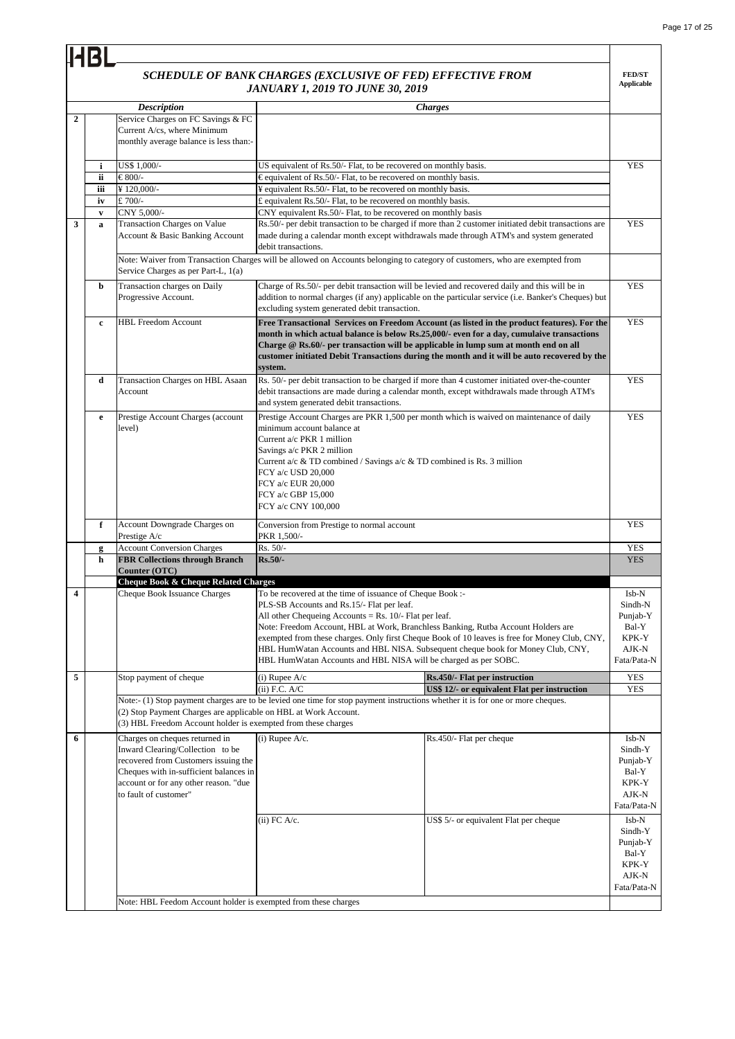## *SCHEDULE OF BANK CHARGES (EXCLUSIVE OF FED) EFFECTIVE FROM JANUARY 1, 2019 TO JUNE 30, 2019*

|                  |              |                                                                                                                                                                                                                        | SCHEDULE OF BANK CHARGES (EXCLUSIVE OF FED) EFFECTIVE FROM<br><b>JANUARY 1, 2019 TO JUNE 30, 2019</b>                                                                                                                                                   |                                                                                                                                                                                                                                                                                         | <b>FED/ST</b><br><b>Applicable</b>                                     |
|------------------|--------------|------------------------------------------------------------------------------------------------------------------------------------------------------------------------------------------------------------------------|---------------------------------------------------------------------------------------------------------------------------------------------------------------------------------------------------------------------------------------------------------|-----------------------------------------------------------------------------------------------------------------------------------------------------------------------------------------------------------------------------------------------------------------------------------------|------------------------------------------------------------------------|
|                  |              | <b>Description</b>                                                                                                                                                                                                     |                                                                                                                                                                                                                                                         | <b>Charges</b>                                                                                                                                                                                                                                                                          |                                                                        |
| $\boldsymbol{2}$ |              | Service Charges on FC Savings & FC<br>Current A/cs, where Minimum<br>monthly average balance is less than:-                                                                                                            |                                                                                                                                                                                                                                                         |                                                                                                                                                                                                                                                                                         |                                                                        |
|                  | i            | US\$ 1,000/-                                                                                                                                                                                                           | US equivalent of Rs.50/- Flat, to be recovered on monthly basis.                                                                                                                                                                                        |                                                                                                                                                                                                                                                                                         | <b>YES</b>                                                             |
|                  | ii           | €800/-                                                                                                                                                                                                                 | €equivalent of Rs.50/- Flat, to be recovered on monthly basis.                                                                                                                                                                                          |                                                                                                                                                                                                                                                                                         |                                                                        |
|                  | iii          | ¥120,000/-                                                                                                                                                                                                             | ¥ equivalent Rs.50/- Flat, to be recovered on monthly basis.                                                                                                                                                                                            |                                                                                                                                                                                                                                                                                         |                                                                        |
|                  | iv           | £700/-                                                                                                                                                                                                                 | £ equivalent Rs.50/- Flat, to be recovered on monthly basis.                                                                                                                                                                                            |                                                                                                                                                                                                                                                                                         |                                                                        |
|                  | $\mathbf{v}$ | CNY 5,000/-                                                                                                                                                                                                            | CNY equivalent Rs.50/- Flat, to be recovered on monthly basis                                                                                                                                                                                           |                                                                                                                                                                                                                                                                                         |                                                                        |
| 3                | $\mathbf a$  | Transaction Charges on Value<br>Account & Basic Banking Account                                                                                                                                                        | debit transactions.                                                                                                                                                                                                                                     | Rs.50/- per debit transaction to be charged if more than 2 customer initiated debit transactions are<br>made during a calendar month except withdrawals made through ATM's and system generated                                                                                         | <b>YES</b>                                                             |
|                  |              | Service Charges as per Part-L, 1(a)                                                                                                                                                                                    | Note: Waiver from Transaction Charges will be allowed on Accounts belonging to category of customers, who are exempted from                                                                                                                             |                                                                                                                                                                                                                                                                                         |                                                                        |
|                  | b            | Transaction charges on Daily<br>Progressive Account.                                                                                                                                                                   | excluding system generated debit transaction.                                                                                                                                                                                                           | Charge of Rs.50/- per debit transaction will be levied and recovered daily and this will be in<br>addition to normal charges (if any) applicable on the particular service (i.e. Banker's Cheques) but                                                                                  | <b>YES</b>                                                             |
|                  | c            | <b>HBL Freedom Account</b>                                                                                                                                                                                             | Charge @ Rs.60/- per transaction will be applicable in lump sum at month end on all<br>system.                                                                                                                                                          | Free Transactional Services on Freedom Account (as listed in the product features). For the<br>month in which actual balance is below Rs.25,000/- even for a day, cumulaive transactions<br>customer initiated Debit Transactions during the month and it will be auto recovered by the | <b>YES</b>                                                             |
|                  | d            | Transaction Charges on HBL Asaan<br>Account                                                                                                                                                                            | and system generated debit transactions.                                                                                                                                                                                                                | Rs. 50/- per debit transaction to be charged if more than 4 customer initiated over-the-counter<br>debit transactions are made during a calendar month, except withdrawals made through ATM's                                                                                           | <b>YES</b>                                                             |
|                  | $\mathbf e$  | Prestige Account Charges (account<br>level)                                                                                                                                                                            | minimum account balance at<br>Current a/c PKR 1 million<br>Savings a/c PKR 2 million<br>Current a/c & TD combined / Savings a/c & TD combined is Rs. 3 million<br>FCY a/c USD 20,000<br>FCY a/c EUR 20,000<br>FCY a/c GBP 15,000<br>FCY a/c CNY 100,000 | Prestige Account Charges are PKR 1,500 per month which is waived on maintenance of daily                                                                                                                                                                                                | <b>YES</b>                                                             |
|                  | f            | Account Downgrade Charges on<br>Prestige A/c                                                                                                                                                                           | Conversion from Prestige to normal account<br>PKR 1,500/-                                                                                                                                                                                               |                                                                                                                                                                                                                                                                                         | <b>YES</b>                                                             |
|                  | g            | <b>Account Conversion Charges</b>                                                                                                                                                                                      | Rs. 50/-                                                                                                                                                                                                                                                |                                                                                                                                                                                                                                                                                         | <b>YES</b>                                                             |
|                  | h            | <b>FBR Collections through Branch</b><br>Counter (OTC)                                                                                                                                                                 | $Rs.50/-$                                                                                                                                                                                                                                               |                                                                                                                                                                                                                                                                                         | <b>YES</b>                                                             |
|                  |              | <b>Cheque Book &amp; Cheque Related Charges</b>                                                                                                                                                                        |                                                                                                                                                                                                                                                         |                                                                                                                                                                                                                                                                                         |                                                                        |
| 4                |              | Cheque Book Issuance Charges                                                                                                                                                                                           | To be recovered at the time of issuance of Cheque Book :-                                                                                                                                                                                               |                                                                                                                                                                                                                                                                                         | Isb-N                                                                  |
|                  |              |                                                                                                                                                                                                                        | PLS-SB Accounts and Rs.15/- Flat per leaf.                                                                                                                                                                                                              |                                                                                                                                                                                                                                                                                         | Sindh-N                                                                |
|                  |              |                                                                                                                                                                                                                        | All other Chequeing Accounts = Rs. $10/-$ Flat per leaf.<br>Note: Freedom Account, HBL at Work, Branchless Banking, Rutba Account Holders are                                                                                                           |                                                                                                                                                                                                                                                                                         | Punjab-Y<br>Bal-Y                                                      |
|                  |              |                                                                                                                                                                                                                        |                                                                                                                                                                                                                                                         | exempted from these charges. Only first Cheque Book of 10 leaves is free for Money Club, CNY,                                                                                                                                                                                           | KPK-Y                                                                  |
|                  |              |                                                                                                                                                                                                                        |                                                                                                                                                                                                                                                         | HBL HumWatan Accounts and HBL NISA. Subsequent cheque book for Money Club, CNY,                                                                                                                                                                                                         | AJK-N                                                                  |
|                  |              |                                                                                                                                                                                                                        | HBL HumWatan Accounts and HBL NISA will be charged as per SOBC.                                                                                                                                                                                         |                                                                                                                                                                                                                                                                                         | Fata/Pata-N                                                            |
| 5                |              | Stop payment of cheque                                                                                                                                                                                                 | $(i)$ Rupee A/c                                                                                                                                                                                                                                         | Rs.450/- Flat per instruction                                                                                                                                                                                                                                                           | <b>YES</b>                                                             |
|                  |              |                                                                                                                                                                                                                        | $(ii)$ F.C. $A/C$                                                                                                                                                                                                                                       | US\$ 12/- or equivalent Flat per instruction                                                                                                                                                                                                                                            | YES                                                                    |
|                  |              | (2) Stop Payment Charges are applicable on HBL at Work Account.<br>(3) HBL Freedom Account holder is exempted from these charges                                                                                       | Note:- (1) Stop payment charges are to be levied one time for stop payment instructions whether it is for one or more cheques.                                                                                                                          |                                                                                                                                                                                                                                                                                         |                                                                        |
| 6                |              | Charges on cheques returned in<br>Inward Clearing/Collection to be<br>recovered from Customers issuing the<br>Cheques with in-sufficient balances in<br>account or for any other reason. "due<br>to fault of customer" | $(i)$ Rupee A/c.                                                                                                                                                                                                                                        | Rs.450/- Flat per cheque                                                                                                                                                                                                                                                                | Isb-N<br>Sindh-Y<br>Punjab-Y<br>Bal-Y<br>KPK-Y<br>AJK-N<br>Fata/Pata-N |
|                  |              | Note: HBL Feedom Account holder is exempted from these charges                                                                                                                                                         | $(ii)$ FC A/c.                                                                                                                                                                                                                                          | US\$ 5/- or equivalent Flat per cheque                                                                                                                                                                                                                                                  | Isb-N<br>Sindh-Y<br>Punjab-Y<br>Bal-Y<br>KPK-Y<br>AJK-N<br>Fata/Pata-N |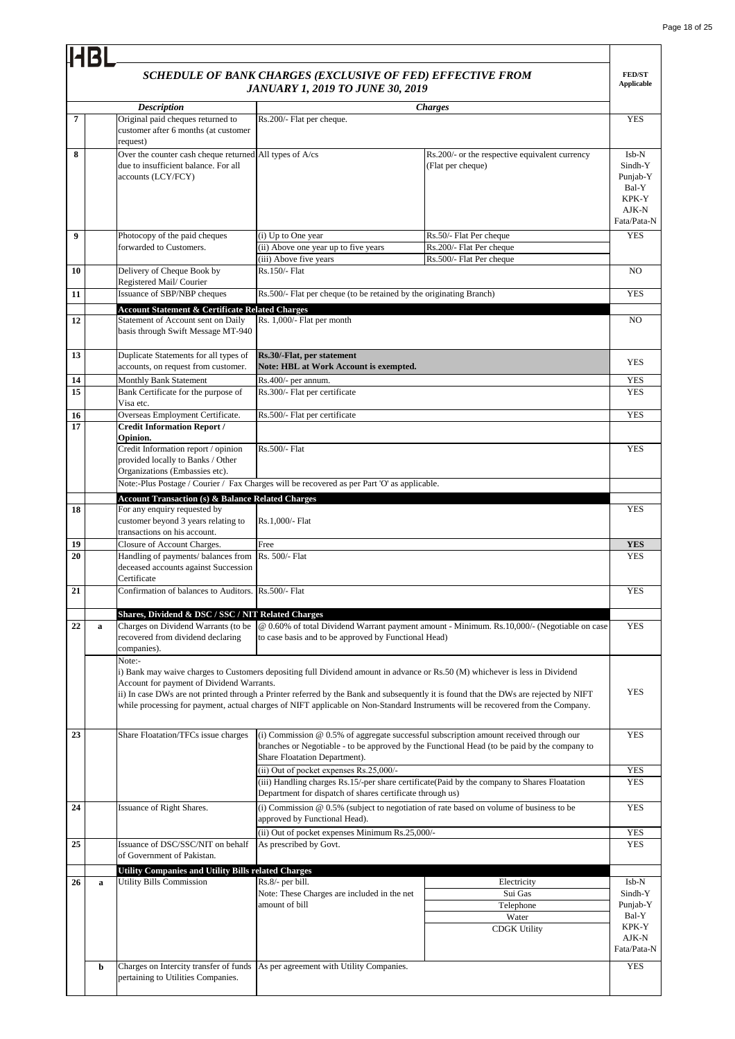÷,

|    |   |                                                                              | SCHEDULE OF BANK CHARGES (EXCLUSIVE OF FED) EFFECTIVE FROM<br><b>JANUARY 1, 2019 TO JUNE 30, 2019</b>                        |                                                                                                                                       | <b>FED/ST</b><br><b>Applicable</b> |
|----|---|------------------------------------------------------------------------------|------------------------------------------------------------------------------------------------------------------------------|---------------------------------------------------------------------------------------------------------------------------------------|------------------------------------|
|    |   | <b>Description</b>                                                           |                                                                                                                              | <b>Charges</b>                                                                                                                        |                                    |
| 7  |   | Original paid cheques returned to                                            | Rs.200/- Flat per cheque.                                                                                                    |                                                                                                                                       | <b>YES</b>                         |
|    |   | customer after 6 months (at customer<br>request)                             |                                                                                                                              |                                                                                                                                       |                                    |
| 8  |   | Over the counter cash cheque returned All types of A/cs                      |                                                                                                                              | Rs.200/- or the respective equivalent currency                                                                                        | Isb-N                              |
|    |   | due to insufficient balance. For all                                         |                                                                                                                              | (Flat per cheque)                                                                                                                     | Sindh-Y                            |
|    |   | accounts (LCY/FCY)                                                           |                                                                                                                              |                                                                                                                                       | Punjab-Y                           |
|    |   |                                                                              |                                                                                                                              |                                                                                                                                       | Bal-Y<br>KPK-Y                     |
|    |   |                                                                              |                                                                                                                              |                                                                                                                                       | AJK-N                              |
|    |   |                                                                              |                                                                                                                              |                                                                                                                                       | Fata/Pata-N                        |
| 9  |   | Photocopy of the paid cheques                                                | (i) Up to One year                                                                                                           | Rs.50/- Flat Per cheque                                                                                                               | <b>YES</b>                         |
|    |   | forwarded to Customers.                                                      | (ii) Above one year up to five years                                                                                         | Rs.200/- Flat Per cheque                                                                                                              |                                    |
|    |   |                                                                              | (iii) Above five years                                                                                                       | Rs.500/- Flat Per cheque                                                                                                              |                                    |
| 10 |   | Delivery of Cheque Book by<br>Registered Mail/Courier                        | Rs.150/- Flat                                                                                                                |                                                                                                                                       | N <sub>O</sub>                     |
| 11 |   | Issuance of SBP/NBP cheques                                                  | Rs.500/- Flat per cheque (to be retained by the originating Branch)                                                          |                                                                                                                                       | <b>YES</b>                         |
|    |   | <b>Account Statement &amp; Certificate Related Charges</b>                   |                                                                                                                              |                                                                                                                                       |                                    |
| 12 |   | Statement of Account sent on Daily                                           | Rs. 1,000/- Flat per month                                                                                                   |                                                                                                                                       | NO.                                |
|    |   | basis through Swift Message MT-940                                           |                                                                                                                              |                                                                                                                                       |                                    |
|    |   |                                                                              |                                                                                                                              |                                                                                                                                       |                                    |
| 13 |   | Duplicate Statements for all types of<br>accounts, on request from customer. | Rs.30/-Flat, per statement<br>Note: HBL at Work Account is exempted.                                                         |                                                                                                                                       | <b>YES</b>                         |
| 14 |   | <b>Monthly Bank Statement</b>                                                | Rs.400/- per annum.                                                                                                          |                                                                                                                                       | <b>YES</b>                         |
| 15 |   | Bank Certificate for the purpose of                                          | Rs.300/- Flat per certificate                                                                                                |                                                                                                                                       | <b>YES</b>                         |
|    |   | Visa etc.                                                                    |                                                                                                                              |                                                                                                                                       |                                    |
| 16 |   | Overseas Employment Certificate.                                             | Rs.500/- Flat per certificate                                                                                                |                                                                                                                                       | <b>YES</b>                         |
| 17 |   | <b>Credit Information Report /</b>                                           |                                                                                                                              |                                                                                                                                       |                                    |
|    |   | Opinion.<br>Credit Information report / opinion                              | Rs.500/- Flat                                                                                                                |                                                                                                                                       | <b>YES</b>                         |
|    |   | provided locally to Banks / Other                                            |                                                                                                                              |                                                                                                                                       |                                    |
|    |   | Organizations (Embassies etc).                                               |                                                                                                                              |                                                                                                                                       |                                    |
|    |   |                                                                              | Note:-Plus Postage / Courier / Fax Charges will be recovered as per Part 'O' as applicable.                                  |                                                                                                                                       |                                    |
|    |   | <b>Account Transaction (s) &amp; Balance Related Charges</b>                 |                                                                                                                              |                                                                                                                                       |                                    |
| 18 |   | For any enquiry requested by                                                 |                                                                                                                              |                                                                                                                                       | <b>YES</b>                         |
|    |   | customer beyond 3 years relating to<br>transactions on his account.          | Rs.1,000/- Flat                                                                                                              |                                                                                                                                       |                                    |
| 19 |   | Closure of Account Charges.                                                  | Free                                                                                                                         |                                                                                                                                       | <b>YES</b>                         |
| 20 |   | Handling of payments/ balances from Rs. 500/- Flat                           |                                                                                                                              |                                                                                                                                       | <b>YES</b>                         |
|    |   | deceased accounts against Succession                                         |                                                                                                                              |                                                                                                                                       |                                    |
|    |   | Certificate                                                                  |                                                                                                                              |                                                                                                                                       |                                    |
| 21 |   | Confirmation of balances to Auditors. Rs.500/- Flat                          |                                                                                                                              |                                                                                                                                       | <b>YES</b>                         |
|    |   | Shares, Dividend & DSC / SSC / NIT Related Charges                           |                                                                                                                              |                                                                                                                                       |                                    |
| 22 | a | Charges on Dividend Warrants (to be                                          |                                                                                                                              | @ 0.60% of total Dividend Warrant payment amount - Minimum. Rs.10,000/- (Negotiable on case                                           | <b>YES</b>                         |
|    |   | recovered from dividend declaring                                            | to case basis and to be approved by Functional Head)                                                                         |                                                                                                                                       |                                    |
|    |   | companies).                                                                  |                                                                                                                              |                                                                                                                                       |                                    |
|    |   | Note:-                                                                       |                                                                                                                              |                                                                                                                                       |                                    |
|    |   | Account for payment of Dividend Warrants.                                    | i) Bank may waive charges to Customers depositing full Dividend amount in advance or Rs.50 (M) whichever is less in Dividend |                                                                                                                                       |                                    |
|    |   |                                                                              |                                                                                                                              | ii) In case DWs are not printed through a Printer referred by the Bank and subsequently it is found that the DWs are rejected by NIFT | <b>YES</b>                         |
|    |   |                                                                              |                                                                                                                              | while processing for payment, actual charges of NIFT applicable on Non-Standard Instruments will be recovered from the Company.       |                                    |
|    |   |                                                                              |                                                                                                                              |                                                                                                                                       |                                    |
| 23 |   | Share Floatation/TFCs issue charges                                          |                                                                                                                              | (i) Commission $@$ 0.5% of aggregate successful subscription amount received through our                                              | <b>YES</b>                         |
|    |   |                                                                              |                                                                                                                              | branches or Negotiable - to be approved by the Functional Head (to be paid by the company to                                          |                                    |
|    |   |                                                                              | Share Floatation Department).                                                                                                |                                                                                                                                       |                                    |
|    |   |                                                                              | (ii) Out of pocket expenses Rs.25,000/-                                                                                      |                                                                                                                                       | <b>YES</b><br><b>YES</b>           |
|    |   |                                                                              | Department for dispatch of shares certificate through us)                                                                    | (iii) Handling charges Rs.15/-per share certificate(Paid by the company to Shares Floatation                                          |                                    |
| 24 |   | Issuance of Right Shares.                                                    | (i) Commission $@$ 0.5% (subject to negotiation of rate based on volume of business to be                                    |                                                                                                                                       | <b>YES</b>                         |
|    |   |                                                                              | approved by Functional Head).                                                                                                |                                                                                                                                       |                                    |
|    |   |                                                                              | (ii) Out of pocket expenses Minimum Rs.25,000/-                                                                              |                                                                                                                                       | <b>YES</b>                         |
| 25 |   | Issuance of DSC/SSC/NIT on behalf                                            | As prescribed by Govt.                                                                                                       |                                                                                                                                       | <b>YES</b>                         |
|    |   | of Government of Pakistan.                                                   |                                                                                                                              |                                                                                                                                       |                                    |
|    |   | <b>Utility Companies and Utility Bills related Charges</b>                   |                                                                                                                              |                                                                                                                                       |                                    |
| 26 | a | <b>Utility Bills Commission</b>                                              | Rs.8/- per bill.                                                                                                             | Electricity                                                                                                                           | Isb-N                              |
|    |   |                                                                              | Note: These Charges are included in the net<br>amount of bill                                                                | Sui Gas                                                                                                                               | Sindh-Y                            |
|    |   |                                                                              |                                                                                                                              | Telephone<br>Water                                                                                                                    | Punjab-Y<br>Bal-Y                  |
|    |   |                                                                              |                                                                                                                              | <b>CDGK Utility</b>                                                                                                                   | KPK-Y                              |
|    |   |                                                                              |                                                                                                                              |                                                                                                                                       | AJK-N                              |
|    |   |                                                                              |                                                                                                                              |                                                                                                                                       | Fata/Pata-N                        |
|    | b | Charges on Intercity transfer of funds                                       | As per agreement with Utility Companies.                                                                                     |                                                                                                                                       | <b>YES</b>                         |
|    |   | pertaining to Utilities Companies.                                           |                                                                                                                              |                                                                                                                                       |                                    |
|    |   |                                                                              |                                                                                                                              |                                                                                                                                       |                                    |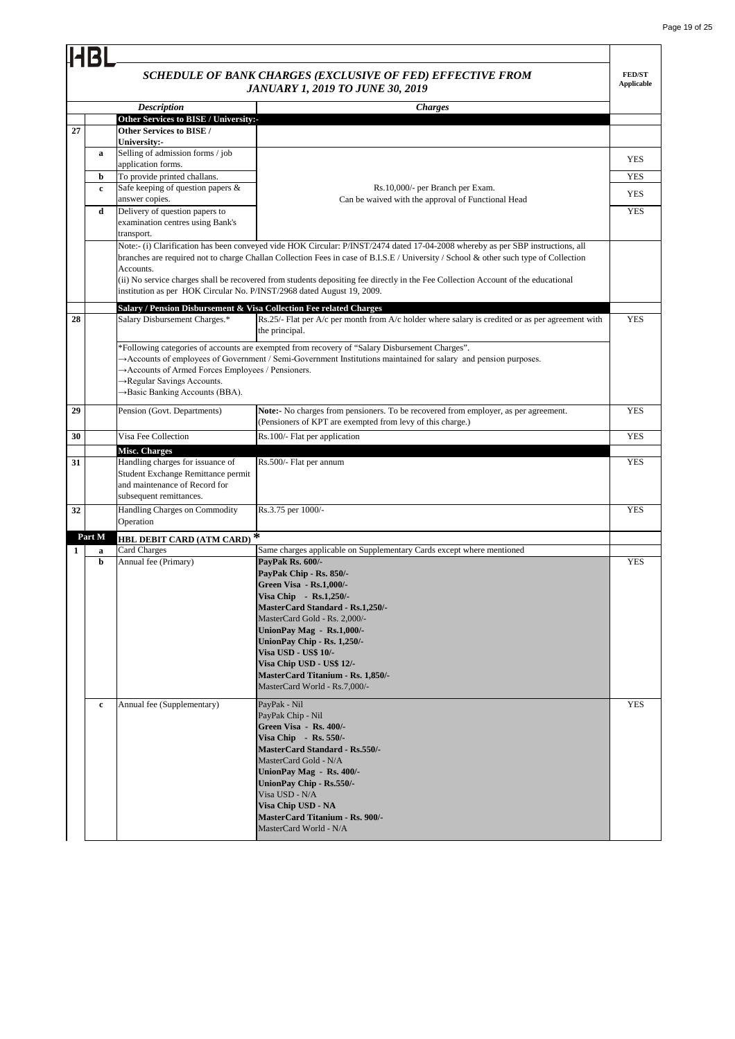## *SCHEDULE OF BANK CHARGES (EXCLUSIVE OF FED) EFFECTIVE FROM*

|    |        |                                                                                                                                    | SCHEDULE OF BANK CHARGES (EXCLUSIVE OF FED) EFFECTIVE FROM<br><b>JANUARY 1, 2019 TO JUNE 30, 2019</b>                                                                                                                                                                                                                                                                                                        | <b>FED/ST</b><br><b>Applicable</b> |
|----|--------|------------------------------------------------------------------------------------------------------------------------------------|--------------------------------------------------------------------------------------------------------------------------------------------------------------------------------------------------------------------------------------------------------------------------------------------------------------------------------------------------------------------------------------------------------------|------------------------------------|
|    |        | <b>Description</b>                                                                                                                 | <b>Charges</b>                                                                                                                                                                                                                                                                                                                                                                                               |                                    |
|    |        | Other Services to BISE / University:-                                                                                              |                                                                                                                                                                                                                                                                                                                                                                                                              |                                    |
| 27 |        | Other Services to BISE /<br>University:-                                                                                           |                                                                                                                                                                                                                                                                                                                                                                                                              |                                    |
|    | a      | Selling of admission forms / job<br>application forms.                                                                             |                                                                                                                                                                                                                                                                                                                                                                                                              | <b>YES</b>                         |
|    | b      | To provide printed challans.                                                                                                       |                                                                                                                                                                                                                                                                                                                                                                                                              | <b>YES</b>                         |
|    | c      | Safe keeping of question papers &<br>answer copies.                                                                                | Rs.10,000/- per Branch per Exam.<br>Can be waived with the approval of Functional Head                                                                                                                                                                                                                                                                                                                       | YES                                |
|    | d      | Delivery of question papers to<br>examination centres using Bank's<br>transport.                                                   |                                                                                                                                                                                                                                                                                                                                                                                                              | <b>YES</b>                         |
|    |        | Accounts.<br>institution as per HOK Circular No. P/INST/2968 dated August 19, 2009.                                                | Note:- (i) Clarification has been conveyed vide HOK Circular: P/INST/2474 dated 17-04-2008 whereby as per SBP instructions, all<br>branches are required not to charge Challan Collection Fees in case of B.I.S.E / University / School & other such type of Collection<br>(ii) No service charges shall be recovered from students depositing fee directly in the Fee Collection Account of the educational |                                    |
| 28 |        | Salary / Pension Disbursement & Visa Collection Fee related Charges<br>Salary Disbursement Charges.*                               | Rs.25/- Flat per A/c per month from A/c holder where salary is credited or as per agreement with<br>the principal.                                                                                                                                                                                                                                                                                           | <b>YES</b>                         |
|    |        | Accounts of Armed Forces Employees / Pensioners.<br>→Regular Savings Accounts.<br>→ Basic Banking Accounts (BBA).                  | *Following categories of accounts are exempted from recovery of "Salary Disbursement Charges".<br>>Accounts of employees of Government / Semi-Government Institutions maintained for salary and pension purposes.                                                                                                                                                                                            |                                    |
| 29 |        | Pension (Govt. Departments)                                                                                                        | Note:- No charges from pensioners. To be recovered from employer, as per agreement.<br>(Pensioners of KPT are exempted from levy of this charge.)                                                                                                                                                                                                                                                            | <b>YES</b>                         |
| 30 |        | Visa Fee Collection                                                                                                                | Rs.100/- Flat per application                                                                                                                                                                                                                                                                                                                                                                                | <b>YES</b>                         |
|    |        | <b>Misc. Charges</b>                                                                                                               |                                                                                                                                                                                                                                                                                                                                                                                                              |                                    |
| 31 |        | Handling charges for issuance of<br>Student Exchange Remittance permit<br>and maintenance of Record for<br>subsequent remittances. | Rs.500/- Flat per annum                                                                                                                                                                                                                                                                                                                                                                                      | YES                                |
| 32 |        | Handling Charges on Commodity<br>Operation                                                                                         | Rs.3.75 per 1000/-                                                                                                                                                                                                                                                                                                                                                                                           | <b>YES</b>                         |
|    | Part M | <b>HBL DEBIT CARD (ATM CARD)<sup>*</sup></b>                                                                                       |                                                                                                                                                                                                                                                                                                                                                                                                              |                                    |
| 1  | a      | Card Charges                                                                                                                       | Same charges applicable on Supplementary Cards except where mentioned                                                                                                                                                                                                                                                                                                                                        |                                    |
|    | b      | Annual fee (Primary)                                                                                                               | PayPak Rs. 600/-<br>PayPak Chip - Rs. 850/-<br><b>Green Visa - Rs.1,000/-</b><br>Visa Chip - Rs.1,250/-<br>MasterCard Standard - Rs.1,250/-<br>MasterCard Gold - Rs. 2,000/-<br>UnionPay Mag - Rs.1,000/-<br>UnionPay Chip - Rs. 1,250/-<br><b>Visa USD - US\$ 10/-</b><br>Visa Chip USD - US\$ 12/-<br><b>MasterCard Titanium - Rs. 1,850/-</b><br>MasterCard World - Rs.7,000/-                            | <b>YES</b>                         |
|    | c      | Annual fee (Supplementary)                                                                                                         | PayPak - Nil<br>PayPak Chip - Nil<br>Green Visa - Rs. 400/-<br>Visa Chip - Rs. 550/-<br><b>MasterCard Standard - Rs.550/-</b><br>MasterCard Gold - N/A<br>UnionPay Mag - Rs. 400/-<br>UnionPay Chip - Rs.550/-<br>Visa USD - N/A<br>Visa Chip USD - NA<br><b>MasterCard Titanium - Rs. 900/-</b><br>MasterCard World - N/A                                                                                   | <b>YES</b>                         |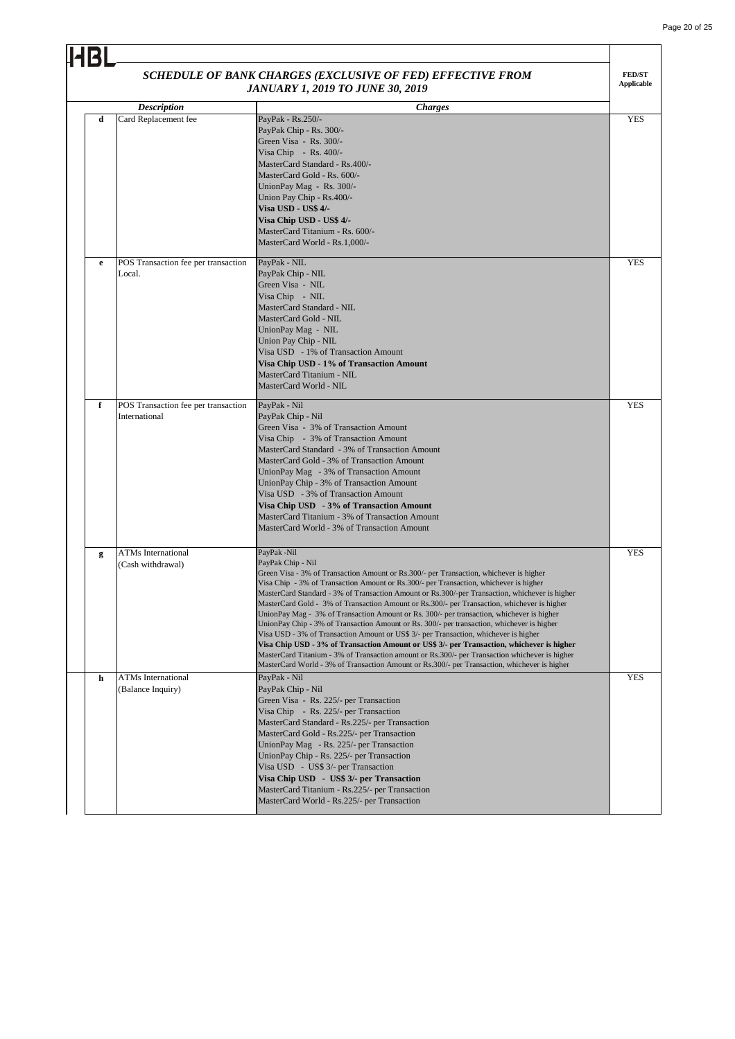| <b>JANUARY 1, 2019 TO JUNE 30, 2019</b><br>Description<br><b>Charges</b><br>Card Replacement fee<br>PayPak - Rs.250/-<br>d |                                                      |                                                                                                                                                                                                                                                                                                                                                                                                                                                                                                                                                                                                                                                                                                                                                                                                                                                                                                                                                                                                        |            |
|----------------------------------------------------------------------------------------------------------------------------|------------------------------------------------------|--------------------------------------------------------------------------------------------------------------------------------------------------------------------------------------------------------------------------------------------------------------------------------------------------------------------------------------------------------------------------------------------------------------------------------------------------------------------------------------------------------------------------------------------------------------------------------------------------------------------------------------------------------------------------------------------------------------------------------------------------------------------------------------------------------------------------------------------------------------------------------------------------------------------------------------------------------------------------------------------------------|------------|
|                                                                                                                            |                                                      | PayPak Chip - Rs. 300/-<br>Green Visa - Rs. 300/-<br>Visa Chip - Rs. $400/-$<br>MasterCard Standard - Rs.400/-<br>MasterCard Gold - Rs. 600/-<br>UnionPay Mag - Rs. 300/-<br>Union Pay Chip - Rs.400/-<br><b>Visa USD - US\$ 4/-</b><br>Visa Chip USD - US\$ 4/-<br>MasterCard Titanium - Rs. 600/-<br>MasterCard World - Rs.1,000/-                                                                                                                                                                                                                                                                                                                                                                                                                                                                                                                                                                                                                                                                   | <b>YES</b> |
| e                                                                                                                          | POS Transaction fee per transaction<br>Local.        | PayPak - NIL<br>PayPak Chip - NIL<br>Green Visa - NIL<br>Visa Chip - NIL<br>MasterCard Standard - NIL<br>MasterCard Gold - NIL<br>UnionPay Mag - NIL<br>Union Pay Chip - NIL<br>Visa USD - 1% of Transaction Amount<br>Visa Chip USD - 1% of Transaction Amount<br>MasterCard Titanium - NIL<br>MasterCard World - NIL                                                                                                                                                                                                                                                                                                                                                                                                                                                                                                                                                                                                                                                                                 | <b>YES</b> |
| f                                                                                                                          | POS Transaction fee per transaction<br>International | PayPak - Nil<br>PayPak Chip - Nil<br>Green Visa - 3% of Transaction Amount<br>Visa Chip - 3% of Transaction Amount<br>MasterCard Standard - 3% of Transaction Amount<br>MasterCard Gold - 3% of Transaction Amount<br>UnionPay Mag - 3% of Transaction Amount<br>UnionPay Chip - 3% of Transaction Amount<br>Visa USD - 3% of Transaction Amount<br>Visa Chip USD - 3% of Transaction Amount<br>MasterCard Titanium - 3% of Transaction Amount<br>MasterCard World - 3% of Transaction Amount                                                                                                                                                                                                                                                                                                                                                                                                                                                                                                          | <b>YES</b> |
| g                                                                                                                          | <b>ATMs</b> International<br>(Cash withdrawal)       | PayPak -Nil<br>PayPak Chip - Nil<br>Green Visa - 3% of Transaction Amount or Rs.300/- per Transaction, whichever is higher<br>Visa Chip - 3% of Transaction Amount or Rs.300/- per Transaction, whichever is higher<br>MasterCard Standard - 3% of Transaction Amount or Rs.300/-per Transaction, whichever is higher<br>MasterCard Gold - 3% of Transaction Amount or Rs.300/- per Transaction, whichever is higher<br>UnionPay Mag - 3% of Transaction Amount or Rs. 300/- per transaction, whichever is higher<br>UnionPay Chip - 3% of Transaction Amount or Rs. 300/- per transaction, whichever is higher<br>Visa USD - 3% of Transaction Amount or US\$ 3/- per Transaction, whichever is higher<br>Visa Chip USD - 3% of Transaction Amount or US\$ 3/- per Transaction, whichever is higher<br>MasterCard Titanium - 3% of Transaction amount or Rs.300/- per Transaction whichever is higher<br>MasterCard World - 3% of Transaction Amount or Rs.300/- per Transaction, whichever is higher | <b>YES</b> |
| h                                                                                                                          | <b>ATMs</b> International<br>(Balance Inquiry)       | PayPak - Nil<br>PayPak Chip - Nil<br>Green Visa - Rs. 225/- per Transaction<br>Visa Chip - Rs. 225/- per Transaction<br>MasterCard Standard - Rs.225/- per Transaction<br>MasterCard Gold - Rs.225/- per Transaction<br>UnionPay Mag - Rs. 225/- per Transaction<br>UnionPay Chip - Rs. 225/- per Transaction<br>Visa USD - US\$ 3/- per Transaction<br>Visa Chip USD - US\$ 3/- per Transaction<br>MasterCard Titanium - Rs.225/- per Transaction<br>MasterCard World - Rs.225/- per Transaction                                                                                                                                                                                                                                                                                                                                                                                                                                                                                                      | <b>YES</b> |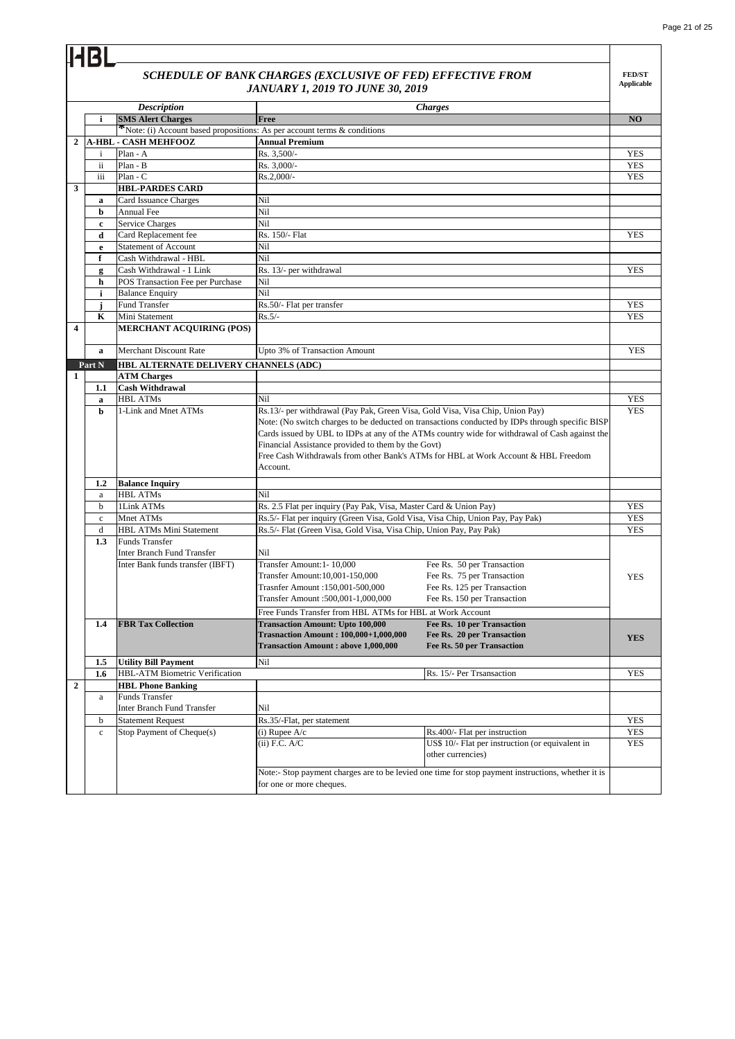|                         |              |                                                                          | SCHEDULE OF BANK CHARGES (EXCLUSIVE OF FED) EFFECTIVE FROM<br><b>JANUARY 1, 2019 TO JUNE 30, 2019</b> |                                                                                                                                                                                                                                                                                         | <b>FED/ST</b><br><b>Applicable</b> |
|-------------------------|--------------|--------------------------------------------------------------------------|-------------------------------------------------------------------------------------------------------|-----------------------------------------------------------------------------------------------------------------------------------------------------------------------------------------------------------------------------------------------------------------------------------------|------------------------------------|
|                         |              | <b>Description</b>                                                       |                                                                                                       | <b>Charges</b>                                                                                                                                                                                                                                                                          |                                    |
|                         | i            | <b>SMS Alert Charges</b>                                                 | Free                                                                                                  |                                                                                                                                                                                                                                                                                         | NO                                 |
|                         |              | *Note: (i) Account based propositions: As per account terms & conditions |                                                                                                       |                                                                                                                                                                                                                                                                                         |                                    |
| $\overline{2}$          |              | <b>A-HBL - CASH MEHFOOZ</b>                                              | <b>Annual Premium</b>                                                                                 |                                                                                                                                                                                                                                                                                         |                                    |
|                         | i            | Plan - A                                                                 | Rs. 3,500/-                                                                                           |                                                                                                                                                                                                                                                                                         | <b>YES</b>                         |
|                         | ii           | Plan - B                                                                 | Rs. 3,000/-                                                                                           |                                                                                                                                                                                                                                                                                         | <b>YES</b>                         |
|                         | iii          | Plan - C                                                                 | Rs.2,000/-                                                                                            |                                                                                                                                                                                                                                                                                         | <b>YES</b>                         |
| 3                       |              | <b>HBL-PARDES CARD</b>                                                   |                                                                                                       |                                                                                                                                                                                                                                                                                         |                                    |
|                         | a            | Card Issuance Charges                                                    | Nil                                                                                                   |                                                                                                                                                                                                                                                                                         |                                    |
|                         | b            | Annual Fee                                                               | Nil                                                                                                   |                                                                                                                                                                                                                                                                                         |                                    |
|                         | c            | <b>Service Charges</b>                                                   | Nil                                                                                                   |                                                                                                                                                                                                                                                                                         |                                    |
|                         | d            | Card Replacement fee<br><b>Statement of Account</b>                      | Rs. 150/- Flat<br>Nil                                                                                 |                                                                                                                                                                                                                                                                                         | <b>YES</b>                         |
|                         | e<br>f       | Cash Withdrawal - HBL                                                    | Nil                                                                                                   |                                                                                                                                                                                                                                                                                         |                                    |
|                         |              | Cash Withdrawal - 1 Link                                                 | Rs. 13/- per withdrawal                                                                               |                                                                                                                                                                                                                                                                                         | <b>YES</b>                         |
|                         | g<br>h       | POS Transaction Fee per Purchase                                         | Nil                                                                                                   |                                                                                                                                                                                                                                                                                         |                                    |
|                         | i            | <b>Balance Enquiry</b>                                                   | Nil                                                                                                   |                                                                                                                                                                                                                                                                                         |                                    |
|                         | j            | Fund Transfer                                                            | Rs.50/- Flat per transfer                                                                             |                                                                                                                                                                                                                                                                                         | <b>YES</b>                         |
|                         | K            | Mini Statement                                                           | $Rs.5/-$                                                                                              |                                                                                                                                                                                                                                                                                         | <b>YES</b>                         |
| $\overline{\mathbf{4}}$ |              | <b>MERCHANT ACQUIRING (POS)</b>                                          |                                                                                                       |                                                                                                                                                                                                                                                                                         |                                    |
|                         | $\mathbf{a}$ | <b>Merchant Discount Rate</b>                                            | Upto 3% of Transaction Amount                                                                         |                                                                                                                                                                                                                                                                                         | <b>YES</b>                         |
|                         | Part N       | HBL ALTERNATE DELIVERY CHANNELS (ADC)                                    |                                                                                                       |                                                                                                                                                                                                                                                                                         |                                    |
| $\mathbf{1}$            |              | <b>ATM Charges</b>                                                       |                                                                                                       |                                                                                                                                                                                                                                                                                         |                                    |
|                         | 1.1          | <b>Cash Withdrawal</b>                                                   |                                                                                                       |                                                                                                                                                                                                                                                                                         |                                    |
|                         | a            | <b>HBL ATMs</b><br>1-Link and Mnet ATMs                                  | Nil<br>Rs.13/- per withdrawal (Pay Pak, Green Visa, Gold Visa, Visa Chip, Union Pay)                  |                                                                                                                                                                                                                                                                                         | <b>YES</b><br><b>YES</b>           |
|                         |              |                                                                          | Financial Assistance provided to them by the Govt)<br>Account.                                        | Note: (No switch charges to be deducted on transactions conducted by IDPs through specific BISP<br>Cards issued by UBL to IDPs at any of the ATMs country wide for withdrawal of Cash against the<br>Free Cash Withdrawals from other Bank's ATMs for HBL at Work Account & HBL Freedom |                                    |
|                         | 1.2          | <b>Balance Inquiry</b>                                                   |                                                                                                       |                                                                                                                                                                                                                                                                                         |                                    |
|                         | a            | <b>HBL ATMs</b>                                                          | Nil                                                                                                   |                                                                                                                                                                                                                                                                                         |                                    |
|                         | b            | 1Link ATMs                                                               | Rs. 2.5 Flat per inquiry (Pay Pak, Visa, Master Card & Union Pay)                                     |                                                                                                                                                                                                                                                                                         | <b>YES</b>                         |
|                         | $\rm c$      | Mnet ATMs                                                                | Rs.5/- Flat per inquiry (Green Visa, Gold Visa, Visa Chip, Union Pay, Pay Pak)                        |                                                                                                                                                                                                                                                                                         | <b>YES</b>                         |
|                         | d            | HBL ATMs Mini Statement                                                  | Rs.5/- Flat (Green Visa, Gold Visa, Visa Chip, Union Pay, Pay Pak)                                    |                                                                                                                                                                                                                                                                                         | <b>YES</b>                         |
|                         | 1.3          | <b>Funds Transfer</b>                                                    |                                                                                                       |                                                                                                                                                                                                                                                                                         |                                    |
|                         |              | Inter Branch Fund Transfer                                               | Nil                                                                                                   |                                                                                                                                                                                                                                                                                         |                                    |
|                         |              | Inter Bank funds transfer (IBFT)                                         | Transfer Amount: 1-10,000                                                                             | Fee Rs. 50 per Transaction                                                                                                                                                                                                                                                              |                                    |
|                         |              |                                                                          | Transfer Amount:10,001-150,000                                                                        | Fee Rs. 75 per Transaction                                                                                                                                                                                                                                                              | <b>YES</b>                         |
|                         |              |                                                                          | Trasnfer Amount :150,001-500,000                                                                      | Fee Rs. 125 per Transaction                                                                                                                                                                                                                                                             |                                    |
|                         |              |                                                                          | 000,000, 1-1,000,001 Transfer Amount                                                                  | Fee Rs. 150 per Transaction                                                                                                                                                                                                                                                             |                                    |
|                         |              |                                                                          | Free Funds Transfer from HBL ATMs for HBL at Work Account                                             |                                                                                                                                                                                                                                                                                         |                                    |
|                         | 1.4          | <b>FBR Tax Collection</b>                                                | <b>Transaction Amount: Upto 100,000</b>                                                               | Fee Rs. 10 per Transaction                                                                                                                                                                                                                                                              |                                    |
|                         |              |                                                                          | <b>Trasnaction Amount: 100,000+1,000,000</b><br><b>Transaction Amount : above 1,000,000</b>           | Fee Rs. 20 per Transaction<br>Fee Rs. 50 per Transaction                                                                                                                                                                                                                                | <b>YES</b>                         |
|                         |              |                                                                          |                                                                                                       |                                                                                                                                                                                                                                                                                         |                                    |
|                         | 1.5          | <b>Utility Bill Payment</b>                                              | Nil                                                                                                   |                                                                                                                                                                                                                                                                                         |                                    |
|                         | 1.6          | HBL-ATM Biometric Verification                                           |                                                                                                       | Rs. 15/- Per Trsansaction                                                                                                                                                                                                                                                               | <b>YES</b>                         |
| $\mathbf{2}$            |              | <b>HBL Phone Banking</b>                                                 |                                                                                                       |                                                                                                                                                                                                                                                                                         |                                    |
|                         | a            | Funds Transfer                                                           | Nil                                                                                                   |                                                                                                                                                                                                                                                                                         |                                    |
|                         |              | Inter Branch Fund Transfer                                               | Rs.35/-Flat, per statement                                                                            |                                                                                                                                                                                                                                                                                         |                                    |
|                         | b            | <b>Statement Request</b>                                                 |                                                                                                       |                                                                                                                                                                                                                                                                                         | <b>YES</b>                         |
|                         | $\mathbf c$  | Stop Payment of Cheque(s)                                                | $(i)$ Rupee A/c<br>$(ii)$ F.C. A/C                                                                    | Rs.400/- Flat per instruction<br>US\$ 10/- Flat per instruction (or equivalent in                                                                                                                                                                                                       | <b>YES</b><br><b>YES</b>           |
|                         |              |                                                                          |                                                                                                       | other currencies)                                                                                                                                                                                                                                                                       |                                    |
|                         |              |                                                                          | for one or more cheques.                                                                              | Note:- Stop payment charges are to be levied one time for stop payment instructions, whether it is                                                                                                                                                                                      |                                    |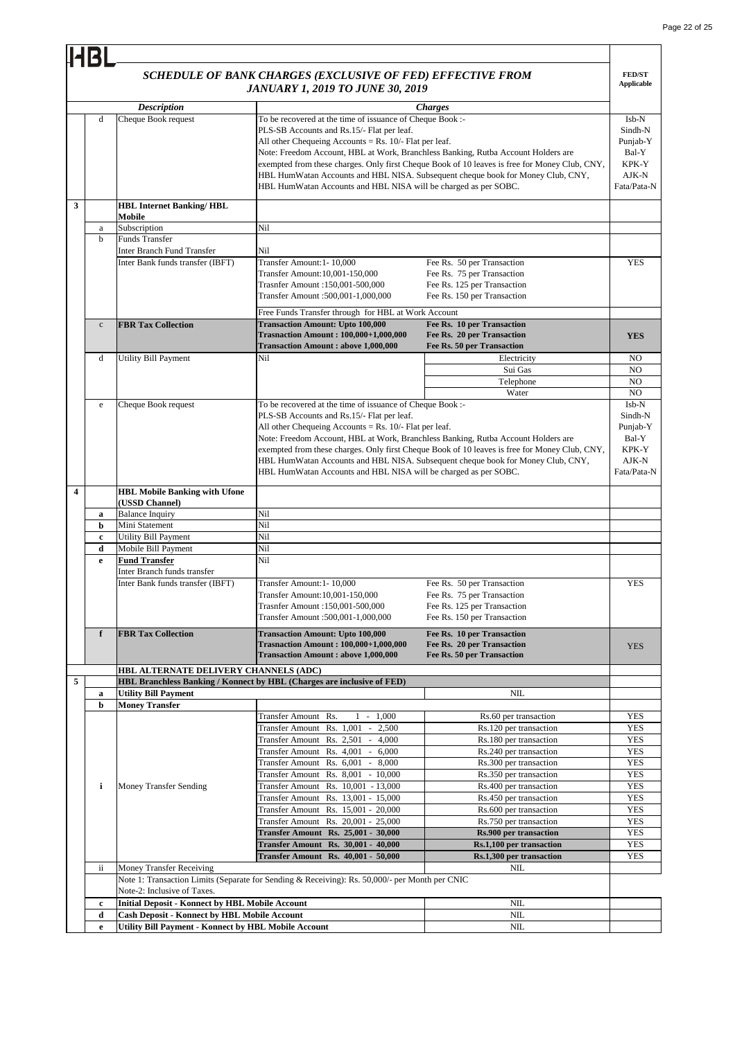|   | <b>HBI</b>   |                                                                       |                                                                                                                                                                                                                                                                                                                             |                                                                                                                                                                                                    |                                                                        |
|---|--------------|-----------------------------------------------------------------------|-----------------------------------------------------------------------------------------------------------------------------------------------------------------------------------------------------------------------------------------------------------------------------------------------------------------------------|----------------------------------------------------------------------------------------------------------------------------------------------------------------------------------------------------|------------------------------------------------------------------------|
|   |              |                                                                       | SCHEDULE OF BANK CHARGES (EXCLUSIVE OF FED) EFFECTIVE FROM<br><b>JANUARY 1, 2019 TO JUNE 30, 2019</b>                                                                                                                                                                                                                       |                                                                                                                                                                                                    | <b>FED/ST</b><br><b>Applicable</b>                                     |
|   | d            | <b>Description</b><br>Cheque Book request                             | To be recovered at the time of issuance of Cheque Book :-<br>PLS-SB Accounts and Rs.15/- Flat per leaf.<br>All other Chequeing Accounts = Rs. $10/-$ Flat per leaf.<br>Note: Freedom Account, HBL at Work, Branchless Banking, Rutba Account Holders are<br>HBL HumWatan Accounts and HBL NISA will be charged as per SOBC. | <b>Charges</b><br>exempted from these charges. Only first Cheque Book of 10 leaves is free for Money Club, CNY,<br>HBL HumWatan Accounts and HBL NISA. Subsequent cheque book for Money Club, CNY, | Isb-N<br>Sindh-N<br>Punjab-Y<br>Bal-Y<br>KPK-Y<br>AJK-N<br>Fata/Pata-N |
| 3 |              | <b>HBL Internet Banking/HBL</b><br>Mobile                             |                                                                                                                                                                                                                                                                                                                             |                                                                                                                                                                                                    |                                                                        |
|   | a            | Subscription                                                          | Nil                                                                                                                                                                                                                                                                                                                         |                                                                                                                                                                                                    |                                                                        |
|   | b            | Funds Transfer                                                        |                                                                                                                                                                                                                                                                                                                             |                                                                                                                                                                                                    |                                                                        |
|   |              | <b>Inter Branch Fund Transfer</b><br>Inter Bank funds transfer (IBFT) | Nil<br>Transfer Amount:1-10,000<br>Transfer Amount:10,001-150,000<br>Trasnfer Amount: 150,001-500,000<br>Transfer Amount :500,001-1,000,000                                                                                                                                                                                 | Fee Rs. 50 per Transaction<br>Fee Rs. 75 per Transaction<br>Fee Rs. 125 per Transaction<br>Fee Rs. 150 per Transaction                                                                             | <b>YES</b>                                                             |
|   |              |                                                                       | Free Funds Transfer through for HBL at Work Account                                                                                                                                                                                                                                                                         |                                                                                                                                                                                                    |                                                                        |
|   | $\mathbf{c}$ | <b>FBR Tax Collection</b>                                             | <b>Transaction Amount: Upto 100,000</b><br><b>Trasnaction Amount: 100,000+1,000,000</b><br><b>Transaction Amount : above 1,000,000</b>                                                                                                                                                                                      | Fee Rs. 10 per Transaction<br>Fee Rs. 20 per Transaction<br>Fee Rs. 50 per Transaction                                                                                                             | <b>YES</b>                                                             |
|   | d            | <b>Utility Bill Payment</b>                                           | Nil                                                                                                                                                                                                                                                                                                                         | Electricity                                                                                                                                                                                        | N <sub>O</sub>                                                         |
|   |              |                                                                       |                                                                                                                                                                                                                                                                                                                             | Sui Gas                                                                                                                                                                                            | NO                                                                     |
|   |              |                                                                       |                                                                                                                                                                                                                                                                                                                             | Telephone                                                                                                                                                                                          | N <sub>O</sub>                                                         |
|   |              |                                                                       |                                                                                                                                                                                                                                                                                                                             | Water                                                                                                                                                                                              | N <sub>O</sub>                                                         |
|   | e            | Cheque Book request                                                   | To be recovered at the time of issuance of Cheque Book :-                                                                                                                                                                                                                                                                   |                                                                                                                                                                                                    | Isb-N                                                                  |
|   |              |                                                                       | PLS-SB Accounts and Rs.15/- Flat per leaf.                                                                                                                                                                                                                                                                                  |                                                                                                                                                                                                    | Sindh-N                                                                |
|   |              |                                                                       | All other Chequeing Accounts = Rs. $10/-$ Flat per leaf.                                                                                                                                                                                                                                                                    |                                                                                                                                                                                                    | Punjab-Y                                                               |
|   |              |                                                                       | Note: Freedom Account, HBL at Work, Branchless Banking, Rutba Account Holders are                                                                                                                                                                                                                                           |                                                                                                                                                                                                    | Bal-Y                                                                  |
|   |              |                                                                       |                                                                                                                                                                                                                                                                                                                             | exempted from these charges. Only first Cheque Book of 10 leaves is free for Money Club, CNY,                                                                                                      | KPK-Y                                                                  |
|   |              |                                                                       |                                                                                                                                                                                                                                                                                                                             |                                                                                                                                                                                                    | AJK-N                                                                  |
|   |              |                                                                       |                                                                                                                                                                                                                                                                                                                             | HBL HumWatan Accounts and HBL NISA. Subsequent cheque book for Money Club, CNY,                                                                                                                    | Fata/Pata-N                                                            |
|   |              |                                                                       | HBL HumWatan Accounts and HBL NISA will be charged as per SOBC.                                                                                                                                                                                                                                                             |                                                                                                                                                                                                    |                                                                        |
| 4 |              | <b>HBL Mobile Banking with Ufone</b><br>(USSD Channel)                |                                                                                                                                                                                                                                                                                                                             |                                                                                                                                                                                                    |                                                                        |
|   |              | <b>Balance Inquiry</b>                                                | Nil                                                                                                                                                                                                                                                                                                                         |                                                                                                                                                                                                    |                                                                        |
|   | a<br>b       | Mini Statement                                                        | Nil                                                                                                                                                                                                                                                                                                                         |                                                                                                                                                                                                    |                                                                        |
|   | $\mathbf c$  | Utility Bill Payment                                                  | Nil                                                                                                                                                                                                                                                                                                                         |                                                                                                                                                                                                    |                                                                        |
|   | d            | Mobile Bill Payment                                                   | Nil                                                                                                                                                                                                                                                                                                                         |                                                                                                                                                                                                    |                                                                        |
|   | e            | <b>Fund Transfer</b>                                                  | Nil                                                                                                                                                                                                                                                                                                                         |                                                                                                                                                                                                    |                                                                        |
|   |              | Inter Branch funds transfer                                           |                                                                                                                                                                                                                                                                                                                             |                                                                                                                                                                                                    |                                                                        |
|   |              | Inter Bank funds transfer (IBFT)                                      | Transfer Amount:1-10,000<br>Transfer Amount:10,001-150,000<br>Trasnfer Amount : 150,001-500,000<br>Transfer Amount :500,001-1,000,000                                                                                                                                                                                       | Fee Rs. 50 per Transaction<br>Fee Rs. 75 per Transaction<br>Fee Rs. 125 per Transaction<br>Fee Rs. 150 per Transaction                                                                             | <b>YES</b>                                                             |
|   | $\mathbf f$  | <b>FBR Tax Collection</b>                                             | <b>Transaction Amount: Upto 100,000</b>                                                                                                                                                                                                                                                                                     | Fee Rs. 10 per Transaction                                                                                                                                                                         |                                                                        |
|   |              |                                                                       | <b>Trasnaction Amount: 100,000+1,000,000</b><br><b>Transaction Amount : above 1,000,000</b>                                                                                                                                                                                                                                 | Fee Rs. 20 per Transaction<br>Fee Rs. 50 per Transaction                                                                                                                                           | <b>YES</b>                                                             |
|   |              | HBL ALTERNATE DELIVERY CHANNELS (ADC)                                 |                                                                                                                                                                                                                                                                                                                             |                                                                                                                                                                                                    |                                                                        |
| 5 |              |                                                                       | HBL Branchless Banking / Konnect by HBL (Charges are inclusive of FED)                                                                                                                                                                                                                                                      |                                                                                                                                                                                                    |                                                                        |
|   | a            | <b>Utility Bill Payment</b>                                           |                                                                                                                                                                                                                                                                                                                             | <b>NIL</b>                                                                                                                                                                                         |                                                                        |
|   | b            | <b>Money Transfer</b>                                                 |                                                                                                                                                                                                                                                                                                                             |                                                                                                                                                                                                    |                                                                        |
|   |              |                                                                       | Transfer Amount Rs.<br>$1 - 1,000$                                                                                                                                                                                                                                                                                          | Rs.60 per transaction                                                                                                                                                                              | <b>YES</b>                                                             |
|   |              |                                                                       | Transfer Amount Rs. 1,001<br>2,500<br>$\sim$                                                                                                                                                                                                                                                                                | Rs.120 per transaction                                                                                                                                                                             | <b>YES</b>                                                             |
|   |              |                                                                       | Transfer Amount Rs. 2,501<br>4,000<br>$\sim$                                                                                                                                                                                                                                                                                | Rs.180 per transaction                                                                                                                                                                             | <b>YES</b>                                                             |
|   |              |                                                                       | Transfer Amount Rs. 4,001<br>6,000<br>$\sim$                                                                                                                                                                                                                                                                                | Rs.240 per transaction                                                                                                                                                                             | <b>YES</b>                                                             |
|   |              |                                                                       | Transfer Amount Rs. 6,001 - 8,000                                                                                                                                                                                                                                                                                           | Rs.300 per transaction                                                                                                                                                                             | <b>YES</b>                                                             |
|   |              |                                                                       | Transfer Amount Rs. 8,001 - 10,000                                                                                                                                                                                                                                                                                          | Rs.350 per transaction                                                                                                                                                                             | <b>YES</b>                                                             |
|   | i            | Money Transfer Sending                                                | Transfer Amount Rs. 10,001 - 13,000                                                                                                                                                                                                                                                                                         | Rs.400 per transaction                                                                                                                                                                             | YES                                                                    |
|   |              |                                                                       |                                                                                                                                                                                                                                                                                                                             | Rs.450 per transaction                                                                                                                                                                             | YES                                                                    |
|   |              |                                                                       | Transfer Amount Rs. 13,001 - 15,000                                                                                                                                                                                                                                                                                         |                                                                                                                                                                                                    |                                                                        |
|   |              |                                                                       | Transfer Amount Rs. 15,001 - 20,000                                                                                                                                                                                                                                                                                         | Rs.600 per transaction                                                                                                                                                                             | <b>YES</b>                                                             |
|   |              |                                                                       | Transfer Amount Rs. 20,001 - 25,000                                                                                                                                                                                                                                                                                         | Rs.750 per transaction                                                                                                                                                                             | <b>YES</b>                                                             |
|   |              |                                                                       | <b>Transfer Amount Rs. 25,001 - 30,000</b>                                                                                                                                                                                                                                                                                  | <b>Rs.900 per transaction</b>                                                                                                                                                                      | <b>YES</b>                                                             |
|   |              |                                                                       | Transfer Amount Rs. 30,001 - 40,000                                                                                                                                                                                                                                                                                         | Rs.1,100 per transaction                                                                                                                                                                           | <b>YES</b>                                                             |
|   |              |                                                                       | <b>Transfer Amount Rs. 40,001 - 50,000</b>                                                                                                                                                                                                                                                                                  | Rs.1,300 per transaction                                                                                                                                                                           | YES                                                                    |
|   | ii           | Money Transfer Receiving                                              |                                                                                                                                                                                                                                                                                                                             | NIL                                                                                                                                                                                                |                                                                        |
|   |              |                                                                       | Note 1: Transaction Limits (Separate for Sending & Receiving): Rs. 50,000/- per Month per CNIC                                                                                                                                                                                                                              |                                                                                                                                                                                                    |                                                                        |
|   |              | Note-2: Inclusive of Taxes.                                           |                                                                                                                                                                                                                                                                                                                             |                                                                                                                                                                                                    |                                                                        |
|   | c            | <b>Initial Deposit - Konnect by HBL Mobile Account</b>                |                                                                                                                                                                                                                                                                                                                             | <b>NIL</b>                                                                                                                                                                                         |                                                                        |
|   | d            | <b>Cash Deposit - Konnect by HBL Mobile Account</b>                   |                                                                                                                                                                                                                                                                                                                             | NIL                                                                                                                                                                                                |                                                                        |
|   | $\mathbf e$  | <b>Utility Bill Payment - Konnect by HBL Mobile Account</b>           |                                                                                                                                                                                                                                                                                                                             | NIL                                                                                                                                                                                                |                                                                        |
|   |              |                                                                       |                                                                                                                                                                                                                                                                                                                             |                                                                                                                                                                                                    |                                                                        |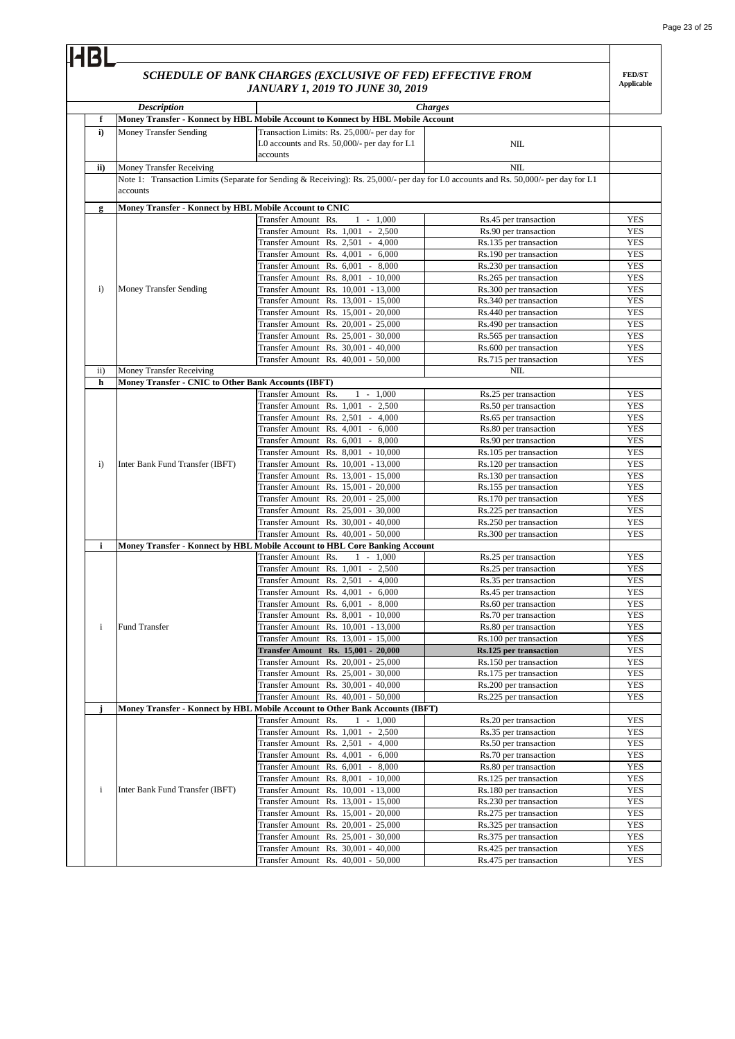#### 4R *SCHEDULE OF BANK CHARGES (EXCLUSIVE OF FED) EFFECTIVE FROM*  **FED/ST Applicable** *JANUARY 1, 2019 TO JUNE 30, 2019 Description Charges* **f Money Transfer - Konnect by HBL Mobile Account to Konnect by HBL Mobile Account i)** Money Transfer Sending Transaction Limits: Rs. 25,000/- per day for L0 accounts and Rs. 50,000/- per day for L1 NIL. accounts Money Transfer Receiving NIL **ii)** Note 1: Transaction Limits (Separate for Sending & Receiving): Rs. 25,000/- per day for L0 accounts and Rs. 50,000/- per day for L1 accounts **Money Transfer - Konnect by HBL Mobile Account to CNIC g** Transfer Amount Rs. 1 - 1,000 Rs.45 per transaction YES Transfer Amount Rs. 1,001 - 2,500 Rs.90 per transaction YES Transfer Amount Rs. 2,501 - 4,000 Rs.135 per transaction YES Transfer Amount Rs. 4,001 - 6,000 Rs.190 per transaction **YES** Transfer Amount Rs. 6,001 - 8,000 Rs.230 per transaction<br>Transfer Amount Rs. 8,001 - 10,000 Rs.265 per transaction **YES** Transfer Amount Rs. 8,001 **YES** i) Money Transfer Sending Transfer Amount Rs. 10,001 - 13,000 Rs.300 per transaction YES Transfer Amount Rs. 13,001 - 15,000 Rs.340 per transaction YES Transfer Amount Rs. 15,001 - 20,000 Rs.440 per transaction YES Transfer Amount Rs. 20,001 - 25,000 Rs.490 per transaction YES Transfer Amount Rs. 25,001 - 30,000 Rs.565 per transaction<br>Transfer Amount Rs. 30,001 - 40,000 Rs.600 per transaction YES Transfer Amount Rs.  $30,001 - 40,000$ YES Transfer Amount Rs. 40,001 - 50,000 Rs.715 per transaction YES Money Transfer Receiving NIL ii) **Money Transfer - CNIC to Other Bank Accounts (IBFT) h YES** Transfer Amount Rs. 1 - 1,000 Rs.25 per transaction Transfer Amount Rs. 1,001 - 2,500 Rs.50 per transaction YES Transfer Amount Rs. 2,501 - 4,000 Rs.65 per transaction YES **YES** Transfer Amount Rs. 4,001 - 6,000 Rs.80 per transaction YES Transfer Amount Rs. 6,001 - 8,000 Rs.90 per transaction Transfer Amount Rs. 8,001 - 10,000 Rs.105 per transaction **YES** i) Inter Bank Fund Transfer (IBFT) Transfer Amount Rs. 10,001 - 13,000 Rs.120 per transaction<br>Transfer Amount Rs. 13,001 - 15,000 Rs.130 per transaction YES YES Transfer Amount Rs.  $13,001 - 15,000$ Transfer Amount Rs. 15,001 - 20,000 Rs.155 per transaction YES Transfer Amount Rs. 20,001 - 25,000 Rs.170 per transaction YES Transfer Amount Rs. 25,001 - 30,000 Rs.225 per transaction YES Transfer Amount Rs. 30,001 - 40,000 Rs.250 per transaction<br>Transfer Amount Rs. 40,001 - 50,000 Rs.300 per transaction **YES** Transfer Amount Rs.  $40,001 - 50,000$ YES **i Money Transfer - Konnect by HBL Mobile Account to HBL Core Banking Account** Transfer Amount Rs. 1 - 1,000 Rs.25 per transaction YES Transfer Amount Rs. 1,001 - 2,500 Rs.25 per transaction YES Transfer Amount Rs. 2,501 - 4,000 Rs.35 per transaction YES Transfer Amount Rs. 4,001 - 6,000 Rs.45 per transaction YES Transfer Amount Rs. 6,001 - 8,000 Rs.60 per transaction YES Transfer Amount Rs. 8,001 - 10,000 Rs.70 per transaction YES i Fund Transfer Transfer Amount Rs. 10,001 - 13,000 Rs.80 per transaction YES Transfer Amount Rs. 13,001 - 15,000 Rs.100 per transaction YES **Transfer Amount Rs. 15,001 - 20,000 Rs.125 per transaction** YES Transfer Amount Rs. 20,001 - 25,000 Rs.150 per transaction YES Transfer Amount Rs. 25,001 - 30,000 Rs.175 per transaction YES Transfer Amount Rs. 30,001 - 40,000 Rs. 200 per transaction<br>Transfer Amount Rs. 40,001 - 50,000 Rs. 225 per transaction **YES** Transfer Amount Rs.  $40,001 - 50,000$ YES **Money Transfer - Konnect by HBL Mobile Account to Other Bank Accounts (IBFT) j** Transfer Amount Rs. 1 - 1,000 Rs.20 per transaction YES Transfer Amount Rs. 1,001 - 2,500 Rs.35 per transaction YES Transfer Amount Rs. 2,501 - 4,000 Rs.50 per transaction YES Transfer Amount Rs. 4,001 - 6,000 Rs.70 per transaction YES Transfer Amount Rs. 6,001 - 8,000 Rs.80 per transaction YES Transfer Amount Rs. 8,001 - 10,000 Rs.125 per transaction<br>Transfer Amount Rs. 10,001 - 13,000 Rs.180 per transaction YES i Inter Bank Fund Transfer (IBFT) Transfer Amount Rs. 10,001 **YES** Transfer Amount Rs. 13,001 - 15,000 Rs. 230 per transaction<br>Transfer Amount Rs. 15,001 - 20,000 Rs. 275 per transaction YES Transfer Amount Rs. 15,001 - 20,000 **YES** Transfer Amount Rs. 20,001 - 25,000 Rs.325 per transaction YES Transfer Amount Rs. 25,001 - 30,000 Rs.375 per transaction YES Transfer Amount Rs. 30,001 - 40,000 Rs.425 per transaction **YES** Transfer Amount Rs. 40,001 - 50,000 Rs.475 per transaction YES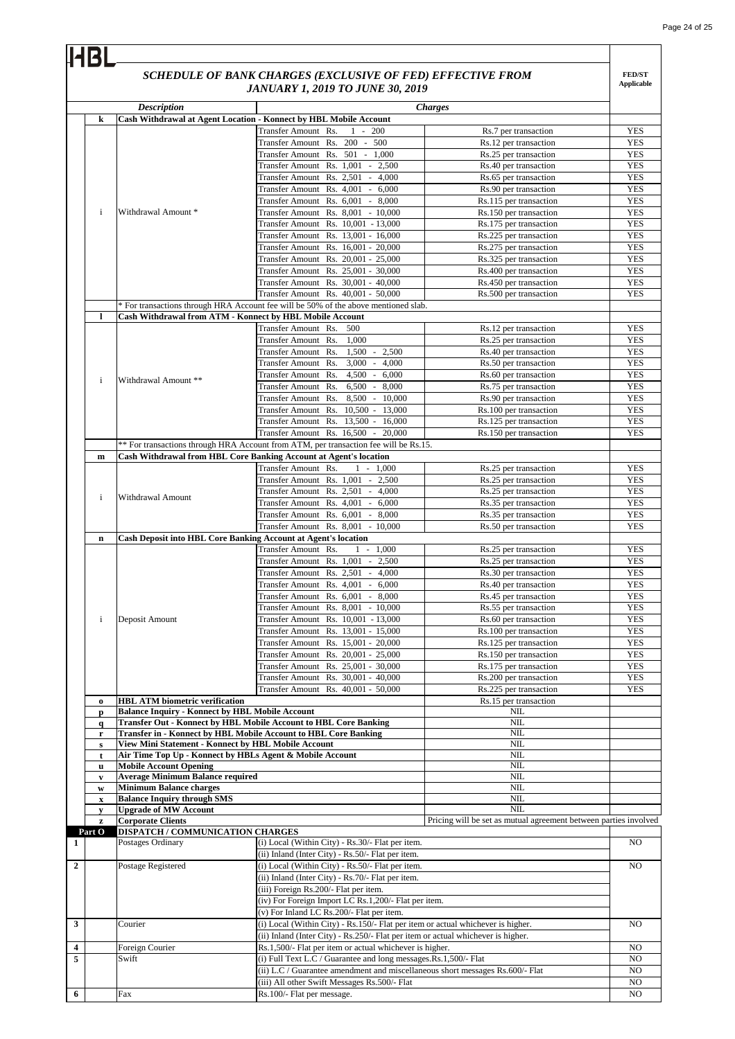|              |                                                        | SCHEDULE OF BANK CHARGES (EXCLUSIVE OF FED) EFFECTIVE FROM<br><b>JANUARY 1, 2019 TO JUNE 30, 2019</b>                                           |                                                                  | <b>FED/ST</b><br><b>Applicable</b> |
|--------------|--------------------------------------------------------|-------------------------------------------------------------------------------------------------------------------------------------------------|------------------------------------------------------------------|------------------------------------|
|              | <b>Description</b>                                     | <b>Charges</b>                                                                                                                                  |                                                                  |                                    |
| k            |                                                        | Cash Withdrawal at Agent Location - Konnect by HBL Mobile Account                                                                               |                                                                  |                                    |
|              |                                                        | Transfer Amount Rs.<br>$1 - 200$                                                                                                                | Rs.7 per transaction                                             | <b>YES</b>                         |
|              |                                                        | Transfer Amount Rs. 200 - 500                                                                                                                   | Rs.12 per transaction                                            | <b>YES</b>                         |
|              |                                                        | Transfer Amount Rs. 501 - 1,000                                                                                                                 | Rs.25 per transaction                                            | <b>YES</b>                         |
|              |                                                        | Transfer Amount Rs. 1,001 - 2,500                                                                                                               | Rs.40 per transaction                                            | <b>YES</b>                         |
|              |                                                        | Transfer Amount Rs. 2,501 - 4,000                                                                                                               | Rs.65 per transaction                                            | <b>YES</b>                         |
|              |                                                        | Transfer Amount Rs. 4,001 - 6,000                                                                                                               | Rs.90 per transaction                                            | <b>YES</b>                         |
|              |                                                        | Transfer Amount Rs. 6,001 - 8,000                                                                                                               | Rs.115 per transaction                                           | <b>YES</b>                         |
| $\mathbf{i}$ | Withdrawal Amount *                                    | Transfer Amount Rs. 8,001 - 10,000                                                                                                              | Rs.150 per transaction                                           | <b>YES</b>                         |
|              |                                                        | Transfer Amount Rs. 10,001 - 13,000                                                                                                             | Rs.175 per transaction                                           | <b>YES</b>                         |
|              |                                                        | Transfer Amount Rs. 13,001 - 16,000                                                                                                             | Rs.225 per transaction                                           | <b>YES</b>                         |
|              |                                                        | Transfer Amount Rs. 16,001 - 20,000                                                                                                             | Rs.275 per transaction                                           | <b>YES</b>                         |
|              |                                                        | Transfer Amount Rs. 20,001 - 25,000                                                                                                             | Rs.325 per transaction                                           | <b>YES</b>                         |
|              |                                                        | Transfer Amount Rs. 25,001 - 30,000                                                                                                             | Rs.400 per transaction                                           | <b>YES</b>                         |
|              |                                                        | Transfer Amount Rs. 30,001 - 40,000<br>Transfer Amount Rs. 40,001 - 50,000                                                                      | Rs.450 per transaction                                           | <b>YES</b>                         |
|              |                                                        |                                                                                                                                                 | Rs.500 per transaction                                           | <b>YES</b>                         |
|              |                                                        | * For transactions through HRA Account fee will be 50% of the above mentioned slab.<br>Cash Withdrawal from ATM - Konnect by HBL Mobile Account |                                                                  |                                    |
| $\bf{l}$     |                                                        | Transfer Amount Rs.<br>500                                                                                                                      | Rs.12 per transaction                                            | <b>YES</b>                         |
|              |                                                        |                                                                                                                                                 |                                                                  |                                    |
|              |                                                        | Transfer Amount Rs.<br>1,000<br>$1,500 - 2,500$<br>Transfer Amount Rs.                                                                          | Rs.25 per transaction<br>Rs.40 per transaction                   | <b>YES</b><br><b>YES</b>           |
|              |                                                        | Transfer Amount Rs.<br>$3,000 - 4,000$                                                                                                          | Rs.50 per transaction                                            | <b>YES</b>                         |
|              |                                                        | Transfer Amount Rs.<br>$4,500 - 6,000$                                                                                                          | Rs.60 per transaction                                            | <b>YES</b>                         |
| $\mathbf{i}$ | Withdrawal Amount **                                   | Transfer Amount Rs.<br>$6,500 - 8,000$                                                                                                          | Rs.75 per transaction                                            | <b>YES</b>                         |
|              |                                                        | 8,500 - 10,000<br>Transfer Amount Rs.                                                                                                           | Rs.90 per transaction                                            | <b>YES</b>                         |
|              |                                                        | Transfer Amount Rs. 10,500 - 13,000                                                                                                             | Rs.100 per transaction                                           | <b>YES</b>                         |
|              |                                                        | Transfer Amount Rs.<br>$13,500 - 16,000$                                                                                                        | Rs.125 per transaction                                           | YES                                |
|              |                                                        | Transfer Amount Rs. 16,500 - 20,000                                                                                                             | Rs.150 per transaction                                           | <b>YES</b>                         |
|              |                                                        | ** For transactions through HRA Account from ATM, per transaction fee will be Rs.15.                                                            |                                                                  |                                    |
| m            |                                                        | Cash Withdrawal from HBL Core Banking Account at Agent's location                                                                               |                                                                  |                                    |
|              |                                                        | Transfer Amount Rs.<br>$-1,000$<br>1                                                                                                            | Rs.25 per transaction                                            | <b>YES</b>                         |
|              |                                                        | Transfer Amount Rs. 1,001 - 2,500                                                                                                               | Rs.25 per transaction                                            | <b>YES</b>                         |
|              |                                                        | Transfer Amount Rs. 2,501 - 4,000                                                                                                               | Rs.25 per transaction                                            | <b>YES</b>                         |
| $\mathbf{i}$ | Withdrawal Amount                                      | Transfer Amount Rs. 4,001<br>6,000<br>$\sim$                                                                                                    | Rs.35 per transaction                                            | <b>YES</b>                         |
|              |                                                        | Transfer Amount Rs. 6,001 - 8,000                                                                                                               | Rs.35 per transaction                                            | <b>YES</b>                         |
|              |                                                        | Transfer Amount Rs. 8.001 - 10.000                                                                                                              | Rs.50 per transaction                                            | <b>YES</b>                         |
| n            |                                                        | <b>Cash Deposit into HBL Core Banking Account at Agent's location</b>                                                                           |                                                                  |                                    |
|              |                                                        | Transfer Amount Rs.<br>$-1,000$<br>1                                                                                                            | Rs.25 per transaction                                            | <b>YES</b>                         |
|              |                                                        | Transfer Amount Rs. 1,001 - 2,500                                                                                                               | Rs.25 per transaction                                            | <b>YES</b>                         |
|              |                                                        | Transfer Amount Rs. 2.501 - 4.000                                                                                                               | Rs.30 per transaction                                            | <b>YES</b>                         |
|              |                                                        | Transfer Amount Rs. 4,001 - 6,000                                                                                                               | Rs.40 per transaction                                            | <b>YES</b>                         |
|              |                                                        | Transfer Amount Rs. 6,001 - 8,000                                                                                                               | Rs.45 per transaction                                            | <b>YES</b>                         |
|              |                                                        | Transfer Amount Rs. 8,001 - 10,000                                                                                                              | Rs.55 per transaction                                            | <b>YES</b>                         |
| $\mathbf{i}$ | Deposit Amount                                         | Transfer Amount Rs. 10,001 - 13,000                                                                                                             | Rs.60 per transaction                                            | <b>YES</b>                         |
|              |                                                        | Transfer Amount Rs. 13,001 - 15,000                                                                                                             | Rs.100 per transaction                                           | <b>YES</b>                         |
|              |                                                        | Transfer Amount Rs. 15,001 - 20,000                                                                                                             | Rs.125 per transaction                                           | <b>YES</b>                         |
|              |                                                        | Transfer Amount Rs. 20,001 - 25,000                                                                                                             | Rs.150 per transaction                                           | <b>YES</b>                         |
|              |                                                        | Transfer Amount Rs. 25,001 - 30,000                                                                                                             | Rs.175 per transaction                                           | <b>YES</b>                         |
|              |                                                        | Transfer Amount Rs. 30,001 - 40,000                                                                                                             | Rs.200 per transaction                                           | YES                                |
|              |                                                        | Transfer Amount Rs. 40,001 - 50,000                                                                                                             | Rs.225 per transaction                                           | <b>YES</b>                         |
| $\bf{0}$     | <b>HBL ATM biometric verification</b>                  |                                                                                                                                                 | Rs.15 per transaction                                            |                                    |
| p            | <b>Balance Inquiry - Konnect by HBL Mobile Account</b> |                                                                                                                                                 | NIL                                                              |                                    |
| $\mathbf{q}$ |                                                        | Transfer Out - Konnect by HBL Mobile Account to HBL Core Banking                                                                                | NIL                                                              |                                    |
| r            | View Mini Statement - Konnect by HBL Mobile Account    | Transfer in - Konnect by HBL Mobile Account to HBL Core Banking                                                                                 | $\rm NIL$                                                        |                                    |
| s            |                                                        |                                                                                                                                                 | NIL<br>NIL                                                       |                                    |
| t            | <b>Mobile Account Opening</b>                          | Air Time Top Up - Konnect by HBLs Agent & Mobile Account                                                                                        | NIL                                                              |                                    |
| u<br>V       | <b>Average Minimum Balance required</b>                |                                                                                                                                                 | NIL                                                              |                                    |
| W            | <b>Minimum Balance charges</b>                         |                                                                                                                                                 | NIL                                                              |                                    |
| $\mathbf x$  | <b>Balance Inquiry through SMS</b>                     |                                                                                                                                                 | <b>NIL</b>                                                       |                                    |
| y            | <b>Upgrade of MW Account</b>                           |                                                                                                                                                 | <b>NIL</b>                                                       |                                    |
| z            | <b>Corporate Clients</b>                               |                                                                                                                                                 | Pricing will be set as mutual agreement between parties involved |                                    |
| Part O       | <b>DISPATCH / COMMUNICATION CHARGES</b>                |                                                                                                                                                 |                                                                  |                                    |
|              | Postages Ordinary                                      | (i) Local (Within City) - Rs.30/- Flat per item.                                                                                                |                                                                  | NO                                 |
|              |                                                        | (ii) Inland (Inter City) - Rs.50/- Flat per item.                                                                                               |                                                                  |                                    |
|              | Postage Registered                                     | (i) Local (Within City) - Rs.50/- Flat per item.                                                                                                |                                                                  | NO                                 |
|              |                                                        | (ii) Inland (Inter City) - Rs.70/- Flat per item.                                                                                               |                                                                  |                                    |
|              |                                                        | (iii) Foreign Rs.200/- Flat per item.                                                                                                           |                                                                  |                                    |
|              |                                                        | (iv) For Foreign Import LC Rs.1,200/- Flat per item.                                                                                            |                                                                  |                                    |
|              |                                                        | (v) For Inland LC Rs.200/- Flat per item.                                                                                                       |                                                                  |                                    |
|              | Courier                                                | (i) Local (Within City) - Rs.150/- Flat per item or actual whichever is higher.                                                                 |                                                                  | NO                                 |
|              |                                                        | (ii) Inland (Inter City) - Rs.250/- Flat per item or actual whichever is higher.                                                                |                                                                  |                                    |
|              | Foreign Courier                                        | Rs.1,500/- Flat per item or actual whichever is higher.                                                                                         |                                                                  | NO                                 |
|              | Swift                                                  | (i) Full Text L.C / Guarantee and long messages.Rs.1,500/- Flat                                                                                 |                                                                  | NO                                 |
|              |                                                        | (ii) L.C / Guarantee amendment and miscellaneous short messages Rs.600/- Flat                                                                   |                                                                  | NO.                                |
|              |                                                        | (iii) All other Swift Messages Rs.500/- Flat                                                                                                    |                                                                  | NO                                 |
|              | Fax                                                    | Rs.100/- Flat per message.                                                                                                                      |                                                                  | NO                                 |